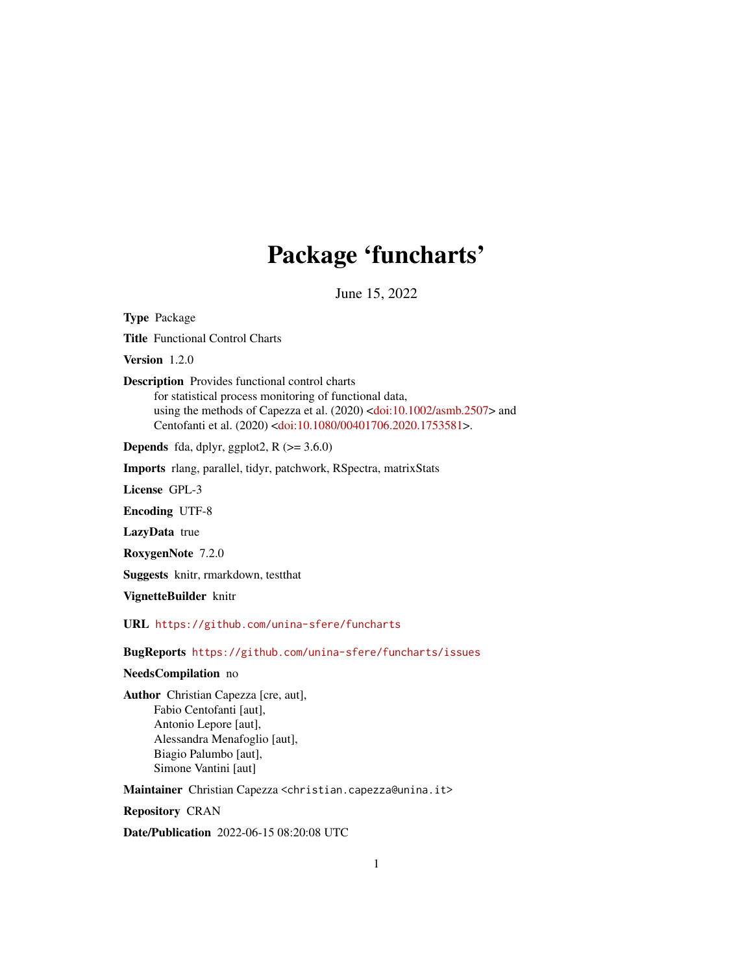# Package 'funcharts'

June 15, 2022

<span id="page-0-0"></span>Type Package

Title Functional Control Charts

Version 1.2.0

Description Provides functional control charts

for statistical process monitoring of functional data, using the methods of Capezza et al. (2020) [<doi:10.1002/asmb.2507>](https://doi.org/10.1002/asmb.2507) and Centofanti et al. (2020) [<doi:10.1080/00401706.2020.1753581>](https://doi.org/10.1080/00401706.2020.1753581).

**Depends** fda, dplyr, ggplot2,  $R$  ( $>= 3.6.0$ )

Imports rlang, parallel, tidyr, patchwork, RSpectra, matrixStats

License GPL-3

Encoding UTF-8

LazyData true

RoxygenNote 7.2.0

Suggests knitr, rmarkdown, testthat

VignetteBuilder knitr

URL <https://github.com/unina-sfere/funcharts>

BugReports <https://github.com/unina-sfere/funcharts/issues>

#### NeedsCompilation no

Author Christian Capezza [cre, aut], Fabio Centofanti [aut], Antonio Lepore [aut], Alessandra Menafoglio [aut], Biagio Palumbo [aut], Simone Vantini [aut]

Maintainer Christian Capezza <christian.capezza@unina.it>

Repository CRAN

Date/Publication 2022-06-15 08:20:08 UTC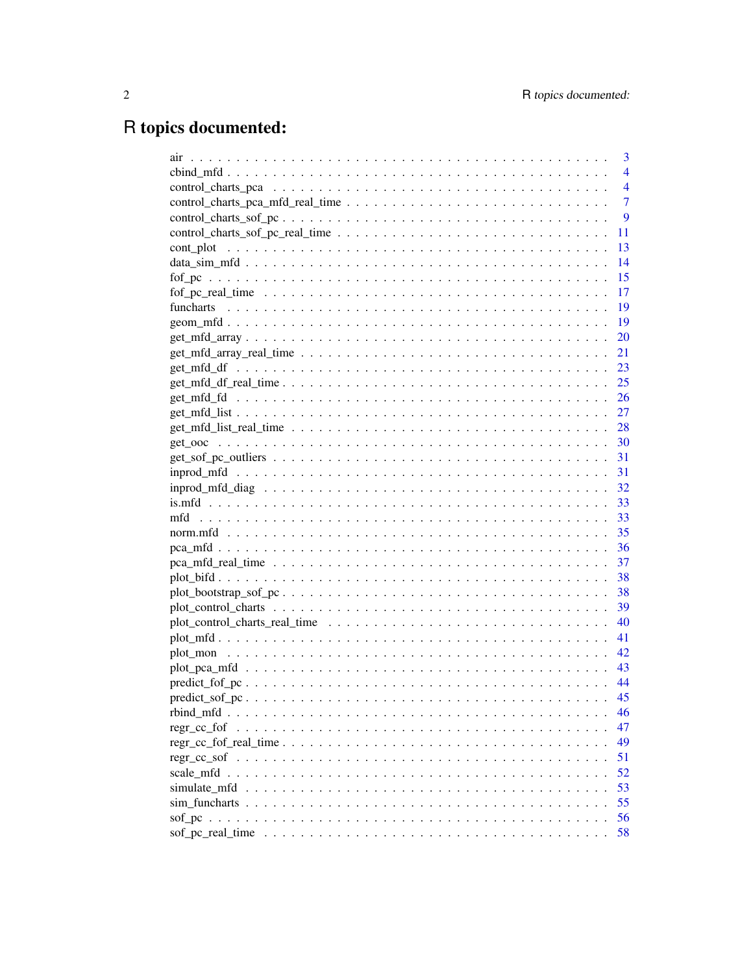# R topics documented:

| 3                                                                                                                          |
|----------------------------------------------------------------------------------------------------------------------------|
| 4                                                                                                                          |
| $\overline{4}$                                                                                                             |
| $\overline{7}$                                                                                                             |
| 9                                                                                                                          |
| 11                                                                                                                         |
| 13                                                                                                                         |
| 14                                                                                                                         |
| 15                                                                                                                         |
| 17                                                                                                                         |
| 19                                                                                                                         |
| 19                                                                                                                         |
| 20                                                                                                                         |
| 21                                                                                                                         |
| 23                                                                                                                         |
| 25<br>$get_mfd_f_{real\_time$                                                                                              |
|                                                                                                                            |
|                                                                                                                            |
|                                                                                                                            |
|                                                                                                                            |
|                                                                                                                            |
|                                                                                                                            |
|                                                                                                                            |
|                                                                                                                            |
|                                                                                                                            |
|                                                                                                                            |
|                                                                                                                            |
| 37                                                                                                                         |
|                                                                                                                            |
| $plot\_bootstrap\_sof\_pc \dots \dots \dots \dots \dots \dots \dots \dots \dots \dots \dots \dots \dots \dots \dots \dots$ |
|                                                                                                                            |
|                                                                                                                            |
|                                                                                                                            |
|                                                                                                                            |
|                                                                                                                            |
|                                                                                                                            |
|                                                                                                                            |
| 46                                                                                                                         |
| 47                                                                                                                         |
| 49                                                                                                                         |
| 51                                                                                                                         |
| 52                                                                                                                         |
| 53                                                                                                                         |
| 55                                                                                                                         |
| 56                                                                                                                         |
| 58                                                                                                                         |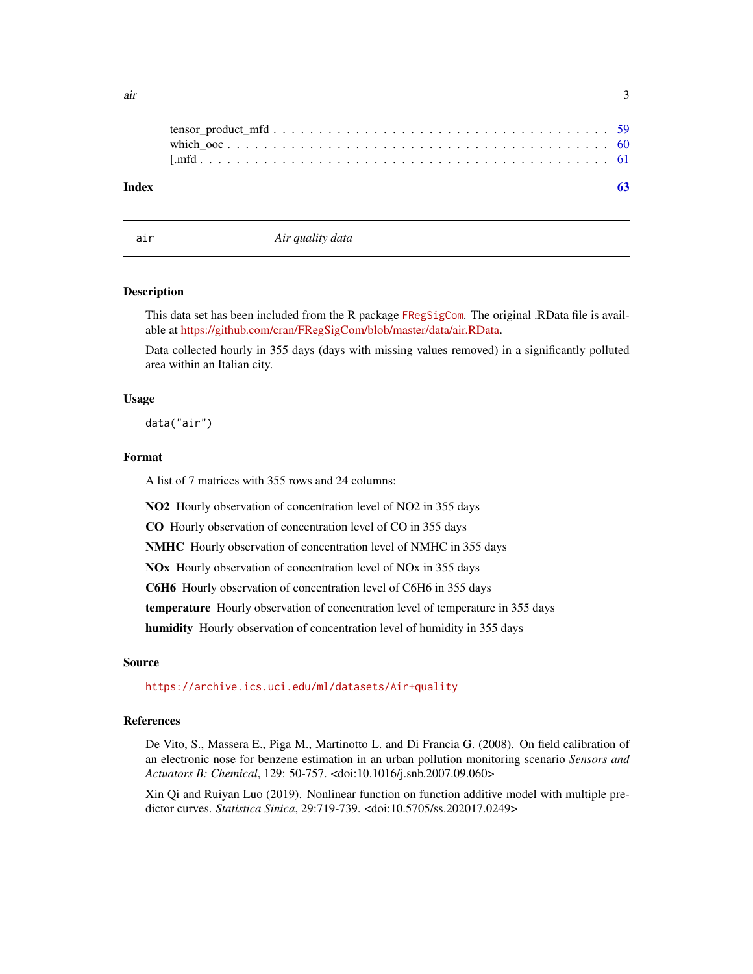<span id="page-2-0"></span>

| Index |  |
|-------|--|
|       |  |
|       |  |

air *Air quality data*

#### Description

This data set has been included from the R package [FRegSigCom](https://github.com/cran/FRegSigCom/). The original .RData file is available at [https://github.com/cran/FRegSigCom/blob/master/data/air.RData.](https://github.com/cran/FRegSigCom/blob/master/data/air.RData)

Data collected hourly in 355 days (days with missing values removed) in a significantly polluted area within an Italian city.

#### Usage

data("air")

#### Format

A list of 7 matrices with 355 rows and 24 columns:

NO2 Hourly observation of concentration level of NO2 in 355 days

CO Hourly observation of concentration level of CO in 355 days

NMHC Hourly observation of concentration level of NMHC in 355 days

NOx Hourly observation of concentration level of NOx in 355 days

C6H6 Hourly observation of concentration level of C6H6 in 355 days

temperature Hourly observation of concentration level of temperature in 355 days

humidity Hourly observation of concentration level of humidity in 355 days

#### Source

<https://archive.ics.uci.edu/ml/datasets/Air+quality>

# References

De Vito, S., Massera E., Piga M., Martinotto L. and Di Francia G. (2008). On field calibration of an electronic nose for benzene estimation in an urban pollution monitoring scenario *Sensors and Actuators B: Chemical*, 129: 50-757. <doi:10.1016/j.snb.2007.09.060>

Xin Qi and Ruiyan Luo (2019). Nonlinear function on function additive model with multiple predictor curves. *Statistica Sinica*, 29:719-739. <doi:10.5705/ss.202017.0249>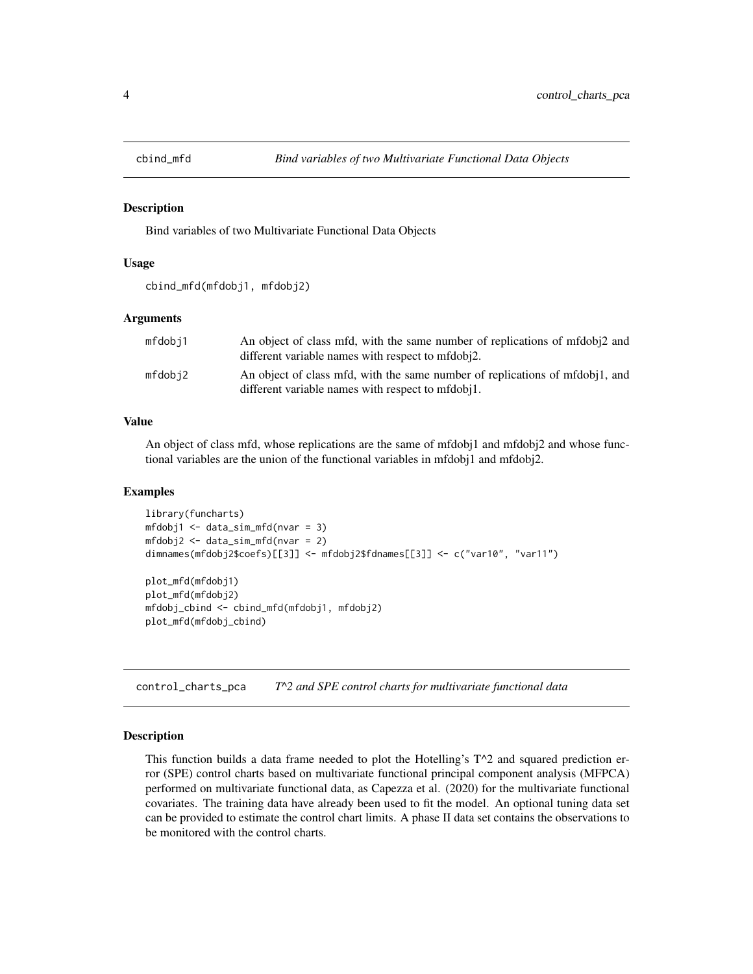<span id="page-3-0"></span>

Bind variables of two Multivariate Functional Data Objects

#### Usage

```
cbind_mfd(mfdobj1, mfdobj2)
```
#### Arguments

| mfdobj1 | An object of class mfd, with the same number of replications of mfdobi2 and<br>different variable names with respect to mfdobi2.  |
|---------|-----------------------------------------------------------------------------------------------------------------------------------|
| mfdobi2 | An object of class mfd, with the same number of replications of mfdobil, and<br>different variable names with respect to mfdobj1. |

#### Value

An object of class mfd, whose replications are the same of mfdobj1 and mfdobj2 and whose functional variables are the union of the functional variables in mfdobj1 and mfdobj2.

# Examples

```
library(funcharts)
mfdobj1 <- data_sim_mfd(nvar = 3)
mfdobj2 <- data_sim_mfd(nvar = 2)
dimnames(mfdobj2$coefs)[[3]] <- mfdobj2$fdnames[[3]] <- c("var10", "var11")
plot_mfd(mfdobj1)
plot_mfd(mfdobj2)
mfdobj_cbind <- cbind_mfd(mfdobj1, mfdobj2)
plot_mfd(mfdobj_cbind)
```
<span id="page-3-1"></span>control\_charts\_pca *T^2 and SPE control charts for multivariate functional data*

#### Description

This function builds a data frame needed to plot the Hotelling's  $T^2$  and squared prediction error (SPE) control charts based on multivariate functional principal component analysis (MFPCA) performed on multivariate functional data, as Capezza et al. (2020) for the multivariate functional covariates. The training data have already been used to fit the model. An optional tuning data set can be provided to estimate the control chart limits. A phase II data set contains the observations to be monitored with the control charts.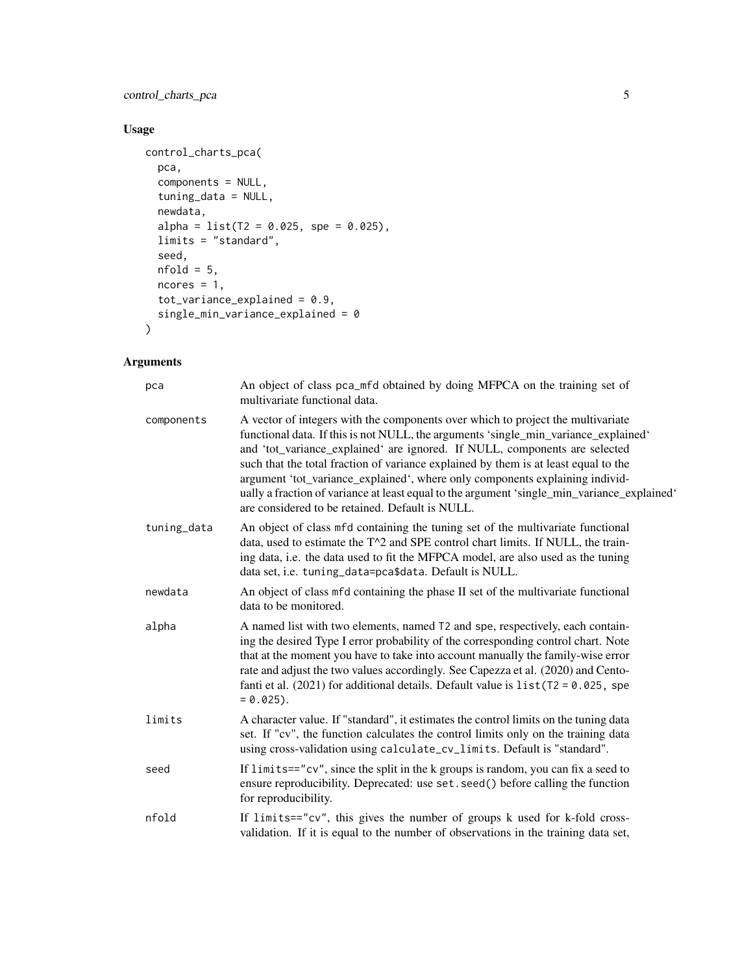# control\_charts\_pca 5

# Usage

```
control_charts_pca(
  pca,
  components = NULL,
  tuning_data = NULL,
  newdata,
  alpha = list(T2 = 0.025, spe = 0.025),
  limits = "standard",
  seed,
  nfold = 5,
  ncores = 1,
  tot_variance_explained = 0.9,
  single_min_variance_explained = 0
\mathcal{L}
```
# Arguments

| pca         | An object of class pca_mfd obtained by doing MFPCA on the training set of<br>multivariate functional data.                                                                                                                                                                                                                                                                                                                                                                                                                                                                    |
|-------------|-------------------------------------------------------------------------------------------------------------------------------------------------------------------------------------------------------------------------------------------------------------------------------------------------------------------------------------------------------------------------------------------------------------------------------------------------------------------------------------------------------------------------------------------------------------------------------|
| components  | A vector of integers with the components over which to project the multivariate<br>functional data. If this is not NULL, the arguments 'single_min_variance_explained'<br>and 'tot_variance_explained' are ignored. If NULL, components are selected<br>such that the total fraction of variance explained by them is at least equal to the<br>argument 'tot_variance_explained', where only components explaining individ-<br>ually a fraction of variance at least equal to the argument 'single_min_variance_explained'<br>are considered to be retained. Default is NULL. |
| tuning_data | An object of class mfd containing the tuning set of the multivariate functional<br>data, used to estimate the T^2 and SPE control chart limits. If NULL, the train-<br>ing data, i.e. the data used to fit the MFPCA model, are also used as the tuning<br>data set, i.e. tuning_data=pca\$data. Default is NULL.                                                                                                                                                                                                                                                             |
| newdata     | An object of class mfd containing the phase II set of the multivariate functional<br>data to be monitored.                                                                                                                                                                                                                                                                                                                                                                                                                                                                    |
| alpha       | A named list with two elements, named T2 and spe, respectively, each contain-<br>ing the desired Type I error probability of the corresponding control chart. Note<br>that at the moment you have to take into account manually the family-wise error<br>rate and adjust the two values accordingly. See Capezza et al. (2020) and Cento-<br>fanti et al. (2021) for additional details. Default value is $list(T2 = 0.025, spe$<br>$= 0.025$ .                                                                                                                               |
| limits      | A character value. If "standard", it estimates the control limits on the tuning data<br>set. If "cv", the function calculates the control limits only on the training data<br>using cross-validation using calculate_cv_limits. Default is "standard".                                                                                                                                                                                                                                                                                                                        |
| seed        | If $limits=="cv"$ , since the split in the k groups is random, you can fix a seed to<br>ensure reproducibility. Deprecated: use set. seed() before calling the function<br>for reproducibility.                                                                                                                                                                                                                                                                                                                                                                               |
| nfold       | If limits=="cv", this gives the number of groups k used for k-fold cross-<br>validation. If it is equal to the number of observations in the training data set,                                                                                                                                                                                                                                                                                                                                                                                                               |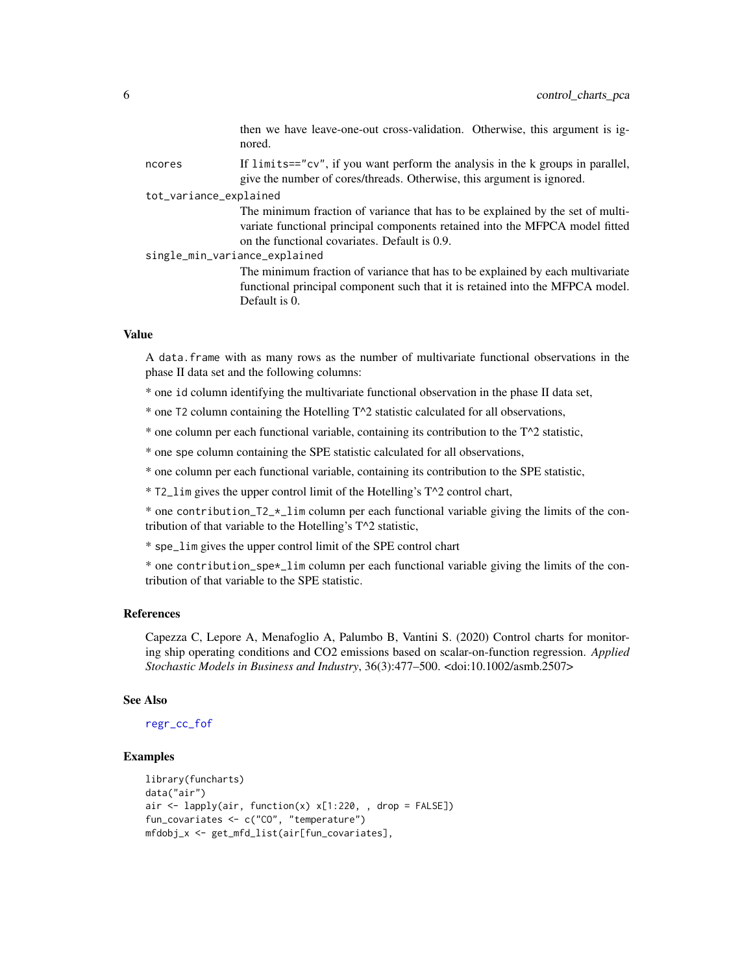<span id="page-5-0"></span>

|                        |                               | then we have leave-one-out cross-validation. Otherwise, this argument is ig-<br>nored.                                                                                                                          |
|------------------------|-------------------------------|-----------------------------------------------------------------------------------------------------------------------------------------------------------------------------------------------------------------|
|                        | ncores                        | If limits=="cv", if you want perform the analysis in the k groups in parallel,<br>give the number of cores/threads. Otherwise, this argument is ignored.                                                        |
| tot_variance_explained |                               |                                                                                                                                                                                                                 |
|                        |                               | The minimum fraction of variance that has to be explained by the set of multi-<br>variate functional principal components retained into the MFPCA model fitted<br>on the functional covariates. Default is 0.9. |
|                        | single_min_variance_explained |                                                                                                                                                                                                                 |
|                        |                               | The minimum fraction of variance that has to be explained by each multivariate<br>functional principal component such that it is retained into the MFPCA model.<br>Default is 0.                                |

#### Value

A data.frame with as many rows as the number of multivariate functional observations in the phase II data set and the following columns:

- \* one id column identifying the multivariate functional observation in the phase II data set,
- \* one T2 column containing the Hotelling T^2 statistic calculated for all observations,
- \* one column per each functional variable, containing its contribution to the  $T^2$  statistic,
- \* one spe column containing the SPE statistic calculated for all observations,

\* one column per each functional variable, containing its contribution to the SPE statistic,

\* T2\_lim gives the upper control limit of the Hotelling's T^2 control chart,

\* one contribution\_T2\_\*\_lim column per each functional variable giving the limits of the contribution of that variable to the Hotelling's T^2 statistic,

\* spe\_lim gives the upper control limit of the SPE control chart

\* one contribution\_spe\*\_lim column per each functional variable giving the limits of the contribution of that variable to the SPE statistic.

#### References

Capezza C, Lepore A, Menafoglio A, Palumbo B, Vantini S. (2020) Control charts for monitoring ship operating conditions and CO2 emissions based on scalar-on-function regression. *Applied Stochastic Models in Business and Industry*, 36(3):477–500. <doi:10.1002/asmb.2507>

#### See Also

[regr\\_cc\\_fof](#page-46-1)

```
library(funcharts)
data("air")
air \le lapply(air, function(x) x[1:220, , drop = FALSE])
fun_covariates <- c("CO", "temperature")
mfdobj_x <- get_mfd_list(air[fun_covariates],
```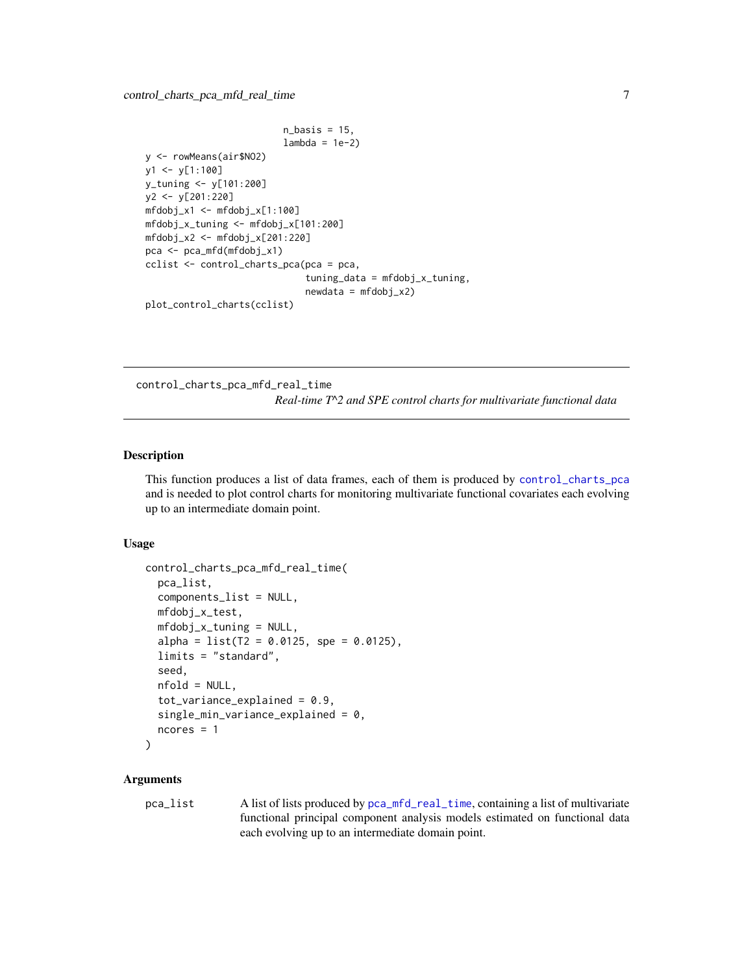```
n_basis = 15,
                         lambda = 1e-2y <- rowMeans(air$NO2)
y1 <- y[1:100]
y_tuning <- y[101:200]
y2 <- y[201:220]
mfdobj_x1 \leftarrow mfdobj_x[1:100]mfdobj_x_tuning <- mfdobj_x[101:200]
mfdobj_x2 <- mfdobj_x[201:220]
pca <- pca_mfd(mfdobj_x1)
cclist <- control_charts_pca(pca = pca,
                              tuning_data = mfdobj_x_tuning,
                              newdata = mfdobj_x2)plot_control_charts(cclist)
```
control\_charts\_pca\_mfd\_real\_time *Real-time T^2 and SPE control charts for multivariate functional data*

# Description

This function produces a list of data frames, each of them is produced by [control\\_charts\\_pca](#page-3-1) and is needed to plot control charts for monitoring multivariate functional covariates each evolving up to an intermediate domain point.

#### Usage

```
control_charts_pca_mfd_real_time(
  pca_list,
  components_list = NULL,
 mfdobj_x_test,
 mfdobj_x_tuning = NULL,alpha = list(T2 = 0.0125, spe = 0.0125),limits = "standard",
  seed,
  nfold = NULL,tot\_variance\_explained = 0.9,
  single_min_variance_explained = 0,
  ncores = 1
)
```
# **Arguments**

pca\_list A list of lists produced by [pca\\_mfd\\_real\\_time](#page-36-1), containing a list of multivariate functional principal component analysis models estimated on functional data each evolving up to an intermediate domain point.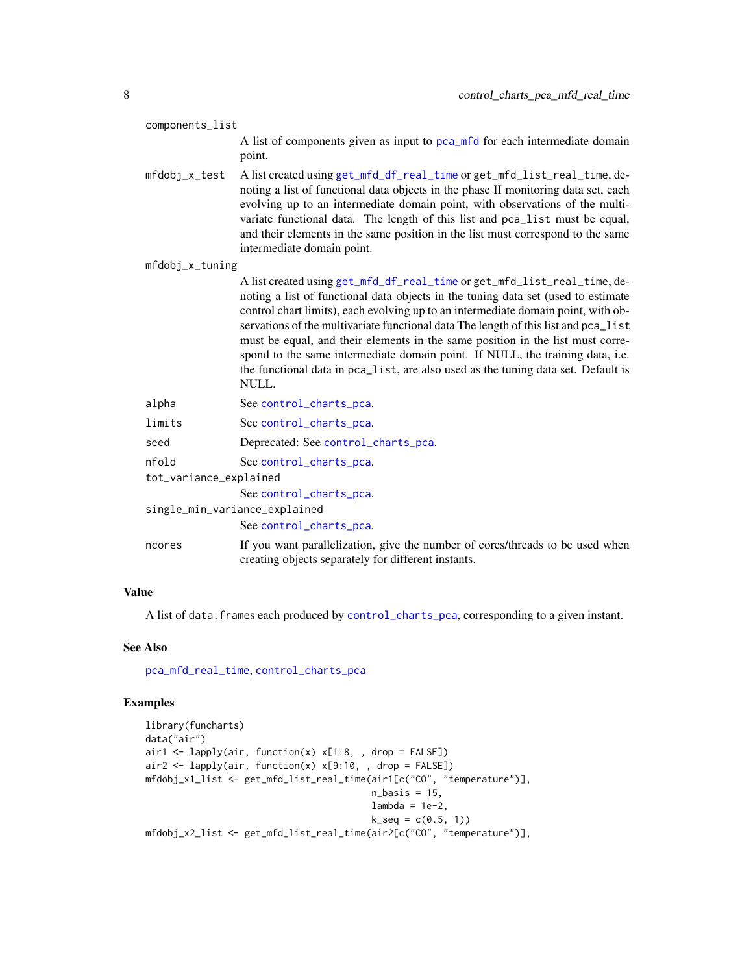<span id="page-7-0"></span>

| components_list               |                                                                                                                                                                                                                                                                                                                                                                                                                                                                                                                                                                                                            |  |
|-------------------------------|------------------------------------------------------------------------------------------------------------------------------------------------------------------------------------------------------------------------------------------------------------------------------------------------------------------------------------------------------------------------------------------------------------------------------------------------------------------------------------------------------------------------------------------------------------------------------------------------------------|--|
|                               | A list of components given as input to pca_mfd for each intermediate domain<br>point.                                                                                                                                                                                                                                                                                                                                                                                                                                                                                                                      |  |
| mfdobj_x_test                 | A list created using get_mfd_df_real_time or get_mfd_list_real_time, de-<br>noting a list of functional data objects in the phase II monitoring data set, each<br>evolving up to an intermediate domain point, with observations of the multi-<br>variate functional data. The length of this list and pca_list must be equal,<br>and their elements in the same position in the list must correspond to the same<br>intermediate domain point.                                                                                                                                                            |  |
| mfdobj_x_tuning               |                                                                                                                                                                                                                                                                                                                                                                                                                                                                                                                                                                                                            |  |
|                               | A list created using get_mfd_df_real_time or get_mfd_list_real_time, de-<br>noting a list of functional data objects in the tuning data set (used to estimate<br>control chart limits), each evolving up to an intermediate domain point, with ob-<br>servations of the multivariate functional data The length of this list and pca_list<br>must be equal, and their elements in the same position in the list must corre-<br>spond to the same intermediate domain point. If NULL, the training data, i.e.<br>the functional data in pca_list, are also used as the tuning data set. Default is<br>NULL. |  |
| alpha                         | See control_charts_pca.                                                                                                                                                                                                                                                                                                                                                                                                                                                                                                                                                                                    |  |
| limits                        | See control_charts_pca.                                                                                                                                                                                                                                                                                                                                                                                                                                                                                                                                                                                    |  |
| seed                          | Deprecated: See control_charts_pca.                                                                                                                                                                                                                                                                                                                                                                                                                                                                                                                                                                        |  |
| nfold                         | See control_charts_pca.                                                                                                                                                                                                                                                                                                                                                                                                                                                                                                                                                                                    |  |
| tot_variance_explained        |                                                                                                                                                                                                                                                                                                                                                                                                                                                                                                                                                                                                            |  |
| single_min_variance_explained | See control_charts_pca.<br>See control_charts_pca.                                                                                                                                                                                                                                                                                                                                                                                                                                                                                                                                                         |  |
| ncores                        | If you want parallelization, give the number of cores/threads to be used when<br>creating objects separately for different instants.                                                                                                                                                                                                                                                                                                                                                                                                                                                                       |  |
|                               |                                                                                                                                                                                                                                                                                                                                                                                                                                                                                                                                                                                                            |  |

# Value

A list of data.frames each produced by [control\\_charts\\_pca](#page-3-1), corresponding to a given instant.

# See Also

[pca\\_mfd\\_real\\_time](#page-36-1), [control\\_charts\\_pca](#page-3-1)

```
library(funcharts)
data("air")
air1 <- lapply(air, function(x) x[1:8, , drop = FALSE])air2 <- lapply(air, function(x) x[9:10, , drop = FALSE])mfdobj_x1_list <- get_mfd_list_real_time(air1[c("CO", "temperature")],
                                        n_basis = 15,
                                        lambda = 1e-2,
                                        k\_seq = c(0.5, 1)mfdobj_x2_list <- get_mfd_list_real_time(air2[c("CO", "temperature")],
```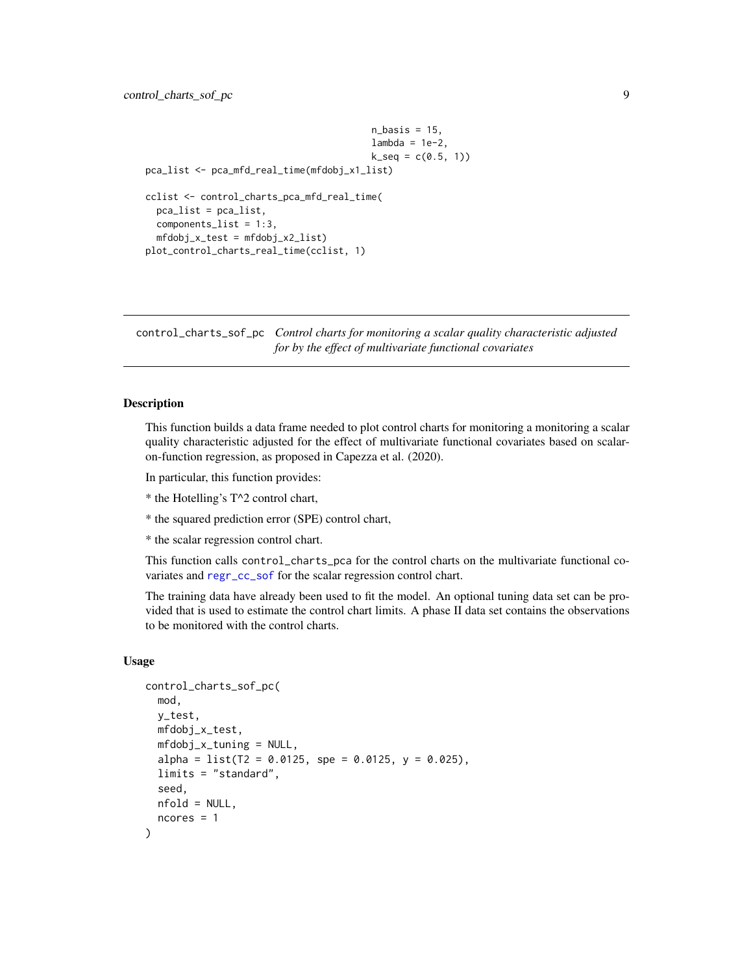```
n_basis = 15,
                                         lambda = 1e-2,
                                         k\_seq = c(0.5, 1)pca_list <- pca_mfd_real_time(mfdobj_x1_list)
cclist <- control_charts_pca_mfd_real_time(
 pca_list = pca_list,
 components_list = 1:3,
 mfdobj_x_test = mfdobj_x2_list)plot_control_charts_real_time(cclist, 1)
```
<span id="page-8-1"></span>control\_charts\_sof\_pc *Control charts for monitoring a scalar quality characteristic adjusted for by the effect of multivariate functional covariates*

#### Description

This function builds a data frame needed to plot control charts for monitoring a monitoring a scalar quality characteristic adjusted for the effect of multivariate functional covariates based on scalaron-function regression, as proposed in Capezza et al. (2020).

In particular, this function provides:

\* the Hotelling's T^2 control chart,

\* the squared prediction error (SPE) control chart,

\* the scalar regression control chart.

This function calls control\_charts\_pca for the control charts on the multivariate functional covariates and [regr\\_cc\\_sof](#page-50-1) for the scalar regression control chart.

The training data have already been used to fit the model. An optional tuning data set can be provided that is used to estimate the control chart limits. A phase II data set contains the observations to be monitored with the control charts.

# Usage

```
control_charts_sof_pc(
  mod,
  y_test,
  mfdobj_x_test,
  mfdobj_x_tuning = NULL,
  alpha = list(T2 = 0.0125, spe = 0.0125, y = 0.025),
  limits = "standard",
  seed,
  nfold = NULL,
  ncores = 1
)
```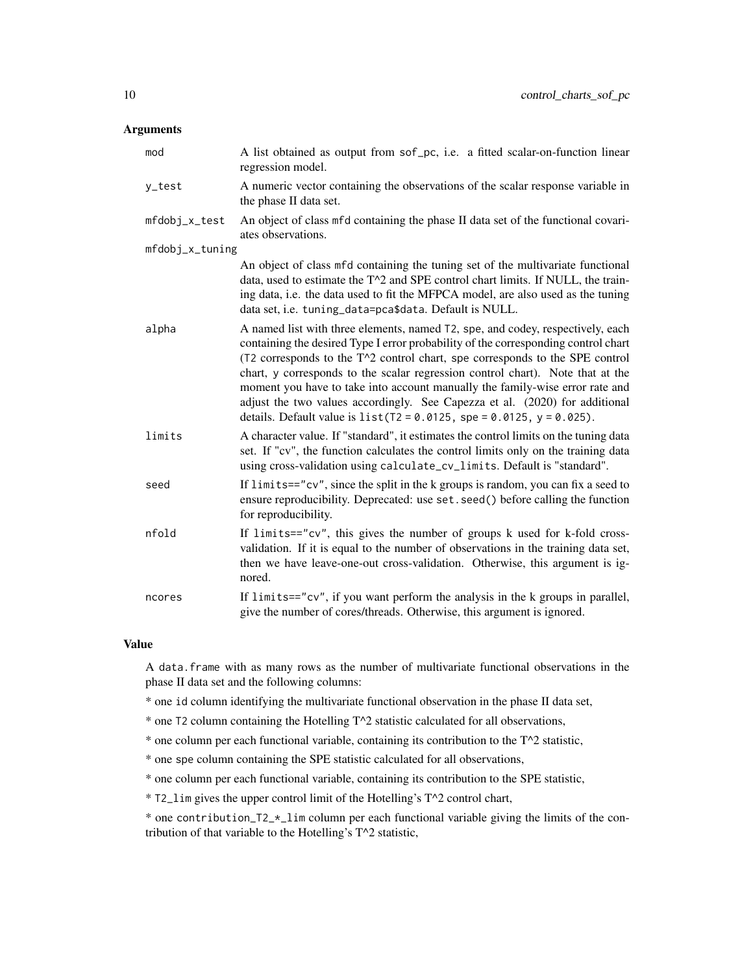# Arguments

| mod             | A list obtained as output from sof_pc, i.e. a fitted scalar-on-function linear<br>regression model.                                                                                                                                                                                                                                                                                                                                                                                                                                                                                   |
|-----------------|---------------------------------------------------------------------------------------------------------------------------------------------------------------------------------------------------------------------------------------------------------------------------------------------------------------------------------------------------------------------------------------------------------------------------------------------------------------------------------------------------------------------------------------------------------------------------------------|
| y_test          | A numeric vector containing the observations of the scalar response variable in<br>the phase II data set.                                                                                                                                                                                                                                                                                                                                                                                                                                                                             |
| mfdobj_x_test   | An object of class mfd containing the phase II data set of the functional covari-<br>ates observations.                                                                                                                                                                                                                                                                                                                                                                                                                                                                               |
| mfdobj_x_tuning |                                                                                                                                                                                                                                                                                                                                                                                                                                                                                                                                                                                       |
|                 | An object of class mfd containing the tuning set of the multivariate functional<br>data, used to estimate the T^2 and SPE control chart limits. If NULL, the train-<br>ing data, i.e. the data used to fit the MFPCA model, are also used as the tuning<br>data set, i.e. tuning_data=pca\$data. Default is NULL.                                                                                                                                                                                                                                                                     |
| alpha           | A named list with three elements, named T2, spe, and codey, respectively, each<br>containing the desired Type I error probability of the corresponding control chart<br>$(T2$ corresponds to the $T^2$ control chart, spe corresponds to the SPE control<br>chart, y corresponds to the scalar regression control chart). Note that at the<br>moment you have to take into account manually the family-wise error rate and<br>adjust the two values accordingly. See Capezza et al. (2020) for additional<br>details. Default value is $list(T2 = 0.0125, spe = 0.0125, y = 0.025)$ . |
| limits          | A character value. If "standard", it estimates the control limits on the tuning data<br>set. If "cv", the function calculates the control limits only on the training data<br>using cross-validation using calculate_cv_limits. Default is "standard".                                                                                                                                                                                                                                                                                                                                |
| seed            | If $limits=="cv"$ , since the split in the k groups is random, you can fix a seed to<br>ensure reproducibility. Deprecated: use set. seed() before calling the function<br>for reproducibility.                                                                                                                                                                                                                                                                                                                                                                                       |
| nfold           | If limits=="cv", this gives the number of groups k used for k-fold cross-<br>validation. If it is equal to the number of observations in the training data set,<br>then we have leave-one-out cross-validation. Otherwise, this argument is ig-<br>nored.                                                                                                                                                                                                                                                                                                                             |
| ncores          | If $limits="cv",$ if you want perform the analysis in the $k$ groups in parallel,<br>give the number of cores/threads. Otherwise, this argument is ignored.                                                                                                                                                                                                                                                                                                                                                                                                                           |

# Value

A data.frame with as many rows as the number of multivariate functional observations in the phase II data set and the following columns:

\* one id column identifying the multivariate functional observation in the phase II data set,

\* one T2 column containing the Hotelling T^2 statistic calculated for all observations,

\* one column per each functional variable, containing its contribution to the  $T^2$  statistic,

\* one spe column containing the SPE statistic calculated for all observations,

\* one column per each functional variable, containing its contribution to the SPE statistic,

\* T2\_lim gives the upper control limit of the Hotelling's T^2 control chart,

\* one contribution\_T2\_ $\star$ \_lim column per each functional variable giving the limits of the contribution of that variable to the Hotelling's T^2 statistic,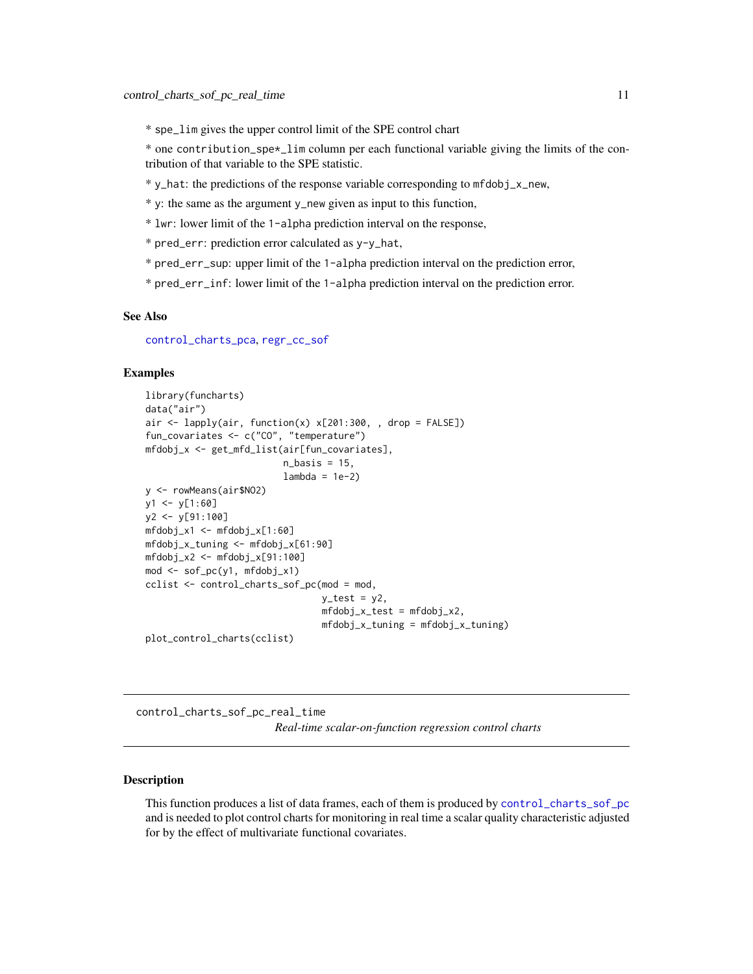<span id="page-10-0"></span>\* spe\_lim gives the upper control limit of the SPE control chart

\* one contribution\_spe\*\_lim column per each functional variable giving the limits of the contribution of that variable to the SPE statistic.

\* y\_hat: the predictions of the response variable corresponding to mfdobj\_x\_new,

\* y: the same as the argument y\_new given as input to this function,

\* lwr: lower limit of the 1-alpha prediction interval on the response,

\* pred\_err: prediction error calculated as y-y\_hat,

\* pred\_err\_sup: upper limit of the 1-alpha prediction interval on the prediction error,

\* pred\_err\_inf: lower limit of the 1-alpha prediction interval on the prediction error.

#### See Also

[control\\_charts\\_pca](#page-3-1), [regr\\_cc\\_sof](#page-50-1)

#### Examples

```
library(funcharts)
data("air")
air <- lapply(air, function(x) x[201:300, , drop = FALSE])
fun_covariates <- c("CO", "temperature")
mfdobj_x <- get_mfd_list(air[fun_covariates],
                         n_basis = 15,
                         lambda = 1e-2y <- rowMeans(air$NO2)
y1 \le y[1:60]y2 <- y[91:100]
mfdobj_x1 <- mfdobj_x[1:60]
mfdobj_x_tuning <- mfdobj_x[61:90]
mfdobj_x2 <- mfdobj_x[91:100]
mod <- sof_pc(y1, mfdobj_x1)
cclist <- control_charts_sof_pc(mod = mod,
                                y_t test = y2,
                                mfdobj_x_test = mfdobj_x2,
                                mfdobj_x_tuning = mfdobj_x_tuning)
plot_control_charts(cclist)
```
<span id="page-10-1"></span>control\_charts\_sof\_pc\_real\_time *Real-time scalar-on-function regression control charts*

# **Description**

This function produces a list of data frames, each of them is produced by [control\\_charts\\_sof\\_pc](#page-8-1) and is needed to plot control charts for monitoring in real time a scalar quality characteristic adjusted for by the effect of multivariate functional covariates.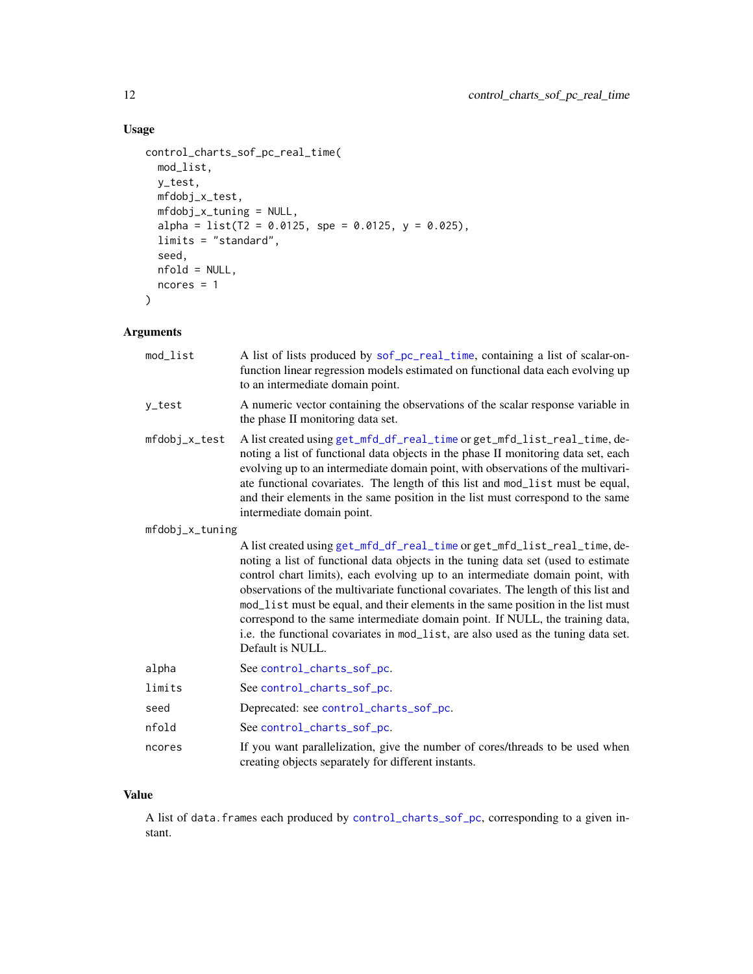# <span id="page-11-0"></span>Usage

```
control_charts_sof_pc_real_time(
  mod_list,
  y_test,
  mfdobj_x_test,
  mfdobj_x_tuning = NULL,
  alpha = list(T2 = 0.0125, spe = 0.0125, y = 0.025),
  limits = "standard",
  seed,
  nfold = NULL,
  ncores = 1\mathcal{L}
```
# Arguments

| mod_list        | A list of lists produced by sof_pc_real_time, containing a list of scalar-on-<br>function linear regression models estimated on functional data each evolving up<br>to an intermediate domain point.                                                                                                                                                                                                                                                                                                                                                                                                                |  |
|-----------------|---------------------------------------------------------------------------------------------------------------------------------------------------------------------------------------------------------------------------------------------------------------------------------------------------------------------------------------------------------------------------------------------------------------------------------------------------------------------------------------------------------------------------------------------------------------------------------------------------------------------|--|
| y_test          | A numeric vector containing the observations of the scalar response variable in<br>the phase II monitoring data set.                                                                                                                                                                                                                                                                                                                                                                                                                                                                                                |  |
| mfdobj_x_test   | A list created using get_mfd_df_real_time or get_mfd_list_real_time, de-<br>noting a list of functional data objects in the phase II monitoring data set, each<br>evolving up to an intermediate domain point, with observations of the multivari-<br>ate functional covariates. The length of this list and mod_list must be equal,<br>and their elements in the same position in the list must correspond to the same<br>intermediate domain point.                                                                                                                                                               |  |
| mfdobj_x_tuning |                                                                                                                                                                                                                                                                                                                                                                                                                                                                                                                                                                                                                     |  |
|                 | A list created using get_mfd_df_real_time or get_mfd_list_real_time, de-<br>noting a list of functional data objects in the tuning data set (used to estimate<br>control chart limits), each evolving up to an intermediate domain point, with<br>observations of the multivariate functional covariates. The length of this list and<br>mod_list must be equal, and their elements in the same position in the list must<br>correspond to the same intermediate domain point. If NULL, the training data,<br>i.e. the functional covariates in mod_list, are also used as the tuning data set.<br>Default is NULL. |  |
| alpha           | See control_charts_sof_pc.                                                                                                                                                                                                                                                                                                                                                                                                                                                                                                                                                                                          |  |
| limits          | See control_charts_sof_pc.                                                                                                                                                                                                                                                                                                                                                                                                                                                                                                                                                                                          |  |
| seed            | Deprecated: see control_charts_sof_pc.                                                                                                                                                                                                                                                                                                                                                                                                                                                                                                                                                                              |  |
| nfold           | See control_charts_sof_pc.                                                                                                                                                                                                                                                                                                                                                                                                                                                                                                                                                                                          |  |
| ncores          | If you want parallelization, give the number of cores/threads to be used when<br>creating objects separately for different instants.                                                                                                                                                                                                                                                                                                                                                                                                                                                                                |  |

# Value

A list of data.frames each produced by [control\\_charts\\_sof\\_pc](#page-8-1), corresponding to a given instant.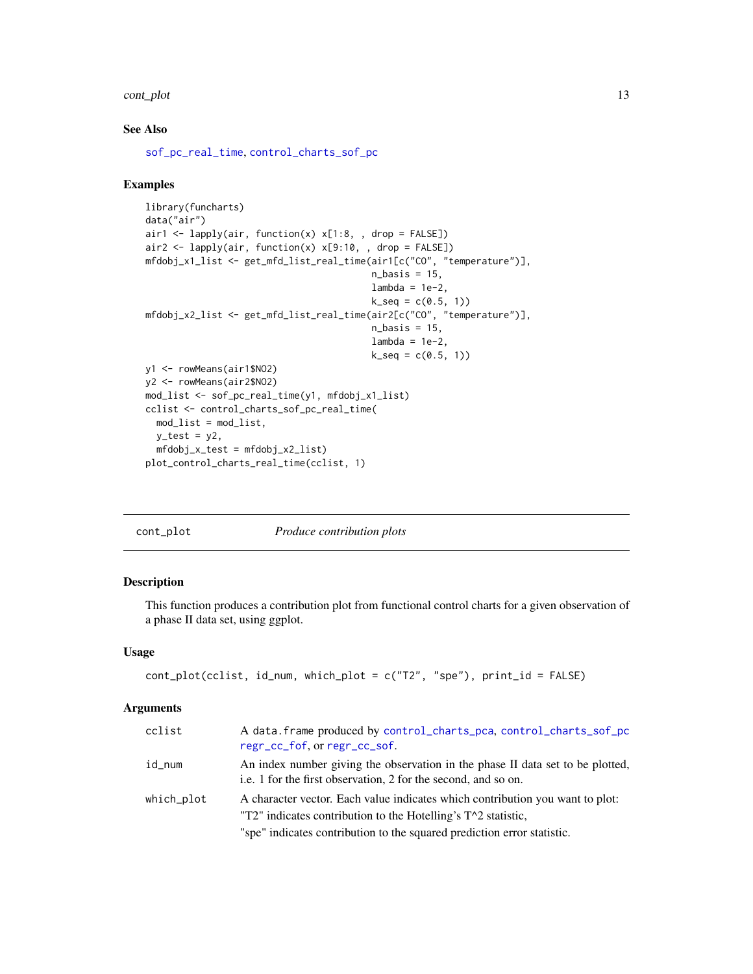#### <span id="page-12-0"></span>cont\_plot 13

# See Also

[sof\\_pc\\_real\\_time](#page-57-1), [control\\_charts\\_sof\\_pc](#page-8-1)

#### Examples

```
library(funcharts)
data("air")
air1 <- lapply(air, function(x) x[1:8, , drop = FALSE])air2 <- lapply(air, function(x) x[9:10, , drop = FALSE])
mfdobj_x1_list <- get_mfd_list_real_time(air1[c("CO", "temperature")],
                                         n_basis = 15,
                                         lambda = 1e-2,
                                         k\_seq = c(0.5, 1)mfdobj_x2_list <- get_mfd_list_real_time(air2[c("CO", "temperature")],
                                         n_basis = 15,
                                         lambda = 1e-2,
                                         k\_seq = c(0.5, 1)y1 <- rowMeans(air1$NO2)
y2 <- rowMeans(air2$NO2)
mod_list <- sof_pc_real_time(y1, mfdobj_x1_list)
cclist <- control_charts_sof_pc_real_time(
 mod_list = mod_list,
 y_test = y2,
 mfdobj_x_test = mfdobj_x2_list)
plot_control_charts_real_time(cclist, 1)
```

| cont_plot |  |
|-----------|--|
|           |  |

 $p$ lot *Produce contribution plots* 

# Description

This function produces a contribution plot from functional control charts for a given observation of a phase II data set, using ggplot.

#### Usage

```
cont_plot(cclist, id_num, which_plot = c("T2", "spe"), print_id = FALSE)
```
#### Arguments

| cclist     | A data. frame produced by control_charts_pca, control_charts_sof_pc<br>regr_cc_fof, or regr_cc_sof.                                                                                                                         |
|------------|-----------------------------------------------------------------------------------------------------------------------------------------------------------------------------------------------------------------------------|
| id_num     | An index number giving the observation in the phase II data set to be plotted,<br>i.e. 1 for the first observation, 2 for the second, and so on.                                                                            |
| which_plot | A character vector. Each value indicates which contribution you want to plot:<br>"T2" indicates contribution to the Hotelling's $T^2$ statistic,<br>"spe" indicates contribution to the squared prediction error statistic. |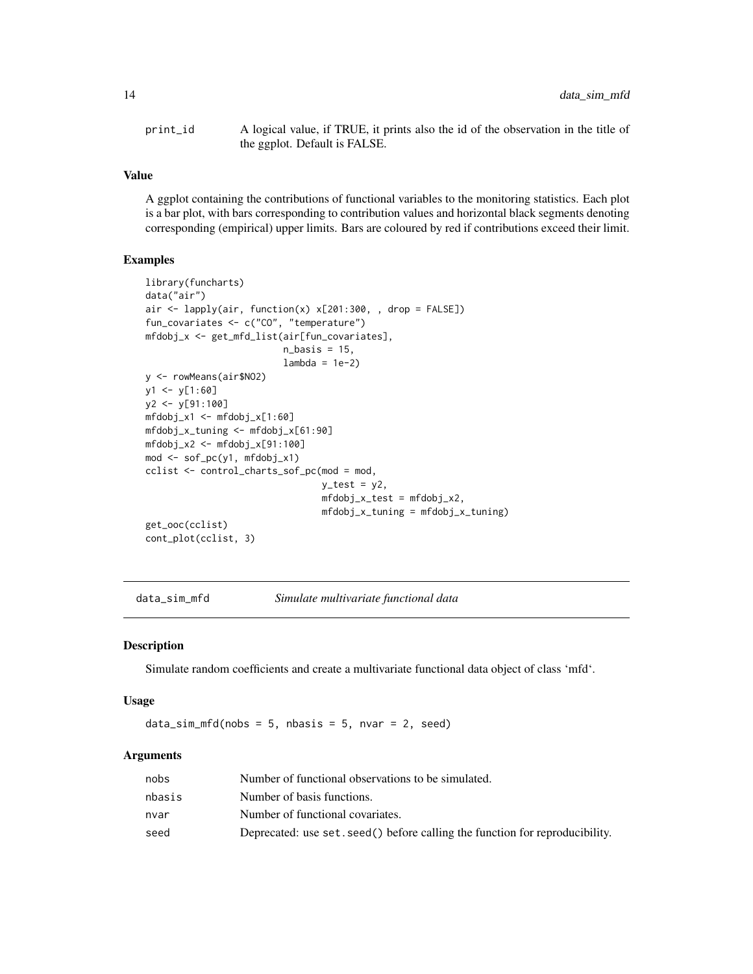<span id="page-13-0"></span>print\_id A logical value, if TRUE, it prints also the id of the observation in the title of the ggplot. Default is FALSE.

# Value

A ggplot containing the contributions of functional variables to the monitoring statistics. Each plot is a bar plot, with bars corresponding to contribution values and horizontal black segments denoting corresponding (empirical) upper limits. Bars are coloured by red if contributions exceed their limit.

#### Examples

```
library(funcharts)
data("air")
air <- lapply(air, function(x) x[201:300, , drop = FALSE])
fun_covariates <- c("CO", "temperature")
mfdobj_x <- get_mfd_list(air[fun_covariates],
                         n_basis = 15,
                         lambda = 1e-2)y <- rowMeans(air$NO2)
y1 \leftarrow y[1:60]y2 <- y[91:100]
mfdobj_x1 <- mfdobj_x[1:60]
mfdobj_x_tuning <- mfdobj_x[61:90]
mfdobj_x2 \leq - mfdobj_x[91:100]mod <- sof_pc(y1, mfdobj_x1)
cclist <- control_charts_sof_pc(mod = mod,
                                 y_t test = y2,
                                 mfdobj_x_test = mfdobj_x2,mfdobj_x_tuning = mfdobj_x_tuning)get_ooc(cclist)
cont_plot(cclist, 3)
```
data\_sim\_mfd *Simulate multivariate functional data*

#### Description

Simulate random coefficients and create a multivariate functional data object of class 'mfd'.

#### Usage

 $data_sim_mfd(nobs = 5, nbasis = 5, nvar = 2, seed)$ 

#### Arguments

| nobs   | Number of functional observations to be simulated.                            |
|--------|-------------------------------------------------------------------------------|
| nbasis | Number of basis functions.                                                    |
| nvar   | Number of functional covariates.                                              |
| seed   | Deprecated: use set. seed () before calling the function for reproducibility. |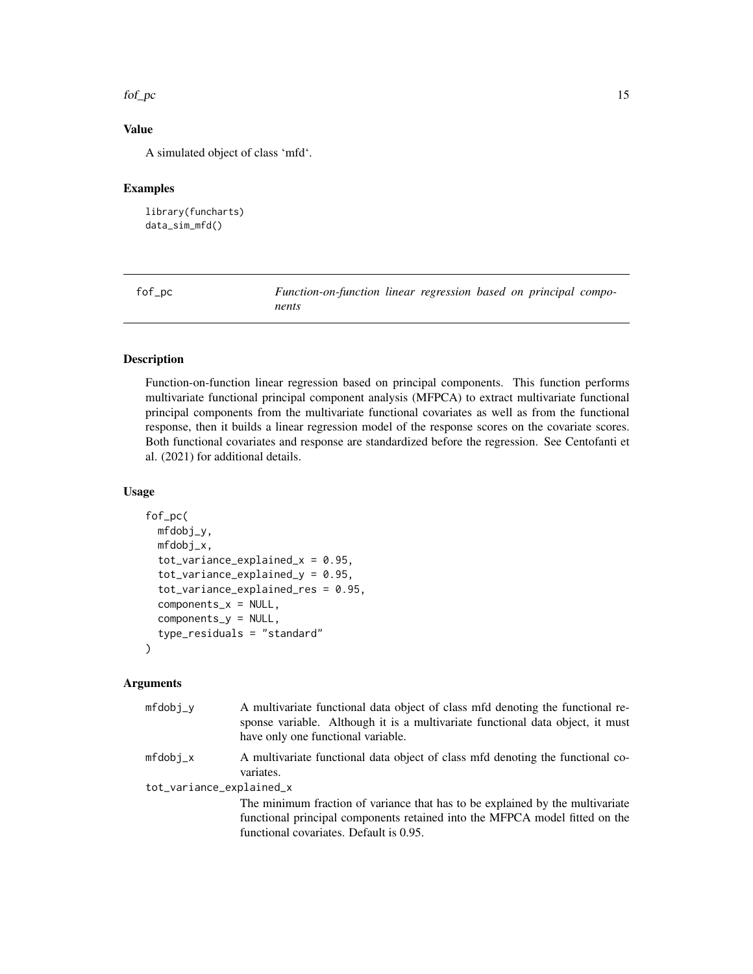#### <span id="page-14-0"></span> $fof\_pc$  15

# Value

A simulated object of class 'mfd'.

# Examples

library(funcharts) data\_sim\_mfd()

<span id="page-14-1"></span>fof\_pc *Function-on-function linear regression based on principal components*

# Description

Function-on-function linear regression based on principal components. This function performs multivariate functional principal component analysis (MFPCA) to extract multivariate functional principal components from the multivariate functional covariates as well as from the functional response, then it builds a linear regression model of the response scores on the covariate scores. Both functional covariates and response are standardized before the regression. See Centofanti et al. (2021) for additional details.

#### Usage

```
fof_pc(
 mfdobj_y,
 mfdobj_x,
  tot\_variance\_explained_x = 0.95,
  tot\_variance\_explained_y = 0.95,
  tot_variance_explained_res = 0.95,
  components_x = NULL,components_y = NULL,
  type_residuals = "standard"
```
# Arguments

 $\mathcal{E}$ 

| $mfdobj_v$               | A multivariate functional data object of class mfd denoting the functional re-<br>sponse variable. Although it is a multivariate functional data object, it must<br>have only one functional variable.  |
|--------------------------|---------------------------------------------------------------------------------------------------------------------------------------------------------------------------------------------------------|
| $mfdobi_x$               | A multivariate functional data object of class mfd denoting the functional co-<br>variates.                                                                                                             |
| tot_variance_explained_x |                                                                                                                                                                                                         |
|                          | The minimum fraction of variance that has to be explained by the multivariate<br>functional principal components retained into the MFPCA model fitted on the<br>functional covariates. Default is 0.95. |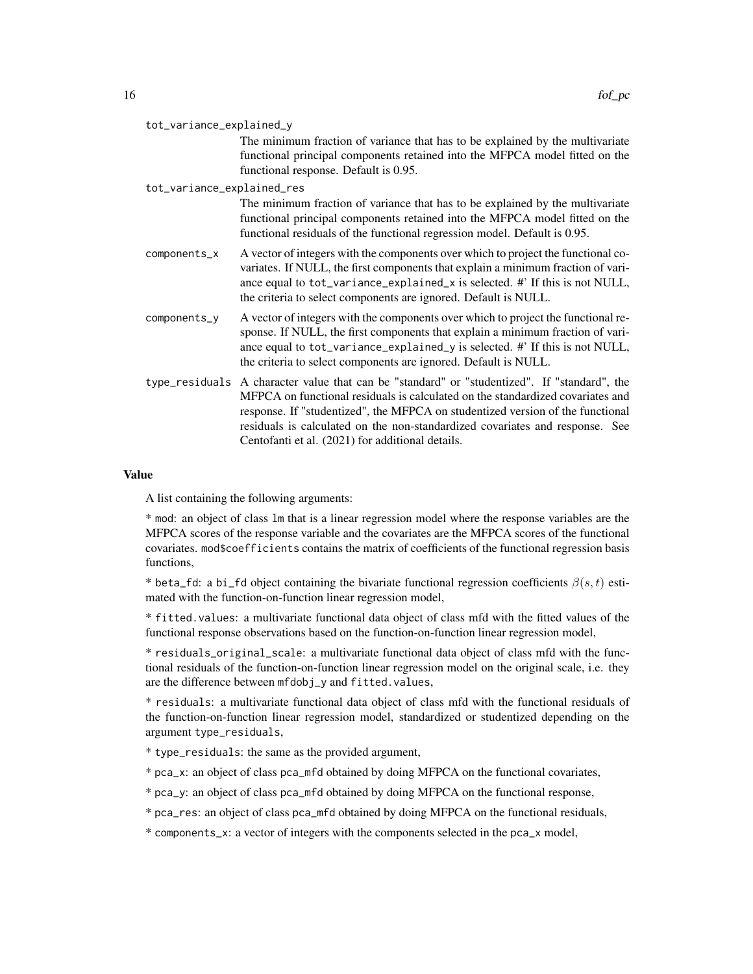| tot_variance_explained_y |  |
|--------------------------|--|
|--------------------------|--|

The minimum fraction of variance that has to be explained by the multivariate functional principal components retained into the MFPCA model fitted on the functional response. Default is 0.95.

#### tot\_variance\_explained\_res

The minimum fraction of variance that has to be explained by the multivariate functional principal components retained into the MFPCA model fitted on the functional residuals of the functional regression model. Default is 0.95.

- $components_x$  A vector of integers with the components over which to project the functional covariates. If NULL, the first components that explain a minimum fraction of variance equal to tot\_variance\_explained\_x is selected. #' If this is not NULL, the criteria to select components are ignored. Default is NULL.
- components\_y A vector of integers with the components over which to project the functional response. If NULL, the first components that explain a minimum fraction of variance equal to tot\_variance\_explained\_y is selected. #' If this is not NULL, the criteria to select components are ignored. Default is NULL.
- type\_residuals A character value that can be "standard" or "studentized". If "standard", the MFPCA on functional residuals is calculated on the standardized covariates and response. If "studentized", the MFPCA on studentized version of the functional residuals is calculated on the non-standardized covariates and response. See Centofanti et al. (2021) for additional details.

# Value

A list containing the following arguments:

\* mod: an object of class lm that is a linear regression model where the response variables are the MFPCA scores of the response variable and the covariates are the MFPCA scores of the functional covariates. mod\$coefficients contains the matrix of coefficients of the functional regression basis functions,

\* beta\_fd: a bi\_fd object containing the bivariate functional regression coefficients  $\beta(s,t)$  estimated with the function-on-function linear regression model,

\* fitted.values: a multivariate functional data object of class mfd with the fitted values of the functional response observations based on the function-on-function linear regression model,

\* residuals\_original\_scale: a multivariate functional data object of class mfd with the functional residuals of the function-on-function linear regression model on the original scale, i.e. they are the difference between mfdobj\_y and fitted.values,

\* residuals: a multivariate functional data object of class mfd with the functional residuals of the function-on-function linear regression model, standardized or studentized depending on the argument type\_residuals,

\* type\_residuals: the same as the provided argument,

- \* pca\_x: an object of class pca\_mfd obtained by doing MFPCA on the functional covariates,
- \* pca\_y: an object of class pca\_mfd obtained by doing MFPCA on the functional response,
- \* pca\_res: an object of class pca\_mfd obtained by doing MFPCA on the functional residuals,

\* components\_x: a vector of integers with the components selected in the pca\_x model,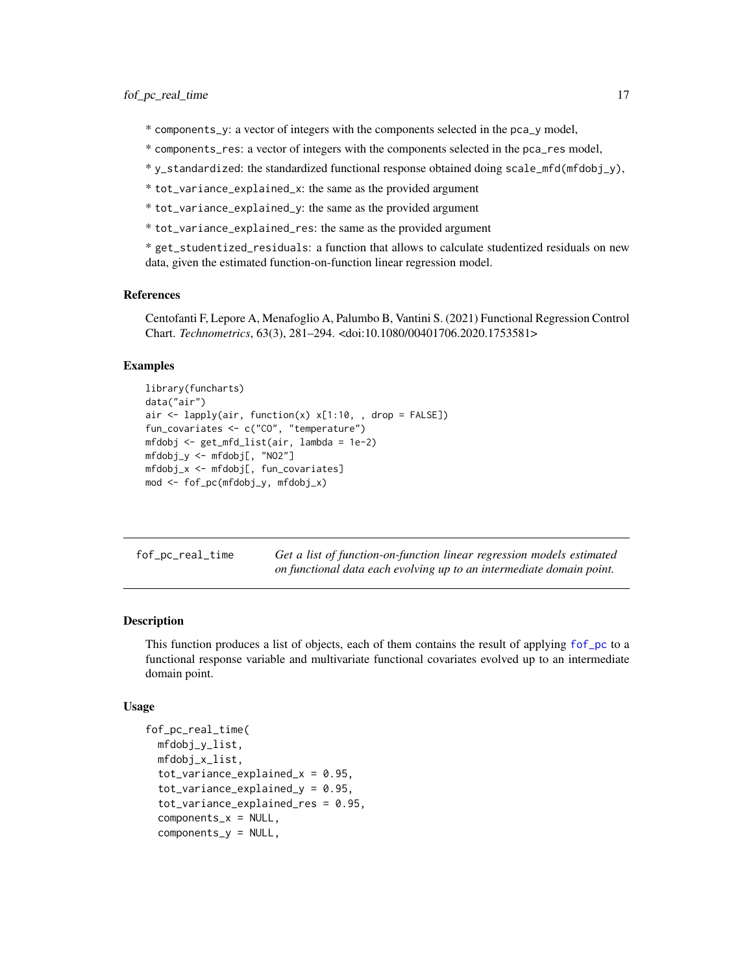- <span id="page-16-0"></span>\* components\_y: a vector of integers with the components selected in the pca\_y model,
- \* components\_res: a vector of integers with the components selected in the pca\_res model,
- \* y\_standardized: the standardized functional response obtained doing scale\_mfd(mfdobj\_y),
- \* tot\_variance\_explained\_x: the same as the provided argument
- \* tot\_variance\_explained\_y: the same as the provided argument
- \* tot\_variance\_explained\_res: the same as the provided argument

\* get\_studentized\_residuals: a function that allows to calculate studentized residuals on new data, given the estimated function-on-function linear regression model.

#### References

Centofanti F, Lepore A, Menafoglio A, Palumbo B, Vantini S. (2021) Functional Regression Control Chart. *Technometrics*, 63(3), 281–294. <doi:10.1080/00401706.2020.1753581>

#### Examples

```
library(funcharts)
data("air")
air \leftarrow lapply(air, function(x) x[1:10, , drop = FALSE])
fun_covariates <- c("CO", "temperature")
mfdobj <- get_mfd_list(air, lambda = 1e-2)
mfdobj_y <- mfdobj[, "NO2"]
mfdobj_x <- mfdobj[, fun_covariates]
mod <- fof_pc(mfdobj_y, mfdobj_x)
```
<span id="page-16-1"></span>

| fof_pc_real_time | Get a list of function-on-function linear regression models estimated |
|------------------|-----------------------------------------------------------------------|
|                  | on functional data each evolving up to an intermediate domain point.  |

# **Description**

This function produces a list of objects, each of them contains the result of applying [fof\\_pc](#page-14-1) to a functional response variable and multivariate functional covariates evolved up to an intermediate domain point.

#### Usage

```
fof_pc_real_time(
 mfdobj_y_list,
 mfdobj_x_list,
  tot\_variance\_explained_x = 0.95,
  tot_variance_explained_y = 0.95,
  tot_variance_explained_res = 0.95,
  components_x = NULL,components_y = NULL,
```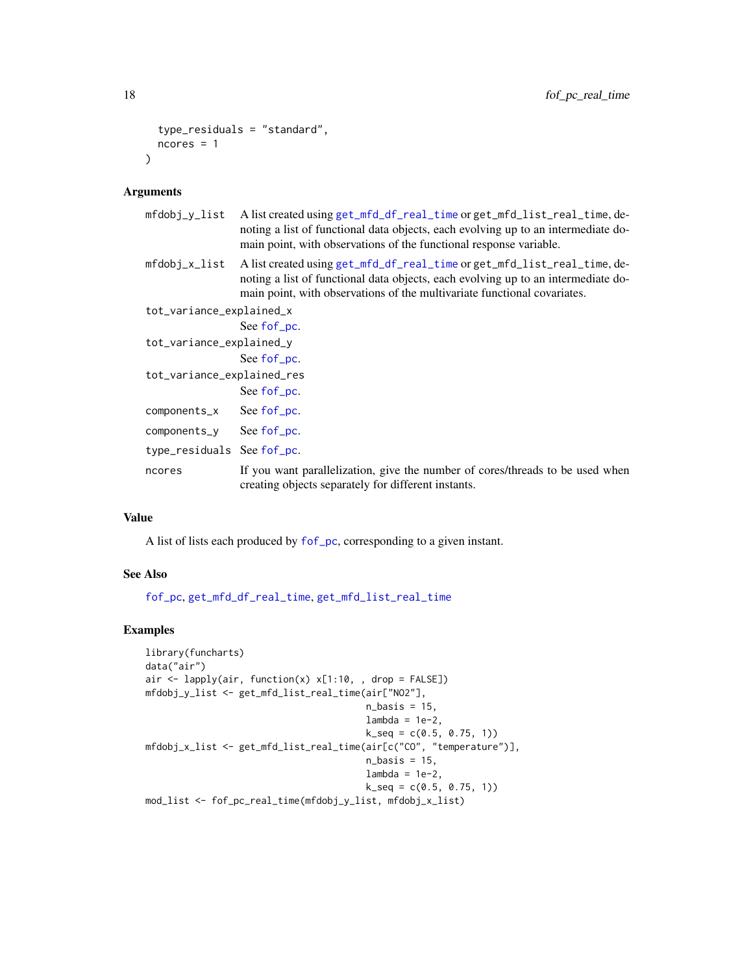```
type_residuals = "standard",
 ncores = 1\lambda
```
#### Arguments

| mfdobj_y_list              | A list created using get_mfd_df_real_time or get_mfd_list_real_time, de-<br>noting a list of functional data objects, each evolving up to an intermediate do-<br>main point, with observations of the functional response variable.       |  |
|----------------------------|-------------------------------------------------------------------------------------------------------------------------------------------------------------------------------------------------------------------------------------------|--|
| mfdobj_x_list              | A list created using get_mfd_df_real_time or get_mfd_list_real_time, de-<br>noting a list of functional data objects, each evolving up to an intermediate do-<br>main point, with observations of the multivariate functional covariates. |  |
| tot_variance_explained_x   |                                                                                                                                                                                                                                           |  |
|                            | See fof pc.                                                                                                                                                                                                                               |  |
| tot_variance_explained_y   |                                                                                                                                                                                                                                           |  |
|                            | See fof pc.                                                                                                                                                                                                                               |  |
| tot_variance_explained_res |                                                                                                                                                                                                                                           |  |
|                            | See fof_pc.                                                                                                                                                                                                                               |  |
| components_x               | See fof <u>pc</u> .                                                                                                                                                                                                                       |  |
| components_y See fof_pc.   |                                                                                                                                                                                                                                           |  |
| type_residuals See fof_pc. |                                                                                                                                                                                                                                           |  |
| ncores                     | If you want parallelization, give the number of cores/threads to be used when<br>creating objects separately for different instants.                                                                                                      |  |
|                            |                                                                                                                                                                                                                                           |  |

# Value

A list of lists each produced by [fof\\_pc](#page-14-1), corresponding to a given instant.

# See Also

[fof\\_pc](#page-14-1), [get\\_mfd\\_df\\_real\\_time](#page-24-1), [get\\_mfd\\_list\\_real\\_time](#page-27-1)

```
library(funcharts)
data("air")
air <- lapply(air, function(x) x[1:10, , drop = FALSE])
mfdobj_y_list <- get_mfd_list_real_time(air["NO2"],
                                       n_basis = 15,
                                       lambda = 1e-2,
                                       k\_seq = c(0.5, 0.75, 1)mfdobj_x_list <- get_mfd_list_real_time(air[c("CO", "temperature")],
                                       n_basis = 15,
                                       lambda = 1e-2,
                                       k_s = c(0.5, 0.75, 1)mod_list <- fof_pc_real_time(mfdobj_y_list, mfdobj_x_list)
```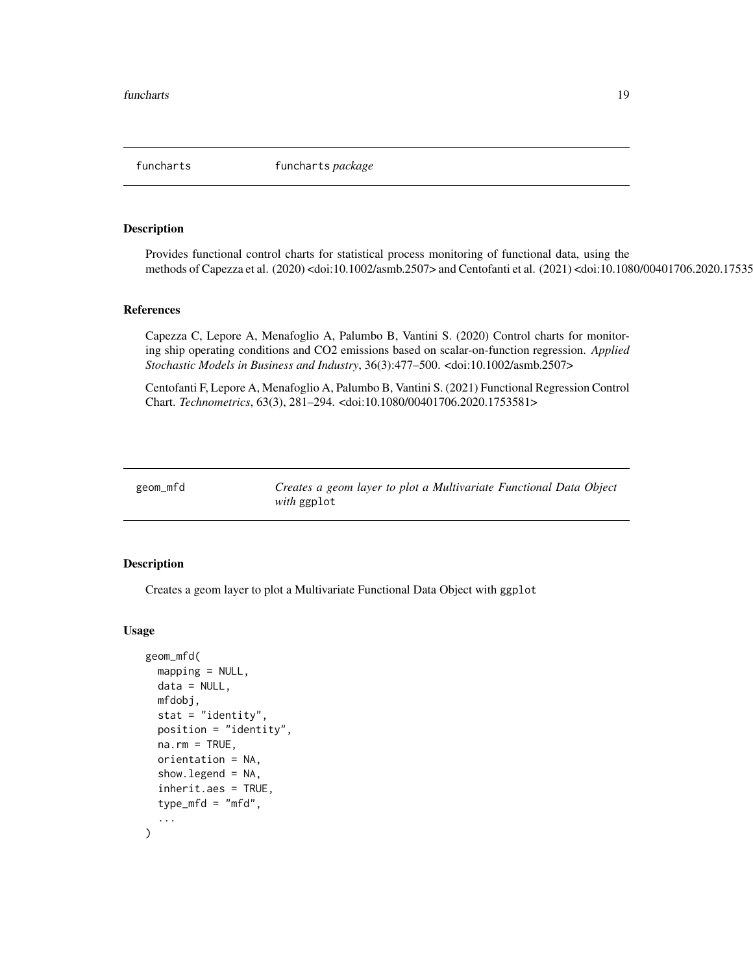<span id="page-18-0"></span>funcharts funcharts *package*

#### Description

Provides functional control charts for statistical process monitoring of functional data, using the methods of Capezza et al. (2020) <doi:10.1002/asmb.2507> and Centofanti et al. (2021) <doi:10.1080/00401706.2020.1753581>.

#### References

Capezza C, Lepore A, Menafoglio A, Palumbo B, Vantini S. (2020) Control charts for monitoring ship operating conditions and CO2 emissions based on scalar-on-function regression. *Applied Stochastic Models in Business and Industry*, 36(3):477–500. <doi:10.1002/asmb.2507>

Centofanti F, Lepore A, Menafoglio A, Palumbo B, Vantini S. (2021) Functional Regression Control Chart. *Technometrics*, 63(3), 281–294. <doi:10.1080/00401706.2020.1753581>

<span id="page-18-1"></span>geom\_mfd *Creates a geom layer to plot a Multivariate Functional Data Object with* ggplot

#### Description

Creates a geom layer to plot a Multivariate Functional Data Object with ggplot

#### Usage

```
geom_mfd(
 mapping = NULL,data = NULL,mfdobj,
  stat = "identity",
 position = "identity",
 na.rm = TRUE,orientation = NA,
  show.legend = NA,
  inherit.aes = TRUE,
  type_mfd = "mfd",...
)
```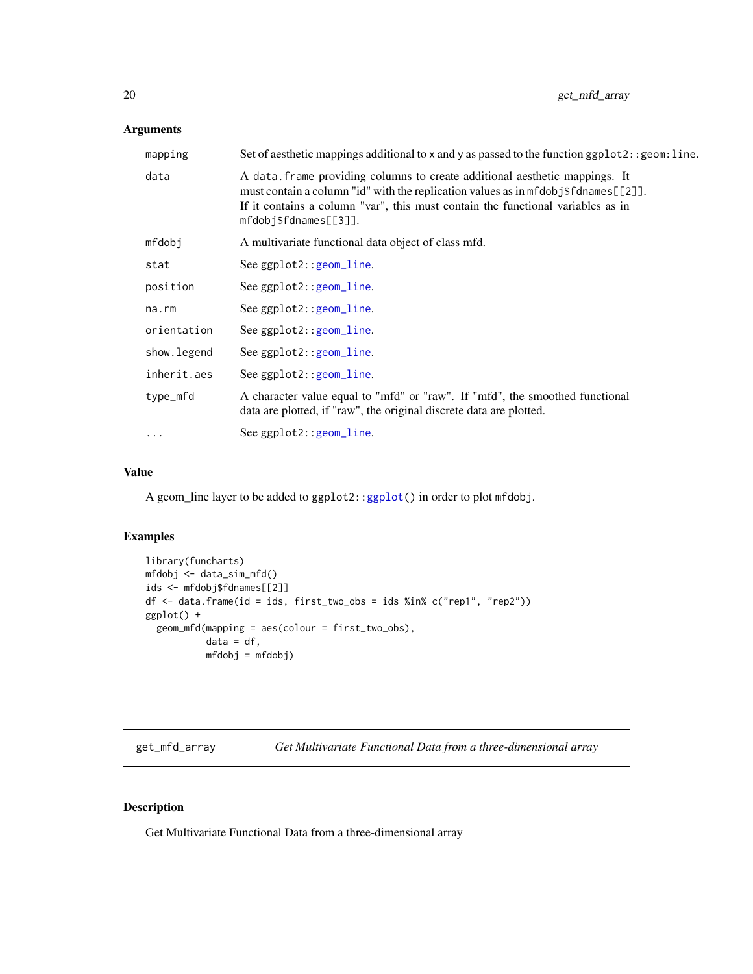# <span id="page-19-0"></span>Arguments

| mapping     | Set of aesthetic mappings additional to $x$ and $y$ as passed to the function $ggplot2$ : : $geom$ : line.                                                                                                                                                                      |
|-------------|---------------------------------------------------------------------------------------------------------------------------------------------------------------------------------------------------------------------------------------------------------------------------------|
| data        | A data frame providing columns to create additional aesthetic mappings. It<br>must contain a column "id" with the replication values as in mfdobj\$fdnames[[2]].<br>If it contains a column "var", this must contain the functional variables as in<br>$mfdobj$f channels[2]$ . |
| mfdobj      | A multivariate functional data object of class mfd.                                                                                                                                                                                                                             |
| stat        | See $ggplot2::geom\_line$ .                                                                                                                                                                                                                                                     |
| position    | See $ggplot2::geom\_line$ .                                                                                                                                                                                                                                                     |
| na.rm       | See $ggplot2::geom\_line$ .                                                                                                                                                                                                                                                     |
| orientation | See ggplot2:: geom_line.                                                                                                                                                                                                                                                        |
| show.legend | See ggplot2:: geom_line.                                                                                                                                                                                                                                                        |
| inherit.aes | See $ggplot2::geom\_line$ .                                                                                                                                                                                                                                                     |
| type_mfd    | A character value equal to "mfd" or "raw". If "mfd", the smoothed functional<br>data are plotted, if "raw", the original discrete data are plotted.                                                                                                                             |
| .           | See $ggplot2::geom\_line$ .                                                                                                                                                                                                                                                     |

# Value

A geom\_line layer to be added to ggplot2:[:ggplot\(](#page-0-0)) in order to plot mfdobj.

# Examples

```
library(funcharts)
mfdobj <- data_sim_mfd()
ids <- mfdobj$fdnames[[2]]
df <- data.frame(id = ids, first_two_obs = ids %in% c("rep1", "rep2"))
ggplot() +
  geom_mfd(mapping = aes(colour = first_two_obs),
           data = df,mfdobj = mfdobj)
```
<span id="page-19-1"></span>get\_mfd\_array *Get Multivariate Functional Data from a three-dimensional array*

# Description

Get Multivariate Functional Data from a three-dimensional array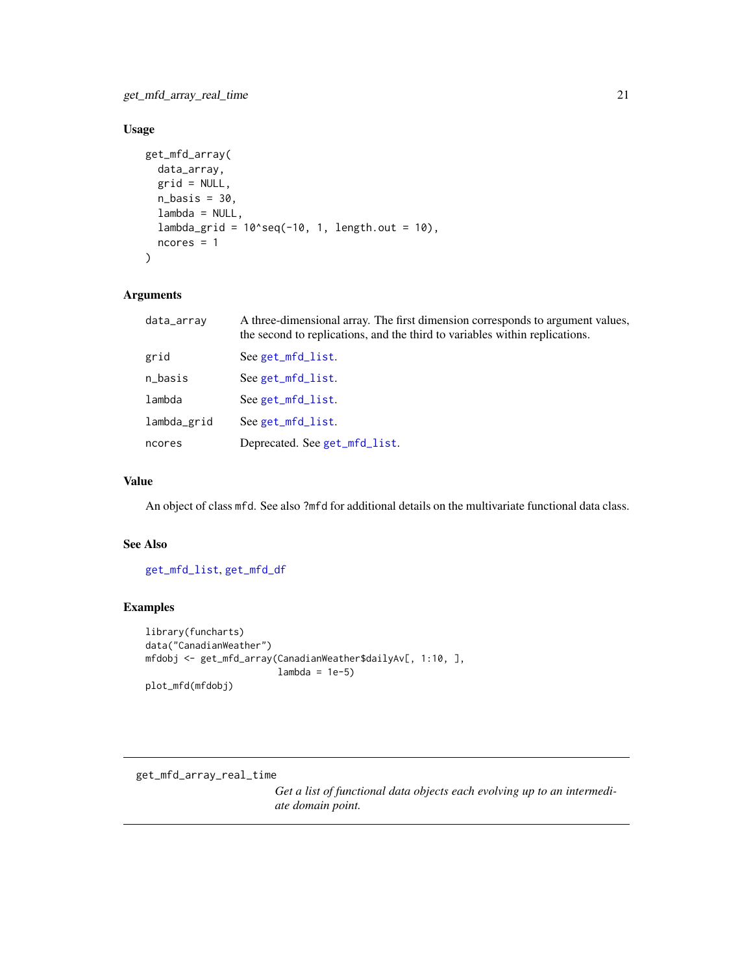# <span id="page-20-0"></span>Usage

```
get_mfd_array(
  data_array,
  grid = NULL,n_basis = 30,
  lambda = NULL,
  lambda_grid = 10^seq(-10, 1, length.out = 10),
 ncores = 1
\mathcal{E}
```
# Arguments

| data_array  | A three-dimensional array. The first dimension corresponds to argument values,<br>the second to replications, and the third to variables within replications. |
|-------------|---------------------------------------------------------------------------------------------------------------------------------------------------------------|
| grid        | See get_mfd_list.                                                                                                                                             |
| n_basis     | See get_mfd_list.                                                                                                                                             |
| lambda      | See get_mfd_list.                                                                                                                                             |
| lambda_grid | See get_mfd_list.                                                                                                                                             |
| ncores      | Deprecated. See get_mfd_list.                                                                                                                                 |
|             |                                                                                                                                                               |

# Value

An object of class mfd. See also ?mfd for additional details on the multivariate functional data class.

#### See Also

[get\\_mfd\\_list](#page-26-1), [get\\_mfd\\_df](#page-22-1)

# Examples

```
library(funcharts)
data("CanadianWeather")
mfdobj <- get_mfd_array(CanadianWeather$dailyAv[, 1:10, ],
                       lambda = 1e-5plot_mfd(mfdobj)
```
get\_mfd\_array\_real\_time

*Get a list of functional data objects each evolving up to an intermediate domain point.*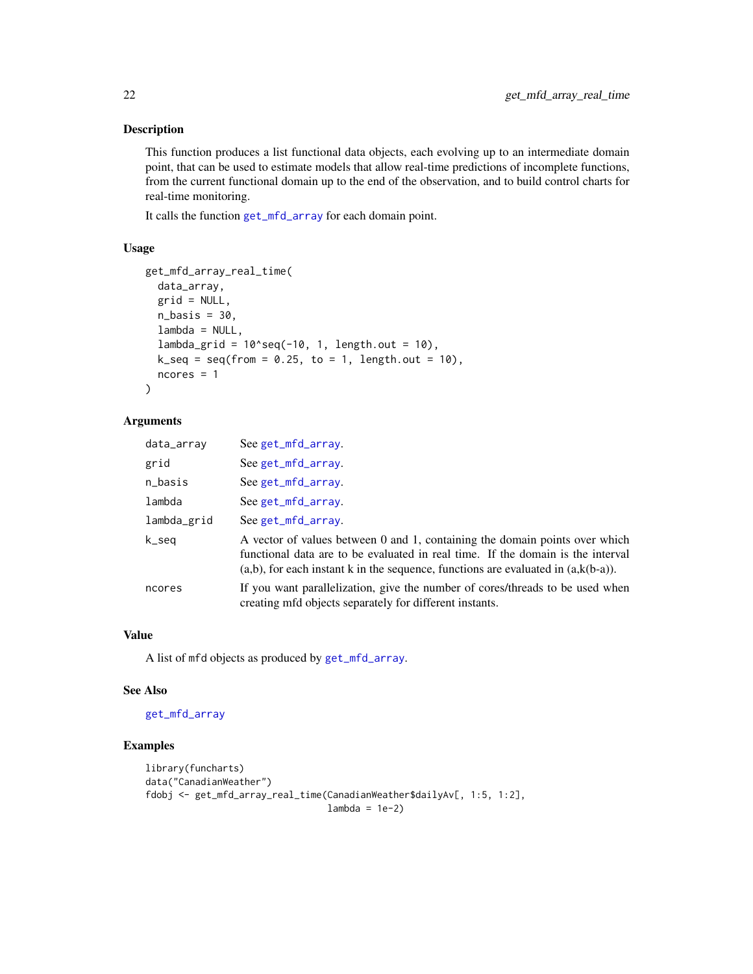This function produces a list functional data objects, each evolving up to an intermediate domain point, that can be used to estimate models that allow real-time predictions of incomplete functions, from the current functional domain up to the end of the observation, and to build control charts for real-time monitoring.

It calls the function [get\\_mfd\\_array](#page-19-1) for each domain point.

# Usage

```
get_mfd_array_real_time(
  data_array,
  grid = NULL,
  n_basis = 30,
  lambda = NULL,lambda_grid = 10^seq(-10, 1, length.out = 10),
  k seq = seq(from = 0.25, to = 1, length.out = 10),
 ncores = 1
)
```
# Arguments

| data_array  | See get_mfd_array.                                                                                                                                                                                                                                        |
|-------------|-----------------------------------------------------------------------------------------------------------------------------------------------------------------------------------------------------------------------------------------------------------|
| grid        | See get_mfd_array.                                                                                                                                                                                                                                        |
| n_basis     | See get_mfd_array.                                                                                                                                                                                                                                        |
| lambda      | See get_mfd_array.                                                                                                                                                                                                                                        |
| lambda_grid | See get_mfd_array.                                                                                                                                                                                                                                        |
| k_seq       | A vector of values between 0 and 1, containing the domain points over which<br>functional data are to be evaluated in real time. If the domain is the interval<br>$(a,b)$ , for each instant k in the sequence, functions are evaluated in $(a,k(b-a))$ . |
| ncores      | If you want parallelization, give the number of cores/threads to be used when<br>creating mfd objects separately for different instants.                                                                                                                  |

# Value

A list of mfd objects as produced by [get\\_mfd\\_array](#page-19-1).

#### See Also

#### [get\\_mfd\\_array](#page-19-1)

```
library(funcharts)
data("CanadianWeather")
fdobj <- get_mfd_array_real_time(CanadianWeather$dailyAv[, 1:5, 1:2],
                                 lambda = 1e-2)
```
<span id="page-21-0"></span>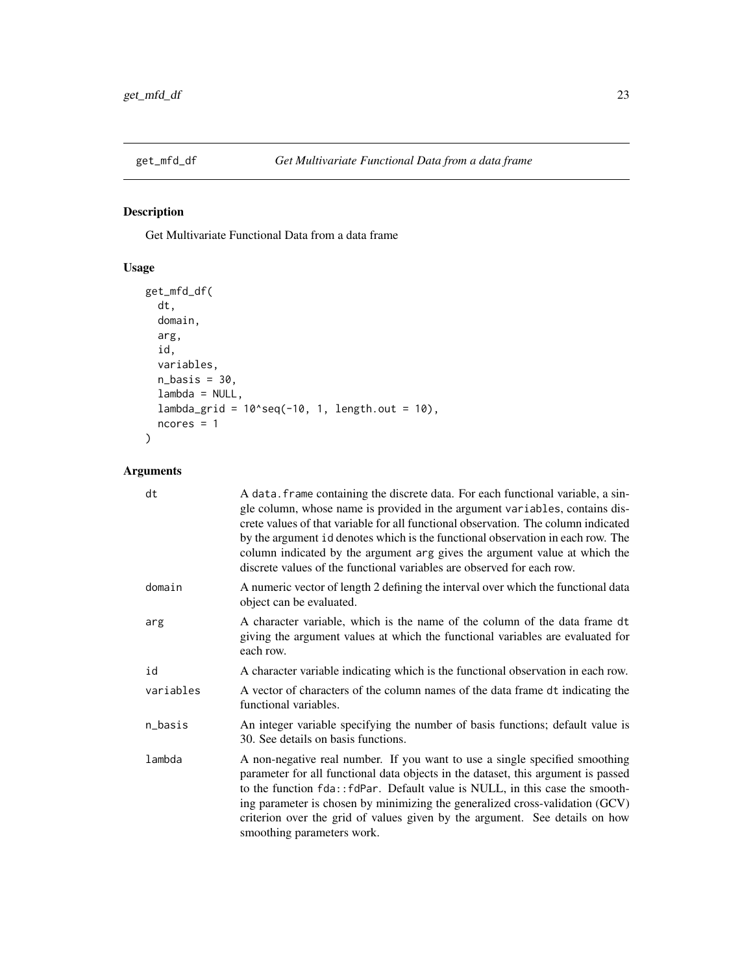<span id="page-22-1"></span><span id="page-22-0"></span>

Get Multivariate Functional Data from a data frame

# Usage

```
get_mfd_df(
 dt,
 domain,
 arg,
  id,
 variables,
 n_basis = 30,
 lambda = NULL,
 lambda_{grid} = 10^seq(-10, 1, length.out = 10),
 ncores = 1\mathcal{L}
```
# Arguments

| dt        | A data. frame containing the discrete data. For each functional variable, a sin-<br>gle column, whose name is provided in the argument variables, contains dis-<br>crete values of that variable for all functional observation. The column indicated<br>by the argument id denotes which is the functional observation in each row. The<br>column indicated by the argument arg gives the argument value at which the<br>discrete values of the functional variables are observed for each row. |
|-----------|--------------------------------------------------------------------------------------------------------------------------------------------------------------------------------------------------------------------------------------------------------------------------------------------------------------------------------------------------------------------------------------------------------------------------------------------------------------------------------------------------|
| domain    | A numeric vector of length 2 defining the interval over which the functional data<br>object can be evaluated.                                                                                                                                                                                                                                                                                                                                                                                    |
| arg       | A character variable, which is the name of the column of the data frame dt<br>giving the argument values at which the functional variables are evaluated for<br>each row.                                                                                                                                                                                                                                                                                                                        |
| id        | A character variable indicating which is the functional observation in each row.                                                                                                                                                                                                                                                                                                                                                                                                                 |
| variables | A vector of characters of the column names of the data frame dt indicating the<br>functional variables.                                                                                                                                                                                                                                                                                                                                                                                          |
| n_basis   | An integer variable specifying the number of basis functions; default value is<br>30. See details on basis functions.                                                                                                                                                                                                                                                                                                                                                                            |
| lambda    | A non-negative real number. If you want to use a single specified smoothing<br>parameter for all functional data objects in the dataset, this argument is passed<br>to the function fda:: fdPar. Default value is NULL, in this case the smooth-<br>ing parameter is chosen by minimizing the generalized cross-validation (GCV)<br>criterion over the grid of values given by the argument. See details on how<br>smoothing parameters work.                                                    |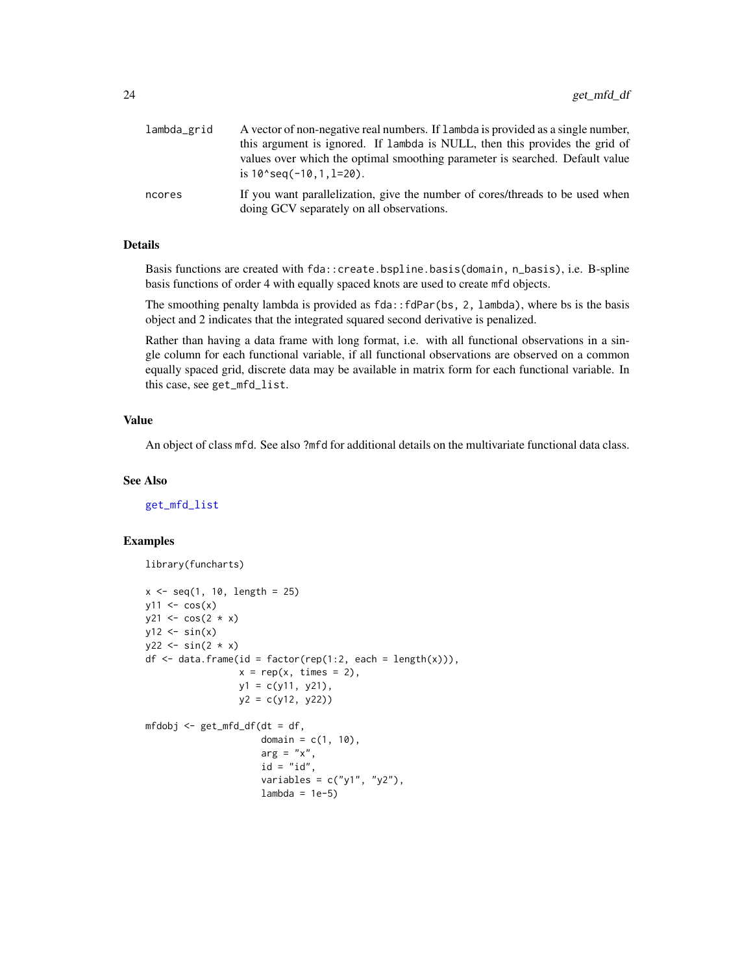<span id="page-23-0"></span>

| lambda_grid | A vector of non-negative real numbers. If lambda is provided as a single number,                                           |
|-------------|----------------------------------------------------------------------------------------------------------------------------|
|             | this argument is ignored. If lambda is NULL, then this provides the grid of                                                |
|             | values over which the optimal smoothing parameter is searched. Default value<br>is $10$ seq( $-10$ , $1$ , $1=20$ ).       |
| ncores      | If you want parallelization, give the number of cores/threads to be used when<br>doing GCV separately on all observations. |

# Details

Basis functions are created with fda::create.bspline.basis(domain, n\_basis), i.e. B-spline basis functions of order 4 with equally spaced knots are used to create mfd objects.

The smoothing penalty lambda is provided as fda::fdPar(bs, 2, lambda), where bs is the basis object and 2 indicates that the integrated squared second derivative is penalized.

Rather than having a data frame with long format, i.e. with all functional observations in a single column for each functional variable, if all functional observations are observed on a common equally spaced grid, discrete data may be available in matrix form for each functional variable. In this case, see get\_mfd\_list.

# Value

An object of class mfd. See also ?mfd for additional details on the multivariate functional data class.

#### See Also

[get\\_mfd\\_list](#page-26-1)

```
library(funcharts)
x \leq -\text{seq}(1, 10, \text{length} = 25)y11 \leftarrow \cos(x)y21 \leftarrow \cos(2 * x)y12 \leftarrow \sin(x)y22 \le - \sin(2 * x)df \leq data.frame(id = factor(rep(1:2, each = length(x))),
                    x = rep(x, times = 2),
                    y1 = c(y11, y21),
                    y2 = c(y12, y22)
```

```
mfdobj <- get_mfd_df(dt = df,
                    domain = c(1, 10),
                    arg = "x",id = "id",variables = c("y1", "y2"),
                    lambda = 1e-5
```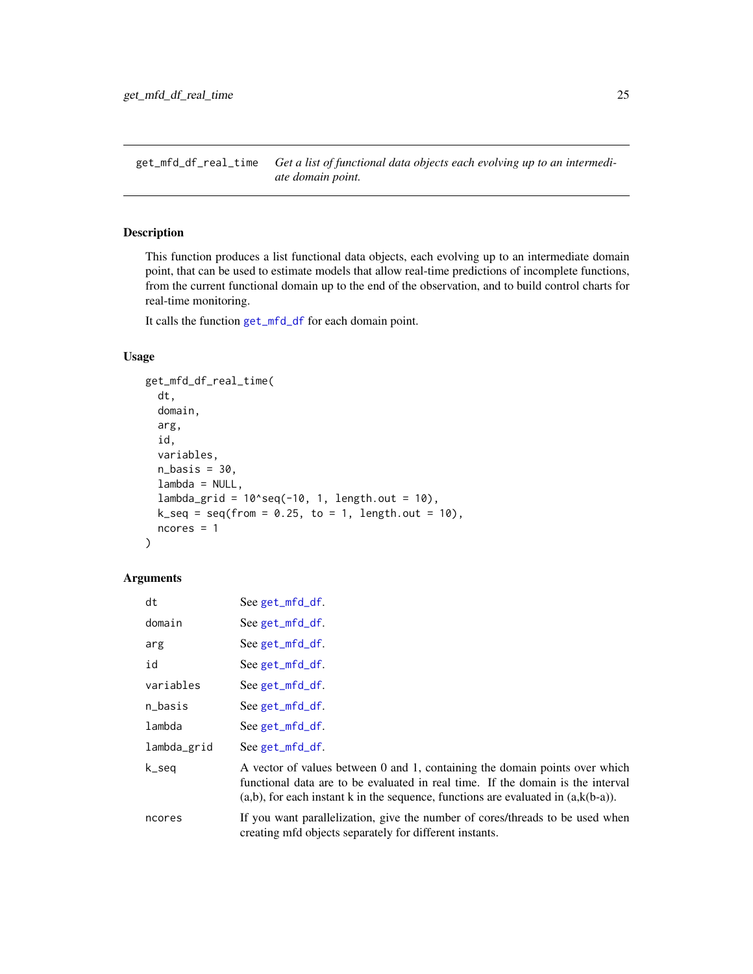<span id="page-24-1"></span><span id="page-24-0"></span>get\_mfd\_df\_real\_time *Get a list of functional data objects each evolving up to an intermediate domain point.*

# Description

This function produces a list functional data objects, each evolving up to an intermediate domain point, that can be used to estimate models that allow real-time predictions of incomplete functions, from the current functional domain up to the end of the observation, and to build control charts for real-time monitoring.

It calls the function [get\\_mfd\\_df](#page-22-1) for each domain point.

#### Usage

```
get_mfd_df_real_time(
  dt,
  domain,
  arg,
  id,
  variables,
  n_basis = 30,
  lambda = NULL,lambda_grid = 10^{\circ}seq(-10, 1, length.out = 10),
  k\_seq = seq(from = 0.25, to = 1, length.out = 10),ncores = 1
)
```
#### Arguments

| dt          | See get_mfd_df.                                                                                                                                                                                                                                           |
|-------------|-----------------------------------------------------------------------------------------------------------------------------------------------------------------------------------------------------------------------------------------------------------|
| domain      | See get_mfd_df.                                                                                                                                                                                                                                           |
| arg         | See get_mfd_df.                                                                                                                                                                                                                                           |
| id          | See get_mfd_df.                                                                                                                                                                                                                                           |
| variables   | $See get_mfd_df.$                                                                                                                                                                                                                                         |
| n_basis     | See get_mfd_df.                                                                                                                                                                                                                                           |
| lambda      | See get_mfd_df.                                                                                                                                                                                                                                           |
| lambda_grid | See get_mfd_df.                                                                                                                                                                                                                                           |
| k_seq       | A vector of values between 0 and 1, containing the domain points over which<br>functional data are to be evaluated in real time. If the domain is the interval<br>$(a,b)$ , for each instant k in the sequence, functions are evaluated in $(a,k(b-a))$ . |
| ncores      | If you want parallelization, give the number of cores/threads to be used when<br>creating mfd objects separately for different instants.                                                                                                                  |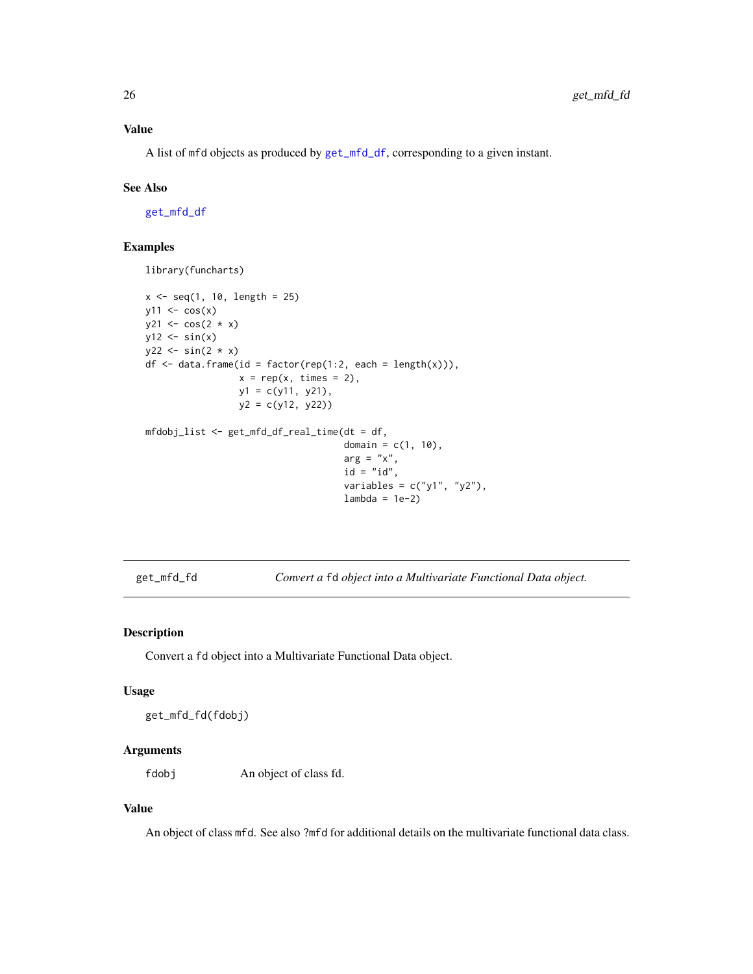<span id="page-25-0"></span>A list of mfd objects as produced by [get\\_mfd\\_df](#page-22-1), corresponding to a given instant.

#### See Also

[get\\_mfd\\_df](#page-22-1)

# Examples

library(funcharts)

```
x \leq -\text{seq}(1, 10, \text{ length} = 25)y11 \leftarrow \cos(x)y21 \leftarrow \cos(2 * x)y12 \leftarrow \sin(x)y22 \le - \sin(2 * x)df \le data.frame(id = factor(rep(1:2, each = length(x))),
                   x = rep(x, times = 2),y1 = c(y11, y21),
                   y2 = c(y12, y22))
mfdobj_list <- get_mfd_df_real_time(dt = df,
                                         domain = c(1, 10),
                                         arg = "x",id = "id",variables = c("y1", "y2"),
                                         lambda = 1e-2)
```
get\_mfd\_fd *Convert a* fd *object into a Multivariate Functional Data object.*

#### Description

Convert a fd object into a Multivariate Functional Data object.

#### Usage

get\_mfd\_fd(fdobj)

# Arguments

fdobj An object of class fd.

#### Value

An object of class mfd. See also ?mfd for additional details on the multivariate functional data class.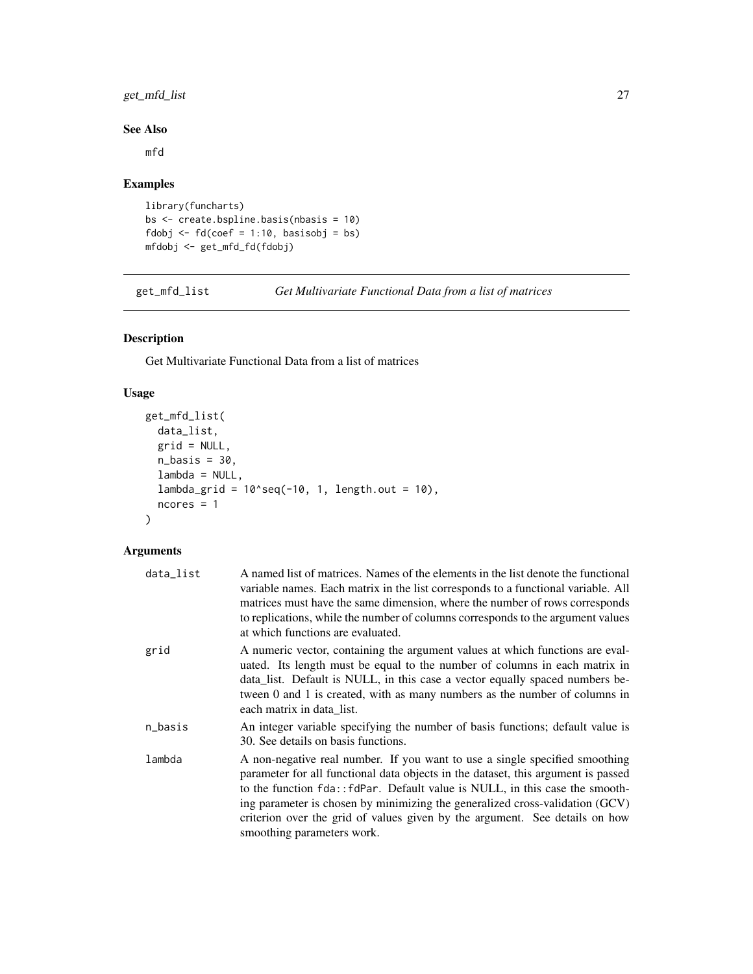# <span id="page-26-0"></span>get\_mfd\_list 27

# See Also

mfd

# Examples

```
library(funcharts)
bs <- create.bspline.basis(nbasis = 10)
fdobj \leq fd(coef = 1:10, basisobj = bs)
mfdobj <- get_mfd_fd(fdobj)
```
<span id="page-26-1"></span>get\_mfd\_list *Get Multivariate Functional Data from a list of matrices*

# Description

Get Multivariate Functional Data from a list of matrices

# Usage

```
get_mfd_list(
 data_list,
 grid = NULL,
 n_basis = 30,
  lambda = NULL,lambda_{grid} = 10^seq(-10, 1, length.out = 10),
 ncores = 1
)
```
# Arguments

| data_list | A named list of matrices. Names of the elements in the list denote the functional<br>variable names. Each matrix in the list corresponds to a functional variable. All<br>matrices must have the same dimension, where the number of rows corresponds<br>to replications, while the number of columns corresponds to the argument values<br>at which functions are evaluated.                                                                 |
|-----------|-----------------------------------------------------------------------------------------------------------------------------------------------------------------------------------------------------------------------------------------------------------------------------------------------------------------------------------------------------------------------------------------------------------------------------------------------|
| grid      | A numeric vector, containing the argument values at which functions are eval-<br>uated. Its length must be equal to the number of columns in each matrix in<br>data_list. Default is NULL, in this case a vector equally spaced numbers be-<br>tween 0 and 1 is created, with as many numbers as the number of columns in<br>each matrix in data list.                                                                                        |
| n_basis   | An integer variable specifying the number of basis functions; default value is<br>30. See details on basis functions.                                                                                                                                                                                                                                                                                                                         |
| lambda    | A non-negative real number. If you want to use a single specified smoothing<br>parameter for all functional data objects in the dataset, this argument is passed<br>to the function fda:: fdPar. Default value is NULL, in this case the smooth-<br>ing parameter is chosen by minimizing the generalized cross-validation (GCV)<br>criterion over the grid of values given by the argument. See details on how<br>smoothing parameters work. |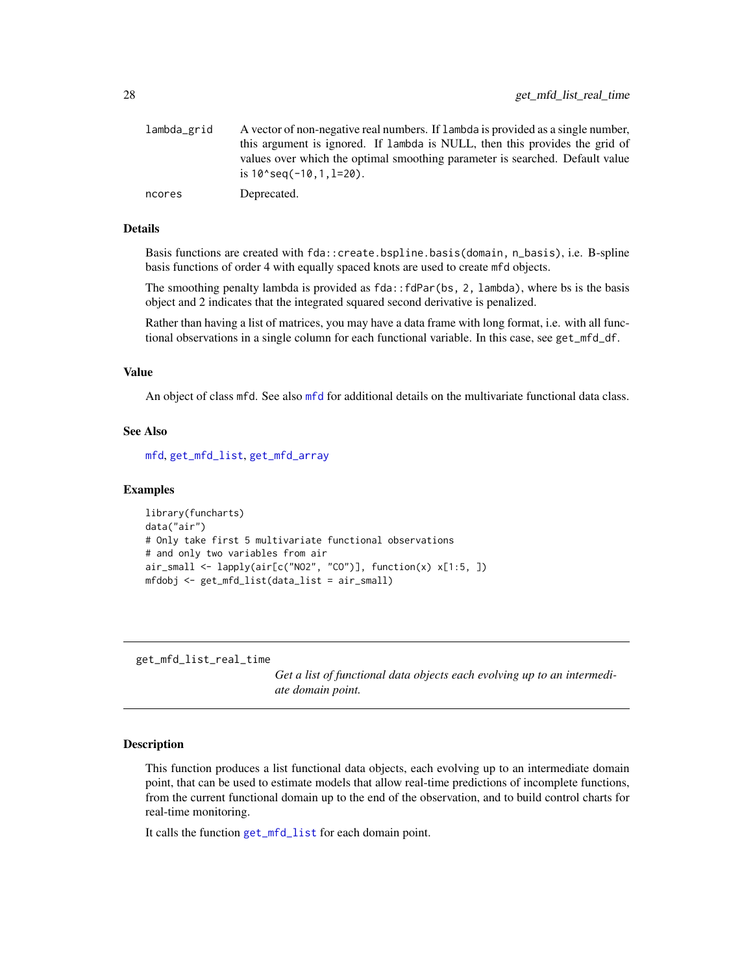<span id="page-27-0"></span>

| lambda_grid | A vector of non-negative real numbers. If lambda is provided as a single number,<br>this argument is ignored. If lambda is NULL, then this provides the grid of |
|-------------|-----------------------------------------------------------------------------------------------------------------------------------------------------------------|
|             | values over which the optimal smoothing parameter is searched. Default value<br>is $10$ seq( $-10, 1, 1=20$ ).                                                  |
| ncores      | Deprecated.                                                                                                                                                     |

#### Details

Basis functions are created with fda::create.bspline.basis(domain, n\_basis), i.e. B-spline basis functions of order 4 with equally spaced knots are used to create mfd objects.

The smoothing penalty lambda is provided as  $fda$ :  $fdPar(bs, 2, 1ambda)$ , where bs is the basis object and 2 indicates that the integrated squared second derivative is penalized.

Rather than having a list of matrices, you may have a data frame with long format, i.e. with all functional observations in a single column for each functional variable. In this case, see get\_mfd\_df.

# Value

An object of class mfd. See also [mfd](#page-32-1) for additional details on the multivariate functional data class.

#### See Also

[mfd](#page-32-1), [get\\_mfd\\_list](#page-26-1), [get\\_mfd\\_array](#page-19-1)

#### Examples

```
library(funcharts)
data("air")
# Only take first 5 multivariate functional observations
# and only two variables from air
air_small <- lapply(air[c("NO2", "CO")], function(x) x[1:5, ])
mfdobj <- get_mfd_list(data_list = air_small)
```
<span id="page-27-1"></span>get\_mfd\_list\_real\_time

*Get a list of functional data objects each evolving up to an intermediate domain point.*

#### Description

This function produces a list functional data objects, each evolving up to an intermediate domain point, that can be used to estimate models that allow real-time predictions of incomplete functions, from the current functional domain up to the end of the observation, and to build control charts for real-time monitoring.

It calls the function [get\\_mfd\\_list](#page-26-1) for each domain point.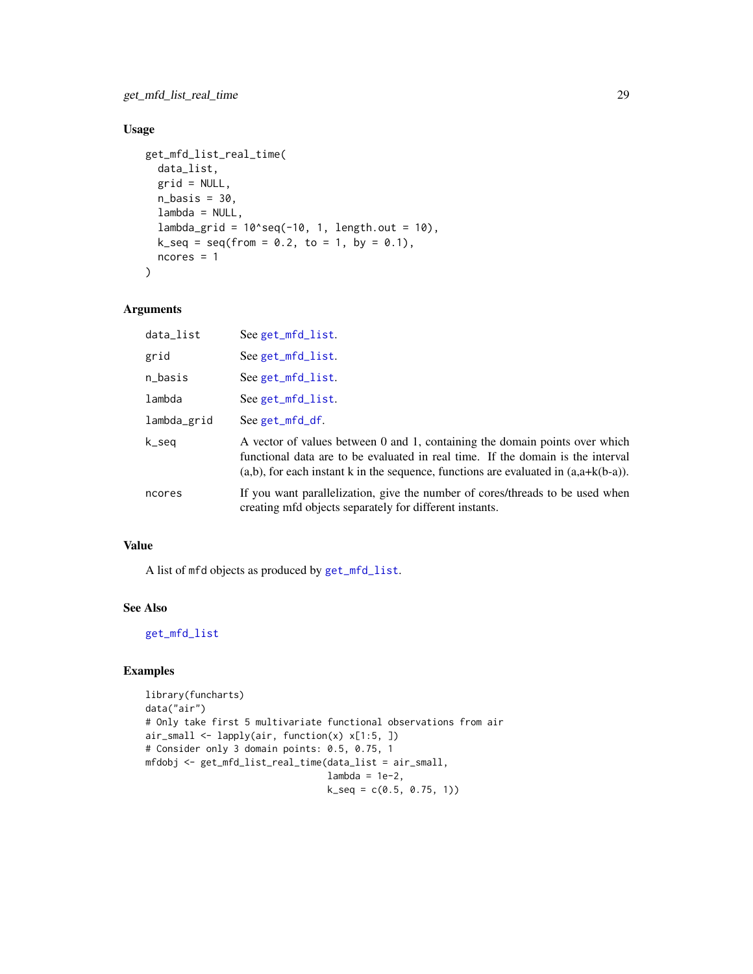# <span id="page-28-0"></span>Usage

```
get_mfd_list_real_time(
  data_list,
 grid = NULL,
 n_basis = 30,
  lambda = NULL,
  lambda_{grid} = 10^seq(-10, 1, length.out = 10),
 k\_seq = seq(from = 0.2, to = 1, by = 0.1),ncores = 1\lambda
```
# Arguments

| data_list   | See get_mfd_list.                                                                                                                                                                                                                                           |
|-------------|-------------------------------------------------------------------------------------------------------------------------------------------------------------------------------------------------------------------------------------------------------------|
| grid        | See get_mfd_list.                                                                                                                                                                                                                                           |
| n_basis     | See get_mfd_list.                                                                                                                                                                                                                                           |
| lambda      | See get_mfd_list.                                                                                                                                                                                                                                           |
| lambda_grid | $See get_mfd_df.$                                                                                                                                                                                                                                           |
| k_seq       | A vector of values between 0 and 1, containing the domain points over which<br>functional data are to be evaluated in real time. If the domain is the interval<br>$(a,b)$ , for each instant k in the sequence, functions are evaluated in $(a,a+k(b-a))$ . |
| ncores      | If you want parallelization, give the number of cores/threads to be used when<br>creating mfd objects separately for different instants.                                                                                                                    |

#### Value

A list of mfd objects as produced by [get\\_mfd\\_list](#page-26-1).

# See Also

#### [get\\_mfd\\_list](#page-26-1)

```
library(funcharts)
data("air")
# Only take first 5 multivariate functional observations from air
air_small <- lapply(air, function(x) x[1:5, ])
# Consider only 3 domain points: 0.5, 0.75, 1
mfdobj <- get_mfd_list_real_time(data_list = air_small,
                                 lambda = 1e-2,
                                 k\_seq = c(0.5, 0.75, 1)
```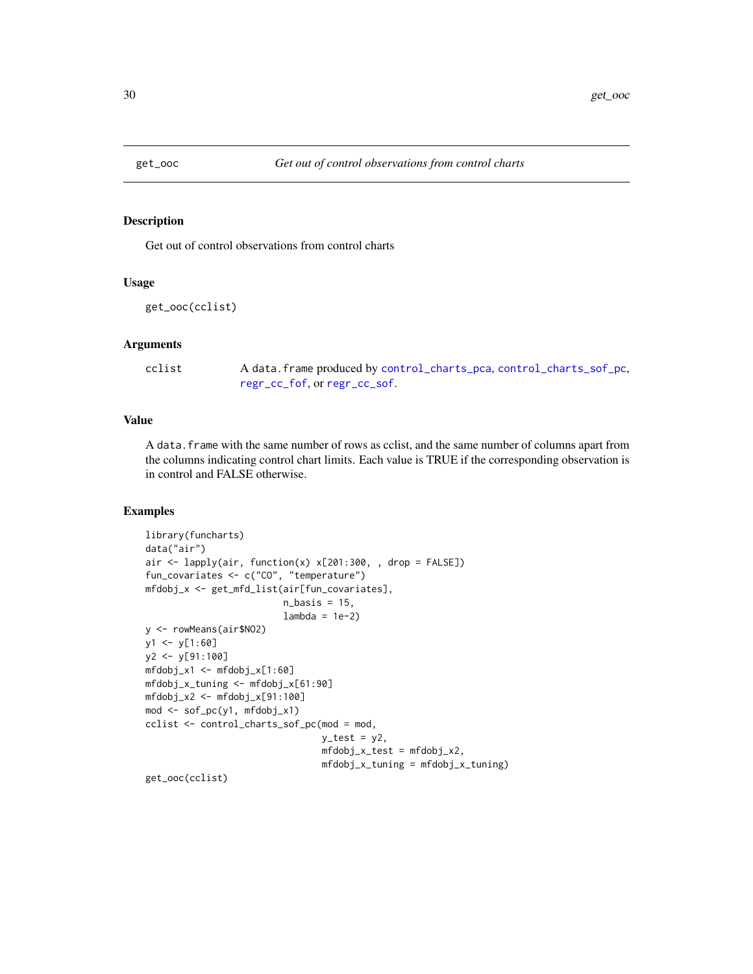<span id="page-29-0"></span>

Get out of control observations from control charts

# Usage

```
get_ooc(cclist)
```
#### Arguments

| cclist | A data. frame produced by control_charts_pca, control_charts_sof_pc, |
|--------|----------------------------------------------------------------------|
|        | regr_cc_fof, or regr_cc_sof.                                         |

# Value

A data.frame with the same number of rows as cclist, and the same number of columns apart from the columns indicating control chart limits. Each value is TRUE if the corresponding observation is in control and FALSE otherwise.

```
library(funcharts)
data("air")
air <- lapply(air, function(x) x[201:300, , drop = FALSE])
fun_covariates <- c("CO", "temperature")
mfdobj_x <- get_mfd_list(air[fun_covariates],
                         n_basis = 15,
                         lambda = 1e-2)y <- rowMeans(air$NO2)
y1 <- y[1:60]
y2 <- y[91:100]
mfdobj_x1 <- mfdobj_x[1:60]
mfdobj_x_tuning <- mfdobj_x[61:90]
mfdobj_x2 <- mfdobj_x[91:100]
mod <- sof_pc(y1, mfdobj_x1)
cclist <- control_charts_sof_pc(mod = mod,
                                y_ttest = y2,
                                mfdobj_x_test = mfdobj_x2,
                                mfdobj_x_tuning = mfdobj_x_tuning)
get_ooc(cclist)
```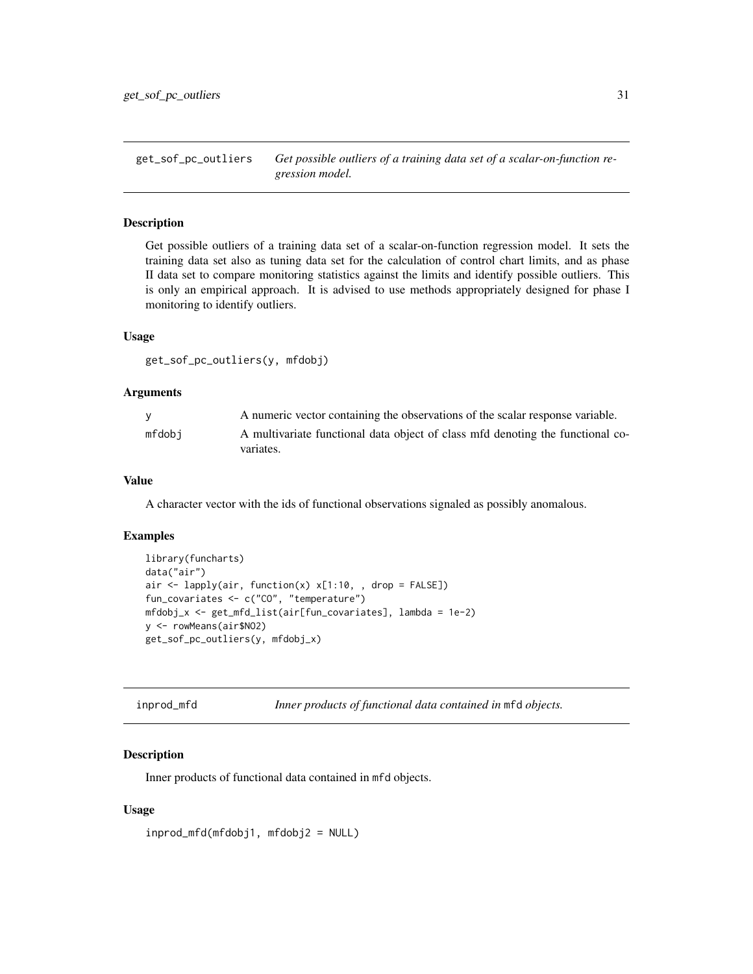<span id="page-30-0"></span>get\_sof\_pc\_outliers *Get possible outliers of a training data set of a scalar-on-function regression model.*

# Description

Get possible outliers of a training data set of a scalar-on-function regression model. It sets the training data set also as tuning data set for the calculation of control chart limits, and as phase II data set to compare monitoring statistics against the limits and identify possible outliers. This is only an empirical approach. It is advised to use methods appropriately designed for phase I monitoring to identify outliers.

#### Usage

```
get_sof_pc_outliers(y, mfdobj)
```
#### Arguments

|        | A numeric vector containing the observations of the scalar response variable.               |
|--------|---------------------------------------------------------------------------------------------|
| mfdobi | A multivariate functional data object of class mfd denoting the functional co-<br>variates. |

# Value

A character vector with the ids of functional observations signaled as possibly anomalous.

#### Examples

```
library(funcharts)
data("air")
air \le lapply(air, function(x) x[1:10, , drop = FALSE])
fun_covariates <- c("CO", "temperature")
mfdobj_x <- get_mfd_list(air[fun_covariates], lambda = 1e-2)
y <- rowMeans(air$NO2)
get_sof_pc_outliers(y, mfdobj_x)
```

| inprod_mfd |  |  | Inner products of functional data contained in mfd objects. |
|------------|--|--|-------------------------------------------------------------|
|------------|--|--|-------------------------------------------------------------|

#### Description

Inner products of functional data contained in mfd objects.

#### Usage

```
inprod_mfd(mfdobj1, mfdobj2 = NULL)
```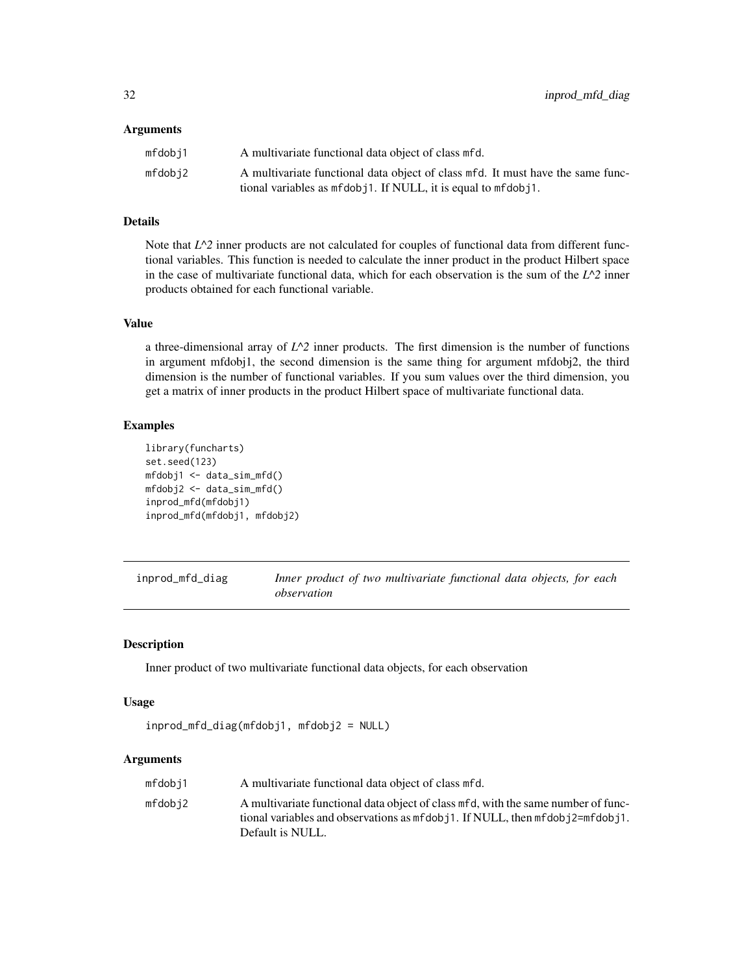#### <span id="page-31-0"></span>**Arguments**

| mfdobi1 | A multivariate functional data object of class mfd.                                                                                                |
|---------|----------------------------------------------------------------------------------------------------------------------------------------------------|
| mfdobi2 | A multivariate functional data object of class mfd. It must have the same func-<br>tional variables as mfdob j1. If NULL, it is equal to mfdob j1. |

# Details

Note that  $L^2$  inner products are not calculated for couples of functional data from different functional variables. This function is needed to calculate the inner product in the product Hilbert space in the case of multivariate functional data, which for each observation is the sum of the  $L^2$  inner products obtained for each functional variable.

# Value

a three-dimensional array of  $L^2$  inner products. The first dimension is the number of functions in argument mfdobj1, the second dimension is the same thing for argument mfdobj2, the third dimension is the number of functional variables. If you sum values over the third dimension, you get a matrix of inner products in the product Hilbert space of multivariate functional data.

# Examples

```
library(funcharts)
set.seed(123)
mfdobj1 <- data_sim_mfd()
mfdobj2 <- data_sim_mfd()
inprod_mfd(mfdobj1)
inprod_mfd(mfdobj1, mfdobj2)
```
inprod\_mfd\_diag *Inner product of two multivariate functional data objects, for each observation*

# Description

Inner product of two multivariate functional data objects, for each observation

#### Usage

```
inprod_mfd_diag(mfdobj1, mfdobj2 = NULL)
```
#### Arguments

| mfdobi1 | A multivariate functional data object of class mfd.                                                                                                                                            |
|---------|------------------------------------------------------------------------------------------------------------------------------------------------------------------------------------------------|
| mfdobi2 | A multivariate functional data object of class mfd, with the same number of func-<br>tional variables and observations as $m\text{fdobj1}$ . If NULL, then $m\text{fdobj2} = m\text{fdobj1}$ . |
|         | Default is NULL.                                                                                                                                                                               |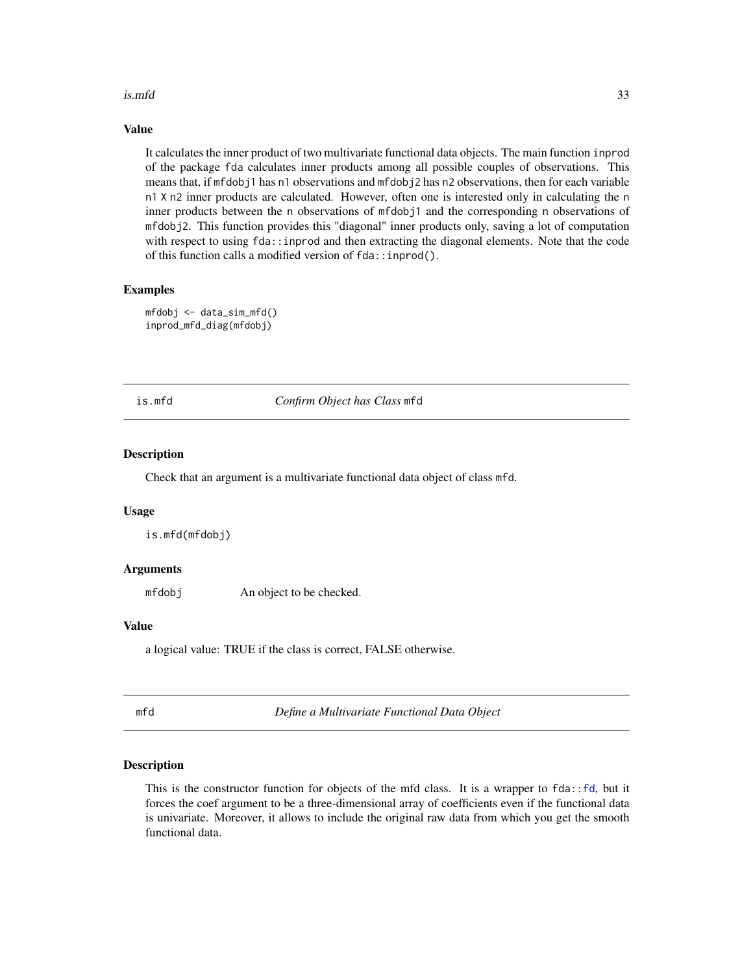#### <span id="page-32-0"></span>is.mfd 33

#### Value

It calculates the inner product of two multivariate functional data objects. The main function inprod of the package fda calculates inner products among all possible couples of observations. This means that, if mfdobj1 has n1 observations and mfdobj2 has n2 observations, then for each variable n1 X n2 inner products are calculated. However, often one is interested only in calculating the n inner products between the n observations of mfdobj1 and the corresponding n observations of mfdobj2. This function provides this "diagonal" inner products only, saving a lot of computation with respect to using fda:: inprod and then extracting the diagonal elements. Note that the code of this function calls a modified version of fda::inprod().

# Examples

```
mfdobj <- data_sim_mfd()
inprod_mfd_diag(mfdobj)
```
#### is.mfd *Confirm Object has Class* mfd

#### Description

Check that an argument is a multivariate functional data object of class mfd.

#### Usage

is.mfd(mfdobj)

# Arguments

mfdobj An object to be checked.

#### Value

a logical value: TRUE if the class is correct, FALSE otherwise.

<span id="page-32-1"></span>mfd *Define a Multivariate Functional Data Object*

#### Description

This is the constructor function for objects of the mfd class. It is a wrapper to  $fda$ :: $f d$ , but it forces the coef argument to be a three-dimensional array of coefficients even if the functional data is univariate. Moreover, it allows to include the original raw data from which you get the smooth functional data.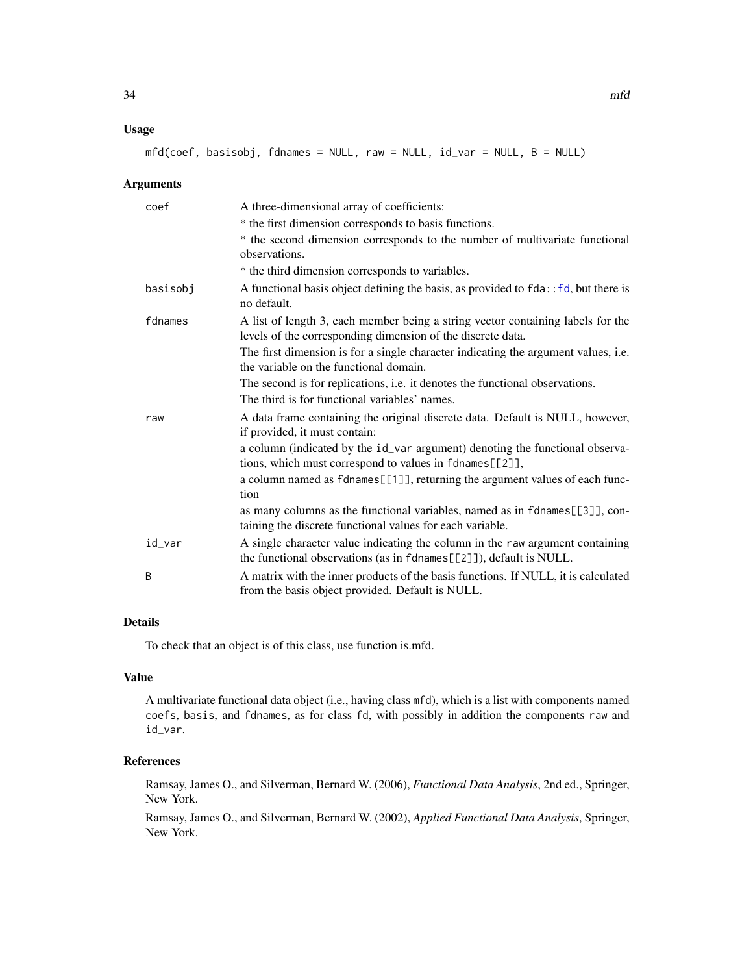# <span id="page-33-0"></span>Usage

 $mfd(coef, basisobj, fdnames = NULL, raw = NULL, id_var = NULL, B = NULL)$ 

#### Arguments

| coef     | A three-dimensional array of coefficients:                                                                                                          |
|----------|-----------------------------------------------------------------------------------------------------------------------------------------------------|
|          | * the first dimension corresponds to basis functions.                                                                                               |
|          | * the second dimension corresponds to the number of multivariate functional<br>observations.                                                        |
|          | * the third dimension corresponds to variables.                                                                                                     |
| basisobj | A functional basis object defining the basis, as provided to $fda$ : $f d$ , but there is<br>no default.                                            |
| fdnames  | A list of length 3, each member being a string vector containing labels for the<br>levels of the corresponding dimension of the discrete data.      |
|          | The first dimension is for a single character indicating the argument values, i.e.<br>the variable on the functional domain.                        |
|          | The second is for replications, <i>i.e.</i> it denotes the functional observations.<br>The third is for functional variables' names.                |
| raw      | A data frame containing the original discrete data. Default is NULL, however,<br>if provided, it must contain:                                      |
|          | a column (indicated by the id_var argument) denoting the functional observa-<br>tions, which must correspond to values in fdnames[[2]],             |
|          | a column named as fdnames[[1]], returning the argument values of each func-<br>tion                                                                 |
|          | as many columns as the functional variables, named as in fdnames[[3]], con-<br>taining the discrete functional values for each variable.            |
| id_var   | A single character value indicating the column in the raw argument containing<br>the functional observations (as in fdnames[[2]]), default is NULL. |
| B        | A matrix with the inner products of the basis functions. If NULL, it is calculated<br>from the basis object provided. Default is NULL.              |

# Details

To check that an object is of this class, use function is.mfd.

# Value

A multivariate functional data object (i.e., having class mfd), which is a list with components named coefs, basis, and fdnames, as for class fd, with possibly in addition the components raw and id\_var.

# References

Ramsay, James O., and Silverman, Bernard W. (2006), *Functional Data Analysis*, 2nd ed., Springer, New York.

Ramsay, James O., and Silverman, Bernard W. (2002), *Applied Functional Data Analysis*, Springer, New York.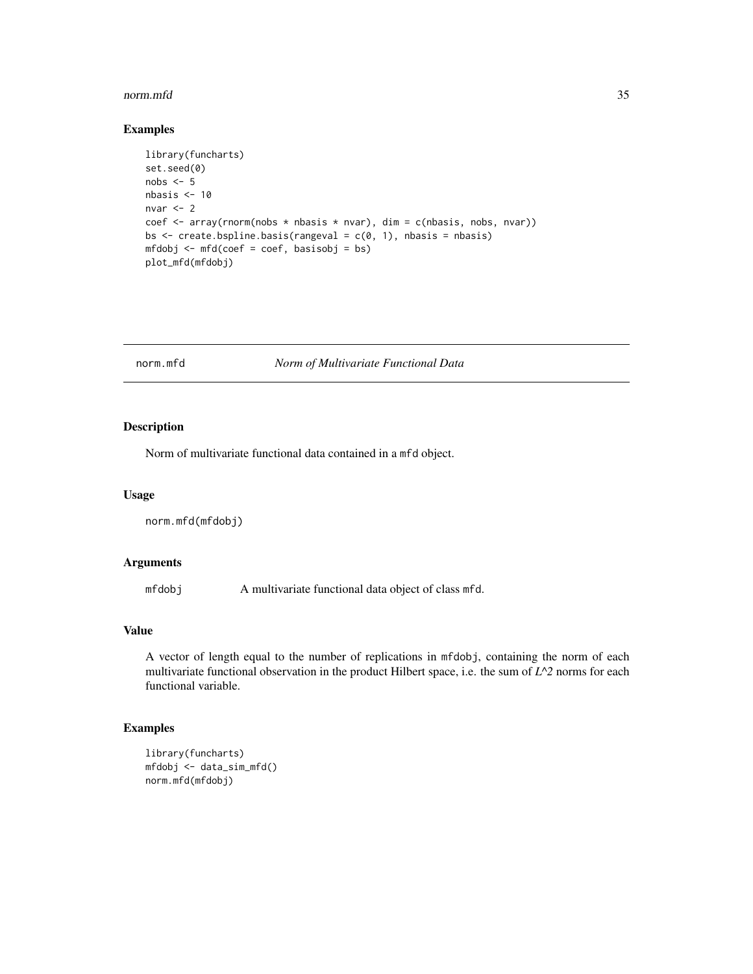#### <span id="page-34-0"></span>norm.mfd 35

# Examples

```
library(funcharts)
set.seed(0)
nobs <-5nbasis < -10nvar <-2coef <- array(rnorm(nobs * nbasis * nvar), dim = c(nbasis, nobs, nvar))
bs \leq create.bspline.basis(rangeval = c(0, 1), nbasis = nbasis)
mfdobj <- mfd(coef = coef, basisobj = bs)
plot_mfd(mfdobj)
```
norm.mfd *Norm of Multivariate Functional Data*

# Description

Norm of multivariate functional data contained in a mfd object.

# Usage

```
norm.mfd(mfdobj)
```
# Arguments

mfdobj A multivariate functional data object of class mfd.

# Value

A vector of length equal to the number of replications in mfdobj, containing the norm of each multivariate functional observation in the product Hilbert space, i.e. the sum of *L^2* norms for each functional variable.

```
library(funcharts)
mfdobj <- data_sim_mfd()
norm.mfd(mfdobj)
```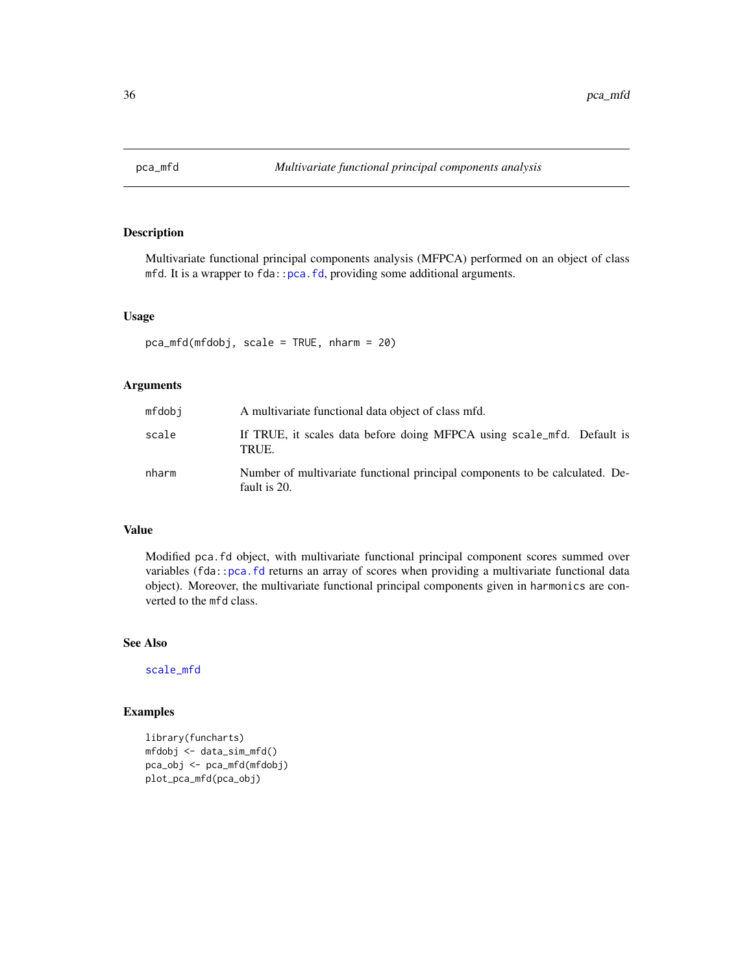<span id="page-35-1"></span><span id="page-35-0"></span>

Multivariate functional principal components analysis (MFPCA) performed on an object of class mfd. It is a wrapper to fda:[:pca.fd](#page-0-0), providing some additional arguments.

#### Usage

```
pca_mfd(mfdobj, scale = TRUE, nharm = 20)
```
# Arguments

| mfdobj | A multivariate functional data object of class mfd.                                          |
|--------|----------------------------------------------------------------------------------------------|
| scale  | If TRUE, it scales data before doing MFPCA using scale_mfd. Default is<br>TRUE.              |
| nharm  | Number of multivariate functional principal components to be calculated. De-<br>fault is 20. |

#### Value

Modified pca.fd object, with multivariate functional principal component scores summed over variables (fda:[:pca.fd](#page-0-0) returns an array of scores when providing a multivariate functional data object). Moreover, the multivariate functional principal components given in harmonics are converted to the mfd class.

# See Also

[scale\\_mfd](#page-51-1)

```
library(funcharts)
mfdobj <- data_sim_mfd()
pca_obj <- pca_mfd(mfdobj)
plot_pca_mfd(pca_obj)
```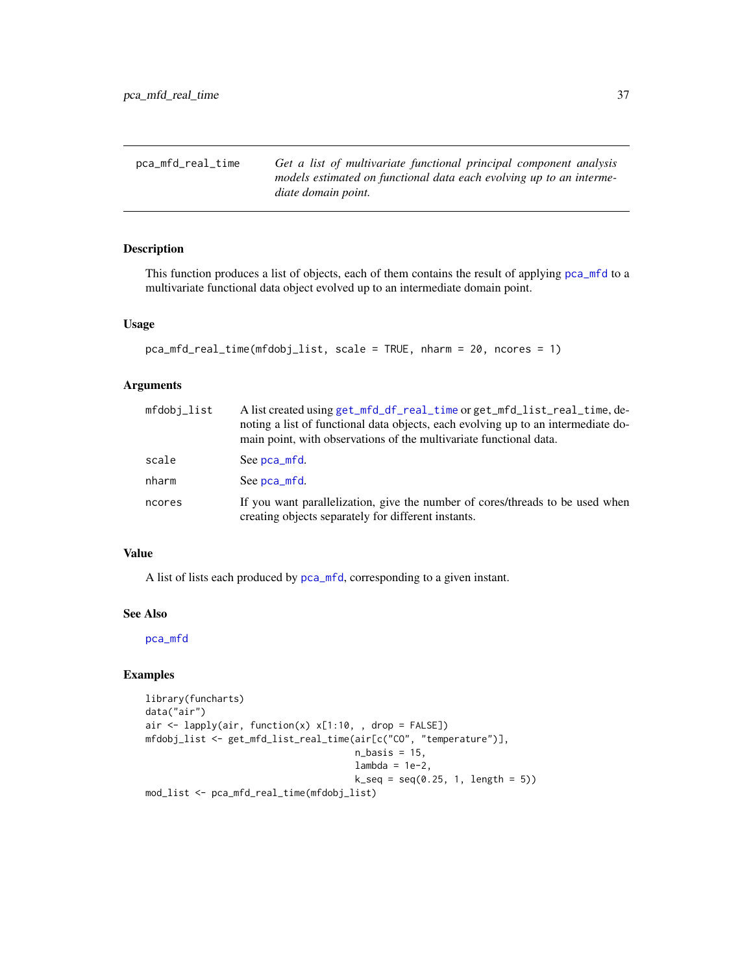<span id="page-36-1"></span><span id="page-36-0"></span>

| pca_mfd_real_time | Get a list of multivariate functional principal component analysis                         |
|-------------------|--------------------------------------------------------------------------------------------|
|                   | models estimated on functional data each evolving up to an interme-<br>diate domain point. |

This function produces a list of objects, each of them contains the result of applying [pca\\_mfd](#page-35-1) to a multivariate functional data object evolved up to an intermediate domain point.

# Usage

```
pca_mfd_real_time(mfdobj_list, scale = TRUE, nharm = 20, ncores = 1)
```
# Arguments

| mfdobj_list                                                                                                                                    | A list created using get_mfd_df_real_time or get_mfd_list_real_time, de-<br>noting a list of functional data objects, each evolving up to an intermediate do-<br>main point, with observations of the multivariate functional data. |
|------------------------------------------------------------------------------------------------------------------------------------------------|-------------------------------------------------------------------------------------------------------------------------------------------------------------------------------------------------------------------------------------|
| scale                                                                                                                                          | See pca_mfd.                                                                                                                                                                                                                        |
| nharm                                                                                                                                          | See pca_mfd.                                                                                                                                                                                                                        |
| If you want parallelization, give the number of cores/threads to be used when<br>ncores<br>creating objects separately for different instants. |                                                                                                                                                                                                                                     |

# Value

A list of lists each produced by [pca\\_mfd](#page-35-1), corresponding to a given instant.

#### See Also

[pca\\_mfd](#page-35-1)

```
library(funcharts)
data("air")
air \le lapply(air, function(x) x[1:10, , drop = FALSE])
mfdobj_list <- get_mfd_list_real_time(air[c("CO", "temperature")],
                                       n_basis = 15,
                                       lambda = 1e-2,
                                       k_s = \text{seq}(0.25, 1, \text{length} = 5)mod_list <- pca_mfd_real_time(mfdobj_list)
```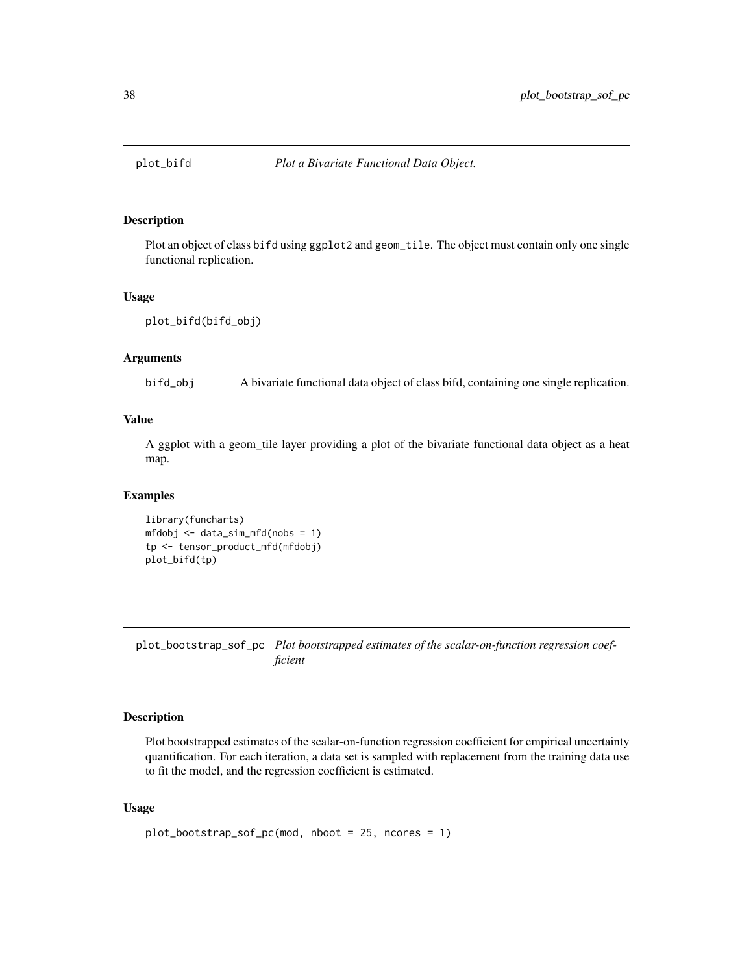<span id="page-37-0"></span>

Plot an object of class bifd using ggplot2 and geom\_tile. The object must contain only one single functional replication.

# Usage

```
plot_bifd(bifd_obj)
```
# Arguments

bifd\_obj A bivariate functional data object of class bifd, containing one single replication.

# Value

A ggplot with a geom\_tile layer providing a plot of the bivariate functional data object as a heat map.

#### Examples

```
library(funcharts)
mfdobj <- data_sim_mfd(nobs = 1)
tp <- tensor_product_mfd(mfdobj)
plot_bifd(tp)
```
plot\_bootstrap\_sof\_pc *Plot bootstrapped estimates of the scalar-on-function regression coefficient*

#### Description

Plot bootstrapped estimates of the scalar-on-function regression coefficient for empirical uncertainty quantification. For each iteration, a data set is sampled with replacement from the training data use to fit the model, and the regression coefficient is estimated.

#### Usage

```
plot_bootstrap_sof_pc(mod, nboot = 25, ncores = 1)
```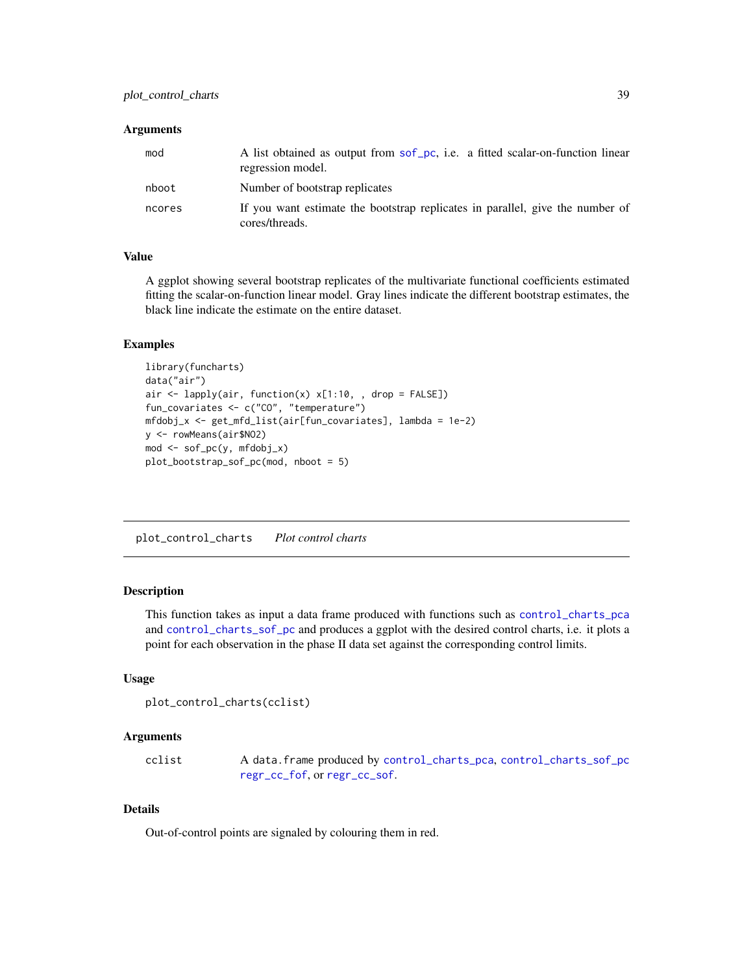#### <span id="page-38-0"></span>Arguments

| mod    | A list obtained as output from sof pc, i.e. a fitted scalar-on-function linear<br>regression model. |
|--------|-----------------------------------------------------------------------------------------------------|
| nboot  | Number of bootstrap replicates                                                                      |
| ncores | If you want estimate the bootstrap replicates in parallel, give the number of<br>cores/threads.     |

# Value

A ggplot showing several bootstrap replicates of the multivariate functional coefficients estimated fitting the scalar-on-function linear model. Gray lines indicate the different bootstrap estimates, the black line indicate the estimate on the entire dataset.

# Examples

```
library(funcharts)
data("air")
air \le lapply(air, function(x) x[1:10, , drop = FALSE])
fun_covariates <- c("CO", "temperature")
mfdobj_x <- get_mfd_list(air[fun_covariates], lambda = 1e-2)
y <- rowMeans(air$NO2)
mod <- sof_pc(y, mfdobj_x)
plot_bootstrap_sof_pc(mod, nboot = 5)
```
plot\_control\_charts *Plot control charts*

#### Description

This function takes as input a data frame produced with functions such as [control\\_charts\\_pca](#page-3-1) and [control\\_charts\\_sof\\_pc](#page-8-1) and produces a ggplot with the desired control charts, i.e. it plots a point for each observation in the phase II data set against the corresponding control limits.

#### Usage

```
plot_control_charts(cclist)
```
#### Arguments

cclist A data.frame produced by [control\\_charts\\_pca](#page-3-1), [control\\_charts\\_sof\\_pc](#page-8-1) [regr\\_cc\\_fof](#page-46-1), or [regr\\_cc\\_sof](#page-50-1).

# Details

Out-of-control points are signaled by colouring them in red.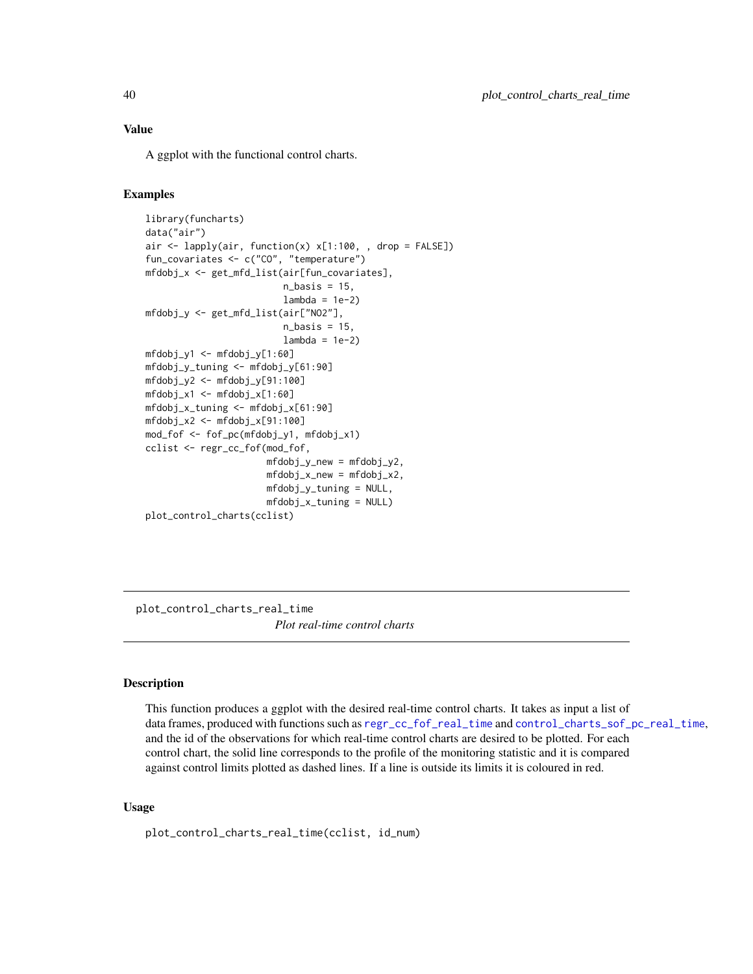#### <span id="page-39-0"></span>Value

A ggplot with the functional control charts.

#### Examples

```
library(funcharts)
data("air")
air \le lapply(air, function(x) x[1:100, , drop = FALSE])
fun_covariates <- c("CO", "temperature")
mfdobj_x <- get_mfd_list(air[fun_covariates],
                         n_basis = 15,
                         lambda = 1e-2mfdobj_y <- get_mfd_list(air["NO2"],
                         n_basis = 15,
                         lambda = 1e-2mfdobj_v1 < - mfdobj_v[1:60]mfdobj_y_tuning <- mfdobj_y[61:90]
mfdobj_y2 <- mfdobj_y[91:100]
mfdobj_x1 <- mfdobj_x[1:60]
mfdobj_x_tuning <- mfdobj_x[61:90]
mfdobj_x2 \leq - mfdobj_x[91:100]mod_fof <- fof_pc(mfdobj_y1, mfdobj_x1)
cclist <- regr_cc_fof(mod_fof,
                      mfdobj_y_new = mfdobj_y2,
                      mfdobj_x_new = mfdobj_x2,
                      mfdobj_y_tuning = NULL,
                      mfdobj_x_tuning = NULL)
plot_control_charts(cclist)
```
plot\_control\_charts\_real\_time *Plot real-time control charts*

# Description

This function produces a ggplot with the desired real-time control charts. It takes as input a list of data frames, produced with functions such as [regr\\_cc\\_fof\\_real\\_time](#page-48-1) and [control\\_charts\\_sof\\_pc\\_real\\_time](#page-10-1), and the id of the observations for which real-time control charts are desired to be plotted. For each control chart, the solid line corresponds to the profile of the monitoring statistic and it is compared against control limits plotted as dashed lines. If a line is outside its limits it is coloured in red.

#### Usage

```
plot_control_charts_real_time(cclist, id_num)
```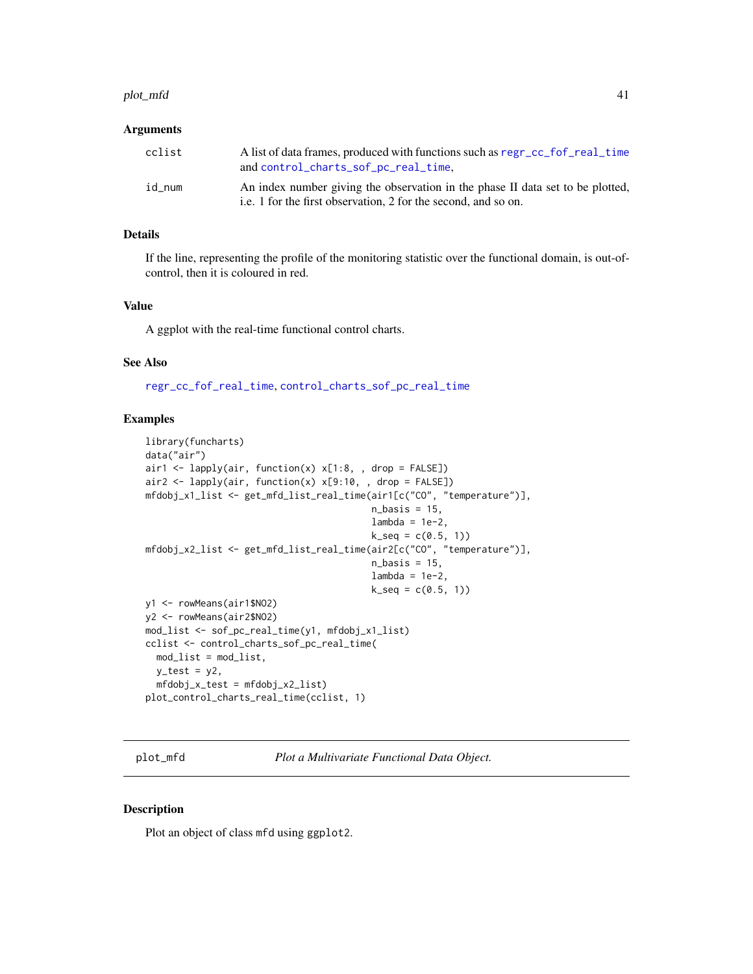#### <span id="page-40-0"></span>plot\_mfd 41

#### Arguments

| cclist | A list of data frames, produced with functions such as regr_cc_fof_real_time<br>and control_charts_sof_pc_real_time,                             |
|--------|--------------------------------------------------------------------------------------------------------------------------------------------------|
| id num | An index number giving the observation in the phase II data set to be plotted,<br>i.e. 1 for the first observation, 2 for the second, and so on. |

### Details

If the line, representing the profile of the monitoring statistic over the functional domain, is out-ofcontrol, then it is coloured in red.

# Value

A ggplot with the real-time functional control charts.

#### See Also

[regr\\_cc\\_fof\\_real\\_time](#page-48-1), [control\\_charts\\_sof\\_pc\\_real\\_time](#page-10-1)

# Examples

```
library(funcharts)
data("air")
air1 <- lapply(air, function(x) x[1:8, , drop = FALSE])
air2 <- lapply(air, function(x) x[9:10, , drop = FALSE])mfdobj_x1_list <- get_mfd_list_real_time(air1[c("CO", "temperature")],
                                         n_basis = 15,
                                          lambda = 1e-2,
                                         k\_seq = c(0.5, 1)mfdobj_x2_list <- get_mfd_list_real_time(air2[c("CO", "temperature")],
                                         n_basis = 15,
                                          lambda = 1e-2,
                                         k<sub>-seq</sub> = c(0.5, 1)y1 <- rowMeans(air1$NO2)
y2 <- rowMeans(air2$NO2)
mod_list <- sof_pc_real_time(y1, mfdobj_x1_list)
cclist <- control_charts_sof_pc_real_time(
  mod_list = mod_list,
  y_test = y2,
  mfdobj_x_test = mfdobj_x2_list)
plot_control_charts_real_time(cclist, 1)
```
plot\_mfd *Plot a Multivariate Functional Data Object.*

#### Description

Plot an object of class mfd using ggplot2.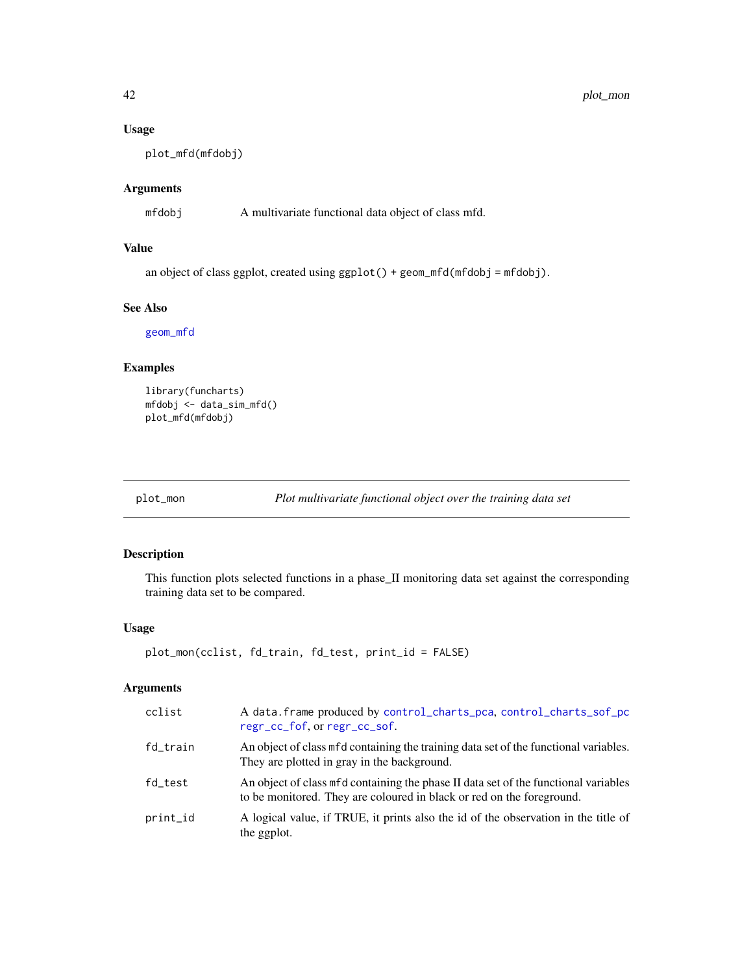# Usage

plot\_mfd(mfdobj)

# Arguments

mfdobj A multivariate functional data object of class mfd.

# Value

an object of class ggplot, created using  $ggplot() + geom_mfd(mfdobj = mfdobj)$ .

#### See Also

[geom\\_mfd](#page-18-1)

#### Examples

```
library(funcharts)
mfdobj <- data_sim_mfd()
plot_mfd(mfdobj)
```
plot\_mon *Plot multivariate functional object over the training data set*

# Description

This function plots selected functions in a phase\_II monitoring data set against the corresponding training data set to be compared.

# Usage

```
plot_mon(cclist, fd_train, fd_test, print_id = FALSE)
```
# Arguments

| cclist   | A data. frame produced by control_charts_pca, control_charts_sof_pc<br>regr_cc_fof, or regr_cc_sof.                                                          |
|----------|--------------------------------------------------------------------------------------------------------------------------------------------------------------|
| fd_train | An object of class mfd containing the training data set of the functional variables.<br>They are plotted in gray in the background.                          |
| fd test  | An object of class mfd containing the phase II data set of the functional variables<br>to be monitored. They are coloured in black or red on the foreground. |
| print_id | A logical value, if TRUE, it prints also the id of the observation in the title of<br>the ggplot.                                                            |

<span id="page-41-0"></span>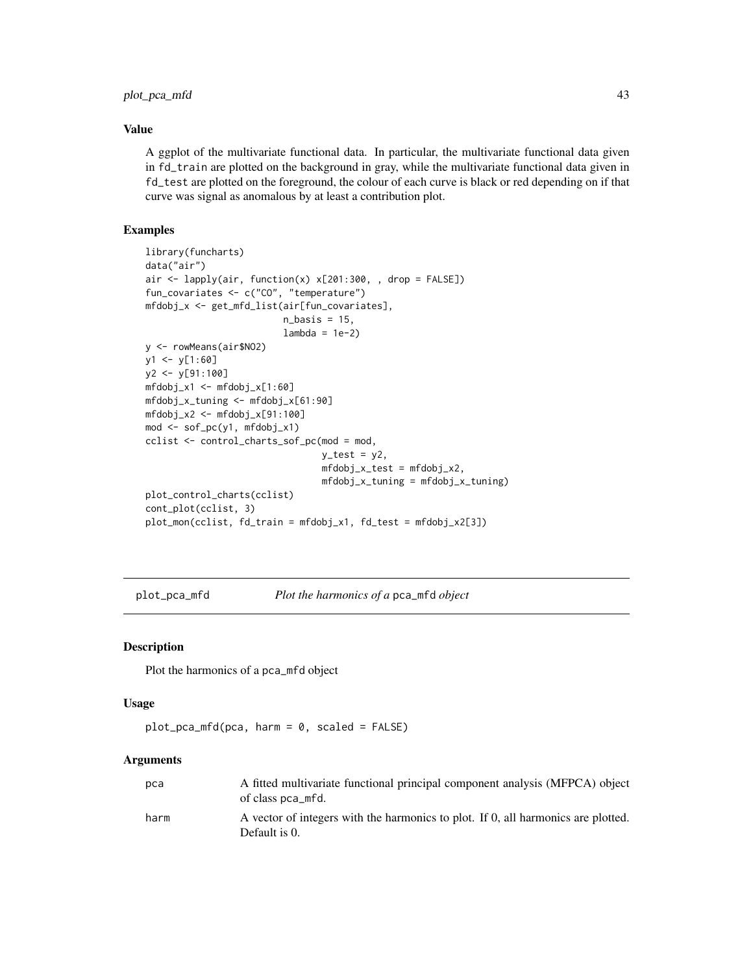# <span id="page-42-0"></span>Value

A ggplot of the multivariate functional data. In particular, the multivariate functional data given in fd\_train are plotted on the background in gray, while the multivariate functional data given in fd\_test are plotted on the foreground, the colour of each curve is black or red depending on if that curve was signal as anomalous by at least a contribution plot.

# Examples

```
library(funcharts)
data("air")
air <- lapply(air, function(x) x[201:300, , drop = FALSE])
fun_covariates <- c("CO", "temperature")
mfdobj_x <- get_mfd_list(air[fun_covariates],
                         n_basis = 15,
                         lambda = 1e-2y <- rowMeans(air$NO2)
y1 <- y[1:60]
y2 <- y[91:100]
mfdobj_x1 \leftarrow mfdobj_x[1:60]mfdobj_x_tuning <- mfdobj_x[61:90]
mfdobj_x2 <- mfdobj_x[91:100]
mod <- sof_pc(y1, mfdobj_x1)
cclist <- control_charts_sof_pc(mod = mod,
                                y_t test = y2,
                                 mfdobj_x_test = mfdobj_x2,
                                mfdobj_x_tuning = mfdobj_x_tuning)
plot_control_charts(cclist)
cont_plot(cclist, 3)
plot_mon(cclist, fd_train = mfdobj_x1, fd_test = mfdobj_x2[3])
```
plot\_pca\_mfd *Plot the harmonics of a* pca\_mfd *object*

#### Description

Plot the harmonics of a pca\_mfd object

#### Usage

```
plot_pca_mfd(pca, harm = 0, scaled = FALSE)
```
#### Arguments

| pca  | A fitted multivariate functional principal component analysis (MFPCA) object<br>of class pca_mfd.  |
|------|----------------------------------------------------------------------------------------------------|
| harm | A vector of integers with the harmonics to plot. If 0, all harmonics are plotted.<br>Default is 0. |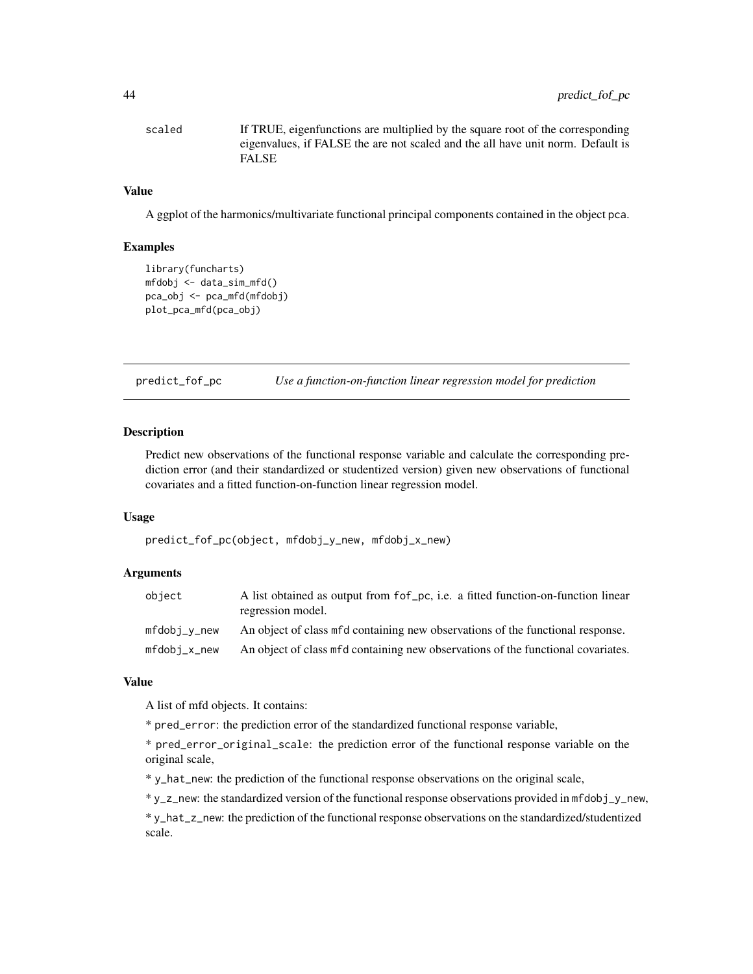<span id="page-43-0"></span>scaled If TRUE, eigenfunctions are multiplied by the square root of the corresponding eigenvalues, if FALSE the are not scaled and the all have unit norm. Default is FALSE

# Value

A ggplot of the harmonics/multivariate functional principal components contained in the object pca.

#### Examples

```
library(funcharts)
mfdobj <- data_sim_mfd()
pca_obj <- pca_mfd(mfdobj)
plot_pca_mfd(pca_obj)
```
predict\_fof\_pc *Use a function-on-function linear regression model for prediction*

# Description

Predict new observations of the functional response variable and calculate the corresponding prediction error (and their standardized or studentized version) given new observations of functional covariates and a fitted function-on-function linear regression model.

#### Usage

```
predict_fof_pc(object, mfdobj_y_new, mfdobj_x_new)
```
#### Arguments

| object         | A list obtained as output from for pc, i.e. a fitted function-on-function linear<br>regression model. |
|----------------|-------------------------------------------------------------------------------------------------------|
| mfdobi_v_new   | An object of class mfd containing new observations of the functional response.                        |
| $mfdobi_x_new$ | An object of class mfd containing new observations of the functional covariates.                      |

#### Value

A list of mfd objects. It contains:

\* pred\_error: the prediction error of the standardized functional response variable,

\* pred\_error\_original\_scale: the prediction error of the functional response variable on the original scale,

\* y\_hat\_new: the prediction of the functional response observations on the original scale,

\* y\_z\_new: the standardized version of the functional response observations provided in mfdobj\_y\_new,

\* y\_hat\_z\_new: the prediction of the functional response observations on the standardized/studentized scale.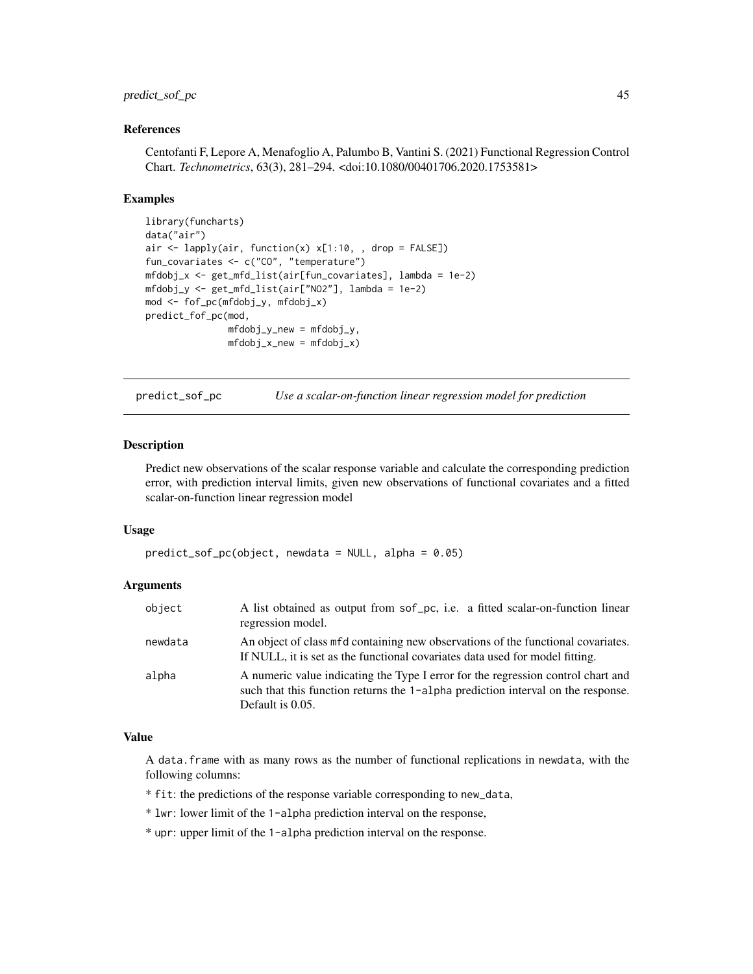# <span id="page-44-0"></span>predict\_sof\_pc 45

#### References

Centofanti F, Lepore A, Menafoglio A, Palumbo B, Vantini S. (2021) Functional Regression Control Chart. *Technometrics*, 63(3), 281–294. <doi:10.1080/00401706.2020.1753581>

#### Examples

```
library(funcharts)
data("air")
air \le lapply(air, function(x) x[1:10, , drop = FALSE])
fun_covariates <- c("CO", "temperature")
mfdobj_x <- get_mfd_list(air[fun_covariates], lambda = 1e-2)
mfdobj_y <- get_mfd_list(air["NO2"], lambda = 1e-2)
mod <- fof_pc(mfdobj_y, mfdobj_x)
predict_fof_pc(mod,
               mfdobj_y_new = mfdobj_y,
               mfdobj_x_new = mfdobj_x)
```
predict\_sof\_pc *Use a scalar-on-function linear regression model for prediction*

# Description

Predict new observations of the scalar response variable and calculate the corresponding prediction error, with prediction interval limits, given new observations of functional covariates and a fitted scalar-on-function linear regression model

#### Usage

```
predict_sof_pc(object, newdata = NULL, alpha = 0.05)
```
#### Arguments

| object  | A list obtained as output from sof pc, i.e. a fitted scalar-on-function linear<br>regression model.                                                                                      |
|---------|------------------------------------------------------------------------------------------------------------------------------------------------------------------------------------------|
| newdata | An object of class mfd containing new observations of the functional covariates.<br>If NULL, it is set as the functional covariates data used for model fitting.                         |
| alpha   | A numeric value indicating the Type I error for the regression control chart and<br>such that this function returns the 1-alpha prediction interval on the response.<br>Default is 0.05. |

# Value

A data.frame with as many rows as the number of functional replications in newdata, with the following columns:

- \* fit: the predictions of the response variable corresponding to new\_data,
- \* lwr: lower limit of the 1-alpha prediction interval on the response,
- \* upr: upper limit of the 1-alpha prediction interval on the response.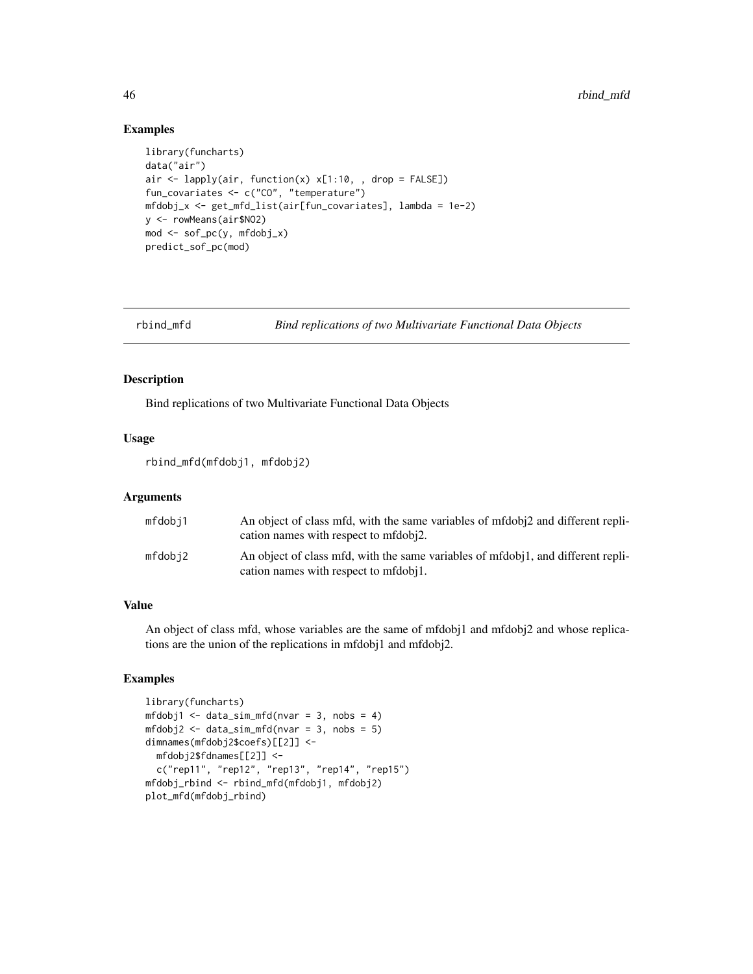#### Examples

```
library(funcharts)
data("air")
air <- lapply(air, function(x) x[1:10, , drop = FALSE])
fun_covariates <- c("CO", "temperature")
mfdobj_x <- get_mfd_list(air[fun_covariates], lambda = 1e-2)
y <- rowMeans(air$NO2)
mod \leq sof_pc(y, mfdobj_x)
predict_sof_pc(mod)
```
rbind\_mfd *Bind replications of two Multivariate Functional Data Objects*

#### Description

Bind replications of two Multivariate Functional Data Objects

# Usage

```
rbind_mfd(mfdobj1, mfdobj2)
```
#### Arguments

| mfdobj1 | An object of class mfd, with the same variables of mfdobi <sub>2</sub> and different repli-<br>cation names with respect to mfdobi2. |
|---------|--------------------------------------------------------------------------------------------------------------------------------------|
| mfdobi2 | An object of class mfd, with the same variables of mfdobi1, and different repli-<br>cation names with respect to mfdobil.            |

# Value

An object of class mfd, whose variables are the same of mfdobj1 and mfdobj2 and whose replications are the union of the replications in mfdobj1 and mfdobj2.

```
library(funcharts)
mfdobj1 < - data_sim_mfd(nvar = 3, nobs = 4)mfdobj2 \leq data\_sim\_mfd(nvar = 3, nobs = 5)dimnames(mfdobj2$coefs)[[2]] <-
  mfdobj2$fdnames[[2]] <-
  c("rep11", "rep12", "rep13", "rep14", "rep15")
mfdobj_rbind <- rbind_mfd(mfdobj1, mfdobj2)
plot_mfd(mfdobj_rbind)
```
<span id="page-45-0"></span>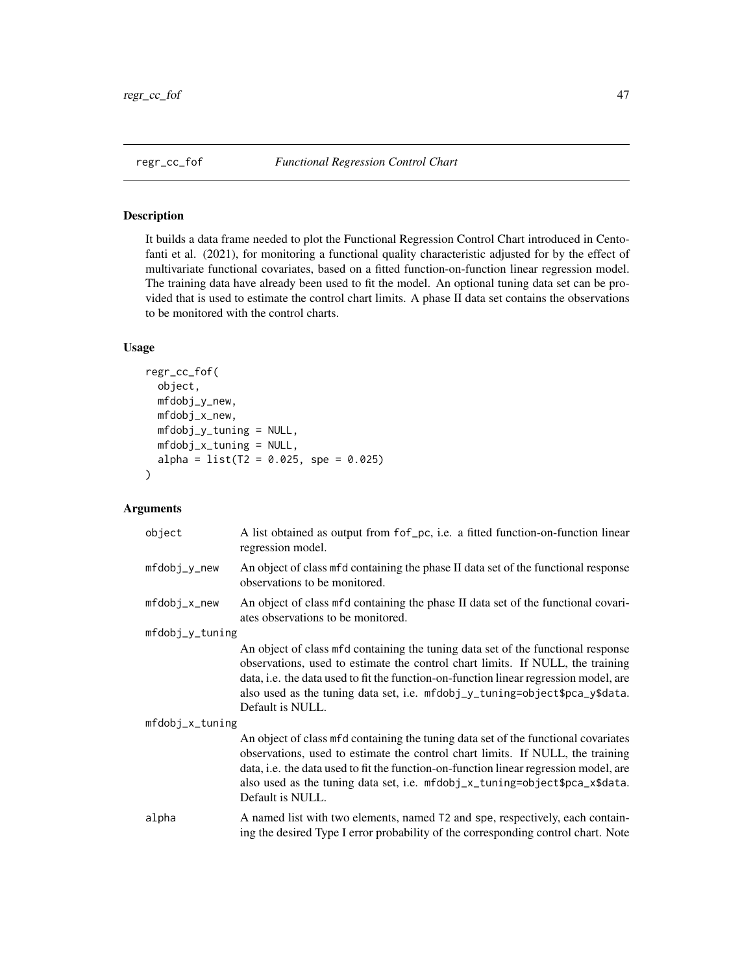<span id="page-46-1"></span><span id="page-46-0"></span>

It builds a data frame needed to plot the Functional Regression Control Chart introduced in Centofanti et al. (2021), for monitoring a functional quality characteristic adjusted for by the effect of multivariate functional covariates, based on a fitted function-on-function linear regression model. The training data have already been used to fit the model. An optional tuning data set can be provided that is used to estimate the control chart limits. A phase II data set contains the observations to be monitored with the control charts.

# Usage

```
regr_cc_fof(
 object,
 mfdobj_y_new,
 mfdobj_x_new,
 mfdobj_y_tuning = NULL,
 mfdobj_x_tuning = NULL,
  alpha = list(T2 = 0.025, spe = 0.025))
```
# Arguments

| object          | A list obtained as output from fof pc, i.e. a fitted function-on-function linear<br>regression model.                                                                                                                                                                                                                                                            |
|-----------------|------------------------------------------------------------------------------------------------------------------------------------------------------------------------------------------------------------------------------------------------------------------------------------------------------------------------------------------------------------------|
| $mfdobj_y_new$  | An object of class mfd containing the phase II data set of the functional response<br>observations to be monitored.                                                                                                                                                                                                                                              |
| mfdobj_x_new    | An object of class mfd containing the phase II data set of the functional covari-<br>ates observations to be monitored.                                                                                                                                                                                                                                          |
| mfdobj_y_tuning |                                                                                                                                                                                                                                                                                                                                                                  |
|                 | An object of class mfd containing the tuning data set of the functional response<br>observations, used to estimate the control chart limits. If NULL, the training<br>data, i.e. the data used to fit the function-on-function linear regression model, are<br>also used as the tuning data set, i.e. mfdobj_y_tuning=object\$pca_y\$data.<br>Default is NULL.   |
| mfdobj_x_tuning |                                                                                                                                                                                                                                                                                                                                                                  |
|                 | An object of class mfd containing the tuning data set of the functional covariates<br>observations, used to estimate the control chart limits. If NULL, the training<br>data, i.e. the data used to fit the function-on-function linear regression model, are<br>also used as the tuning data set, i.e. mfdobj_x_tuning=object\$pca_x\$data.<br>Default is NULL. |
| alpha           | A named list with two elements, named T2 and spe, respectively, each contain-<br>ing the desired Type I error probability of the corresponding control chart. Note                                                                                                                                                                                               |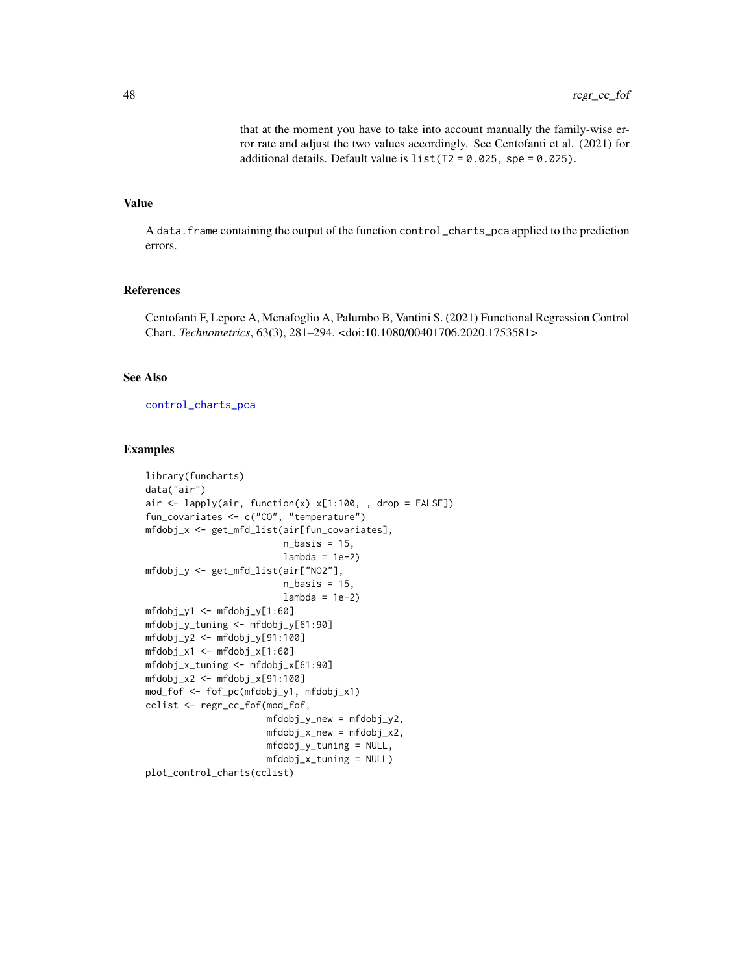that at the moment you have to take into account manually the family-wise error rate and adjust the two values accordingly. See Centofanti et al. (2021) for additional details. Default value is  $list(T2 = 0.025, spe = 0.025)$ .

# <span id="page-47-0"></span>Value

A data.frame containing the output of the function control\_charts\_pca applied to the prediction errors.

# References

Centofanti F, Lepore A, Menafoglio A, Palumbo B, Vantini S. (2021) Functional Regression Control Chart. *Technometrics*, 63(3), 281–294. <doi:10.1080/00401706.2020.1753581>

# See Also

[control\\_charts\\_pca](#page-3-1)

```
library(funcharts)
data("air")
air \le lapply(air, function(x) x[1:100, , drop = FALSE])
fun_covariates <- c("CO", "temperature")
mfdobj_x <- get_mfd_list(air[fun_covariates],
                         n_basis = 15,
                         lambda = 1e-2mfdobj_y <- get_mfd_list(air["NO2"],
                         n_basis = 15,
                         lambda = 1e-2mfdobj_y1 <- mfdobj_y[1:60]
mfdobj_y_tuning <- mfdobj_y[61:90]
mfdobj_y2 \leq-fmfdobj_y[91:100]mfdobj_x1 <- mfdobj_x[1:60]
mfdobj_x_tuning <- mfdobj_x[61:90]
mfdobj_x2 \leq - mfdobj_x[91:100]mod_fof <- fof_pc(mfdobj_y1, mfdobj_x1)
cclist <- regr_cc_fof(mod_fof,
                      mfdobj_y_new = mfdobj_y2,
                      mfdobj_x_new = mfdobj_x2,
                      mfdobj_y_tuning = NULL,
                      mfdobj_x_tuning = NULL)
plot_control_charts(cclist)
```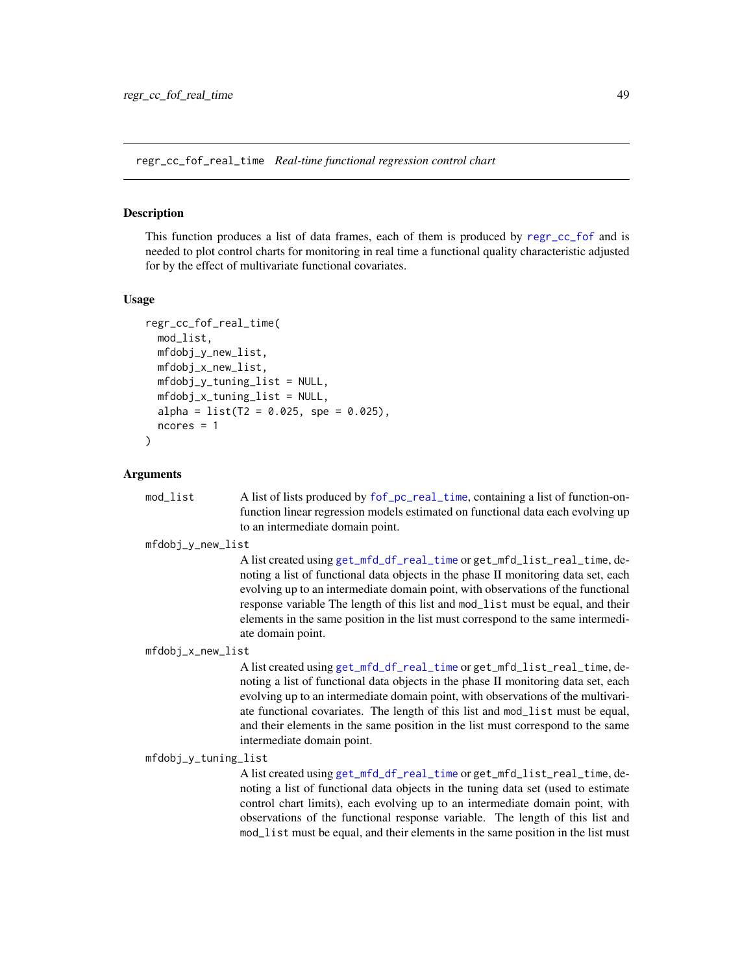<span id="page-48-1"></span><span id="page-48-0"></span>regr\_cc\_fof\_real\_time *Real-time functional regression control chart*

#### Description

This function produces a list of data frames, each of them is produced by [regr\\_cc\\_fof](#page-46-1) and is needed to plot control charts for monitoring in real time a functional quality characteristic adjusted for by the effect of multivariate functional covariates.

#### Usage

```
regr_cc_fof_real_time(
 mod_list,
 mfdobj_y_new_list,
 mfdobj_x_new_list,
 mfdobj_y_tuning_list = NULL,mfdobj_x_tuning_list = NULL,alpha = list(T2 = 0.025, spe = 0.025),ncores = 1
)
```
#### Arguments

mod\_list A list of lists produced by  $f \circ f\_pc\_real\_time$ , containing a list of function-onfunction linear regression models estimated on functional data each evolving up to an intermediate domain point.

mfdobj\_y\_new\_list

A list created using [get\\_mfd\\_df\\_real\\_time](#page-24-1) or get\_mfd\_list\_real\_time, denoting a list of functional data objects in the phase II monitoring data set, each evolving up to an intermediate domain point, with observations of the functional response variable The length of this list and mod\_list must be equal, and their elements in the same position in the list must correspond to the same intermediate domain point.

mfdobj\_x\_new\_list

A list created using [get\\_mfd\\_df\\_real\\_time](#page-24-1) or get\_mfd\_list\_real\_time, denoting a list of functional data objects in the phase II monitoring data set, each evolving up to an intermediate domain point, with observations of the multivariate functional covariates. The length of this list and mod\_list must be equal, and their elements in the same position in the list must correspond to the same intermediate domain point.

mfdobj\_y\_tuning\_list

A list created using [get\\_mfd\\_df\\_real\\_time](#page-24-1) or get\_mfd\_list\_real\_time, denoting a list of functional data objects in the tuning data set (used to estimate control chart limits), each evolving up to an intermediate domain point, with observations of the functional response variable. The length of this list and mod\_list must be equal, and their elements in the same position in the list must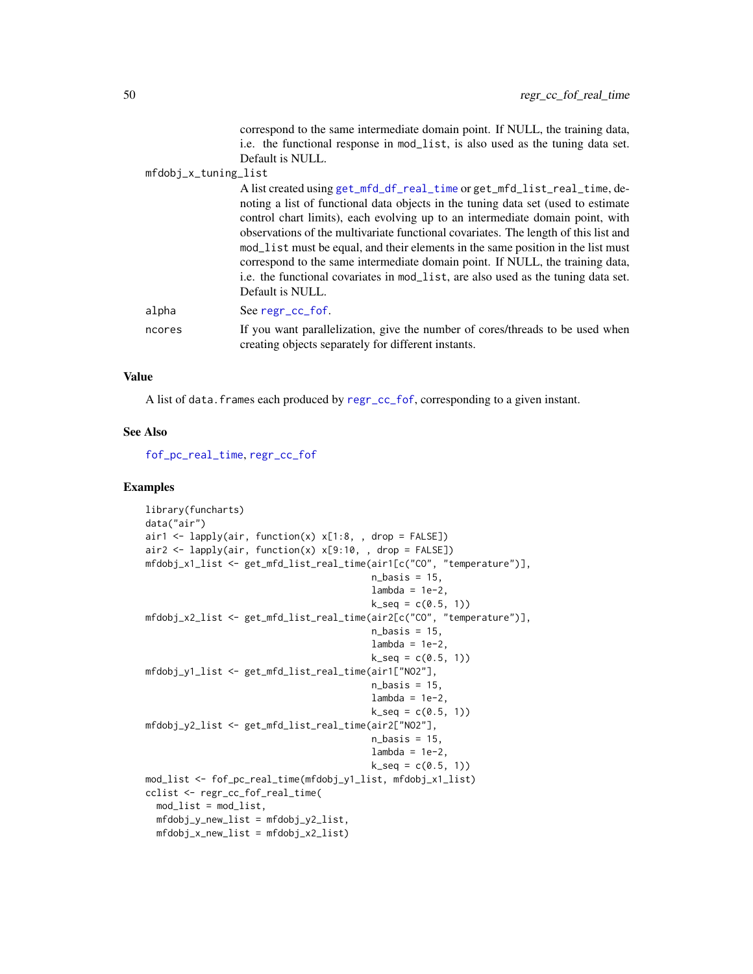correspond to the same intermediate domain point. If NULL, the training data, i.e. the functional response in mod\_list, is also used as the tuning data set. Default is NULL.

<span id="page-49-0"></span>mfdobj\_x\_tuning\_list

| A list created using get_mfd_df_real_time or get_mfd_list_real_time, de-            |
|-------------------------------------------------------------------------------------|
| noting a list of functional data objects in the tuning data set (used to estimate   |
| control chart limits), each evolving up to an intermediate domain point, with       |
| observations of the multivariate functional covariates. The length of this list and |
| mod_list must be equal, and their elements in the same position in the list must    |
| correspond to the same intermediate domain point. If NULL, the training data,       |
| i.e. the functional covariates in mod_list, are also used as the tuning data set.   |
| Default is NULL.                                                                    |
| See regr_cc_fof.                                                                    |
|                                                                                     |

ncores If you want parallelization, give the number of cores/threads to be used when creating objects separately for different instants.

#### Value

alpha

A list of data.frames each produced by [regr\\_cc\\_fof](#page-46-1), corresponding to a given instant.

# See Also

[fof\\_pc\\_real\\_time](#page-16-1), [regr\\_cc\\_fof](#page-46-1)

```
library(funcharts)
data("air")
air1 <- lapply(air, function(x) x[1:8, , drop = FALSE])
air2 <- lapply(air, function(x) x[9:10, , drop = FALSE])
mfdobj_x1_list <- get_mfd_list_real_time(air1[c("CO", "temperature")],
                                         n_basis = 15,
                                         lambda = 1e-2,
                                         k\_seq = c(0.5, 1)mfdobj_x2_list <- get_mfd_list_real_time(air2[c("CO", "temperature")],
                                         n_basis = 15,
                                         lambda = 1e-2,
                                         k_seq = c(0.5, 1)mfdobj_y1_list <- get_mfd_list_real_time(air1["NO2"],
                                         n_basis = 15,
                                         lambda = 1e-2,
                                         k\_seq = c(0.5, 1)mfdobj_y2_list <- get_mfd_list_real_time(air2["NO2"],
                                         n_basis = 15,
                                         lambda = 1e-2,
                                         k\_seq = c(0.5, 1)mod_list <- fof_pc_real_time(mfdobj_y1_list, mfdobj_x1_list)
cclist <- regr_cc_fof_real_time(
  mod_list = mod_list,
  mfdobj_y_new_list = mfdobj_y2_list,
  mfdobj_x_new_list = mfdobj_x2_list)
```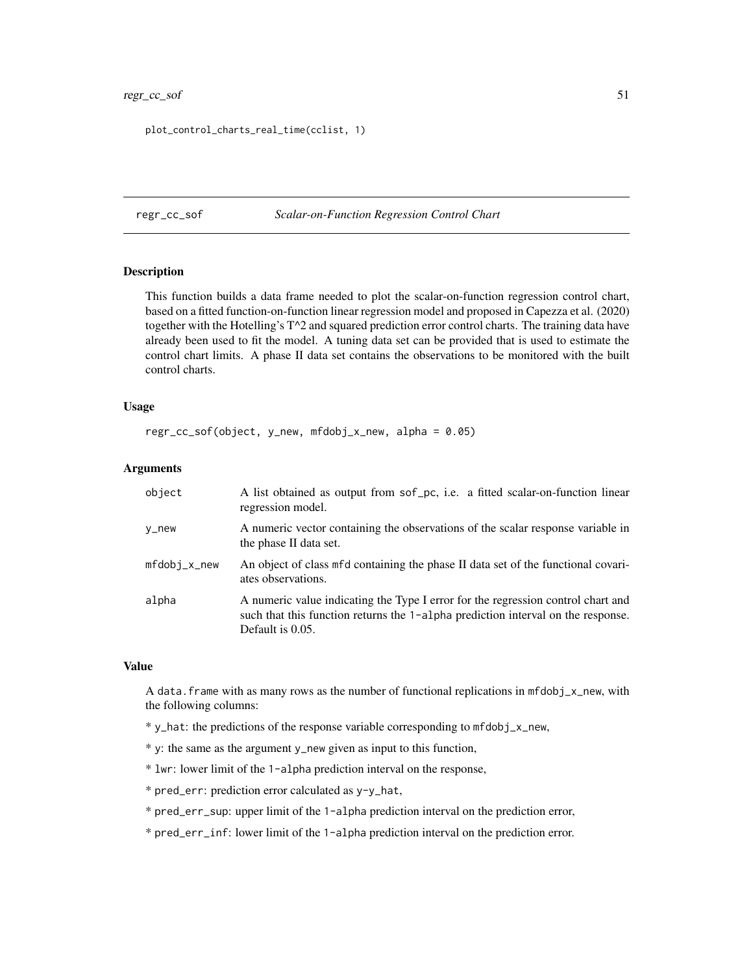# <span id="page-50-0"></span>regr\_cc\_sof 51

plot\_control\_charts\_real\_time(cclist, 1)

#### <span id="page-50-1"></span>regr\_cc\_sof *Scalar-on-Function Regression Control Chart*

# **Description**

This function builds a data frame needed to plot the scalar-on-function regression control chart, based on a fitted function-on-function linear regression model and proposed in Capezza et al. (2020) together with the Hotelling's  $T^2$  and squared prediction error control charts. The training data have already been used to fit the model. A tuning data set can be provided that is used to estimate the control chart limits. A phase II data set contains the observations to be monitored with the built control charts.

# Usage

```
regr_cc_sof(object, y_new, mfdobj_x_new, alpha = 0.05)
```
# **Arguments**

| object       | A list obtained as output from sof pc, i.e. a fitted scalar-on-function linear<br>regression model.                                                                                      |
|--------------|------------------------------------------------------------------------------------------------------------------------------------------------------------------------------------------|
| v_new        | A numeric vector containing the observations of the scalar response variable in<br>the phase II data set.                                                                                |
| mfdobj_x_new | An object of class mfd containing the phase II data set of the functional covari-<br>ates observations.                                                                                  |
| alpha        | A numeric value indicating the Type I error for the regression control chart and<br>such that this function returns the 1-alpha prediction interval on the response.<br>Default is 0.05. |

#### Value

A data. frame with as many rows as the number of functional replications in  $mfdobj_x_new$ , with the following columns:

- \* y\_hat: the predictions of the response variable corresponding to mfdobj\_x\_new,
- \* y: the same as the argument y\_new given as input to this function,
- \* lwr: lower limit of the 1-alpha prediction interval on the response,
- \* pred\_err: prediction error calculated as y-y\_hat,
- \* pred\_err\_sup: upper limit of the 1-alpha prediction interval on the prediction error,
- \* pred\_err\_inf: lower limit of the 1-alpha prediction interval on the prediction error.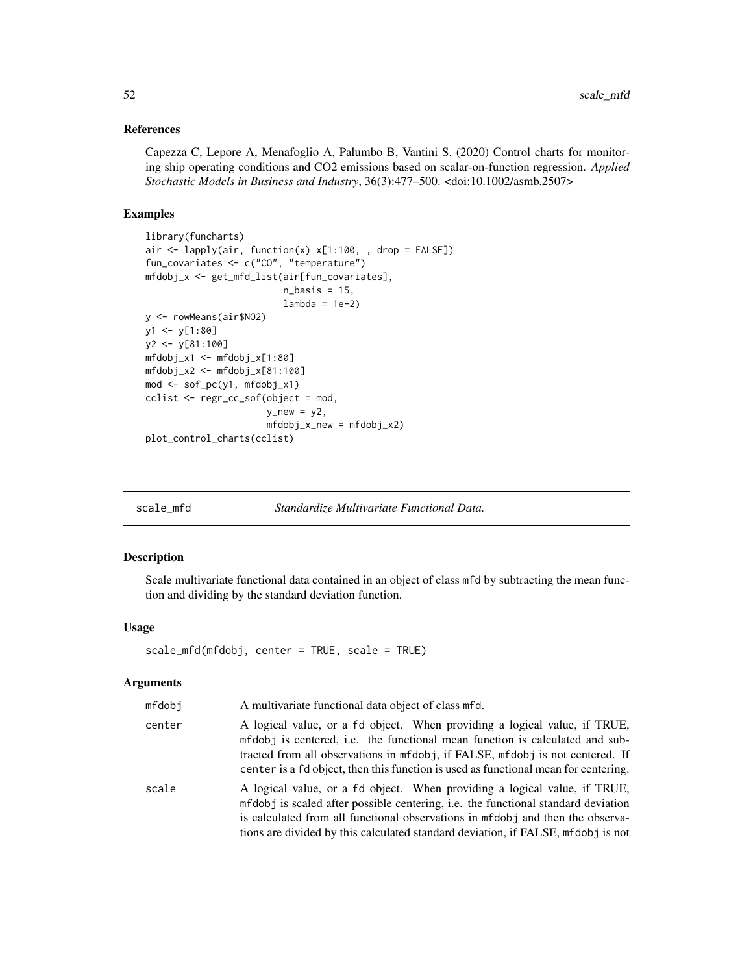### <span id="page-51-0"></span>References

Capezza C, Lepore A, Menafoglio A, Palumbo B, Vantini S. (2020) Control charts for monitoring ship operating conditions and CO2 emissions based on scalar-on-function regression. *Applied Stochastic Models in Business and Industry*, 36(3):477–500. <doi:10.1002/asmb.2507>

#### Examples

```
library(funcharts)
air <- lapply(air, function(x) x[1:100, , drop = FALSE])
fun_covariates <- c("CO", "temperature")
mfdobj_x <- get_mfd_list(air[fun_covariates],
                         n_basis = 15,
                         lambda = 1e-2)
y <- rowMeans(air$NO2)
y1 <- y[1:80]
y2 <- y[81:100]
mfdobj_x1 \leftarrow mfdobj_x[1:80]mfdobj_x2 <- mfdobj_x[81:100]
mod <- sof_pc(y1, mfdobj_x1)
cclist <- regr_cc_sof(object = mod,
                      y_new = y2,
                      mfdobj_x_new = mfdobj_x2)plot_control_charts(cclist)
```
<span id="page-51-1"></span>

scale\_mfd *Standardize Multivariate Functional Data.*

#### Description

Scale multivariate functional data contained in an object of class mfd by subtracting the mean function and dividing by the standard deviation function.

# Usage

scale\_mfd(mfdobj, center = TRUE, scale = TRUE)

# Arguments

| mfdobj | A multivariate functional data object of class mfd.                                                                                                                                                                                                                                                                                   |
|--------|---------------------------------------------------------------------------------------------------------------------------------------------------------------------------------------------------------------------------------------------------------------------------------------------------------------------------------------|
| center | A logical value, or a fd object. When providing a logical value, if TRUE,<br>mfdobj is centered, i.e. the functional mean function is calculated and sub-<br>tracted from all observations in mfdobj, if FALSE, mfdobj is not centered. If<br>center is a fd object, then this function is used as functional mean for centering.     |
| scale  | A logical value, or a fd object. When providing a logical value, if TRUE,<br>mfdobj is scaled after possible centering, i.e. the functional standard deviation<br>is calculated from all functional observations in mfdob i and then the observa-<br>tions are divided by this calculated standard deviation, if FALSE, mfdobj is not |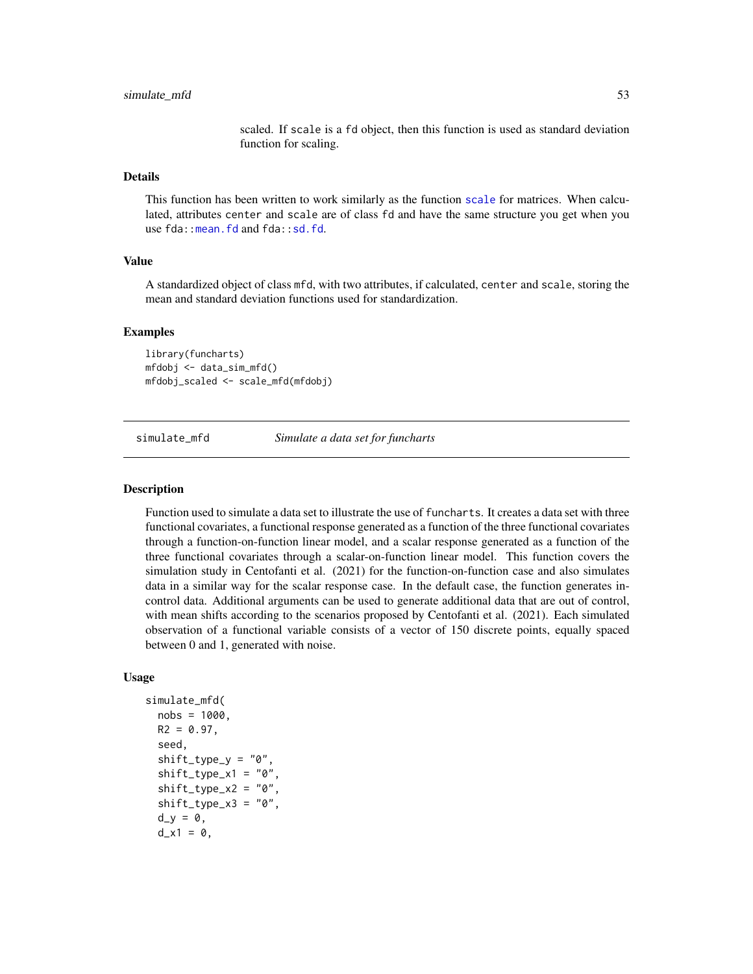scaled. If scale is a fd object, then this function is used as standard deviation function for scaling.

# <span id="page-52-0"></span>Details

This function has been written to work similarly as the function [scale](#page-0-0) for matrices. When calculated, attributes center and scale are of class fd and have the same structure you get when you use fda:: mean.fd and fda:: sd.fd.

#### Value

A standardized object of class mfd, with two attributes, if calculated, center and scale, storing the mean and standard deviation functions used for standardization.

#### Examples

library(funcharts) mfdobj <- data\_sim\_mfd() mfdobj\_scaled <- scale\_mfd(mfdobj)

<span id="page-52-1"></span>simulate\_mfd *Simulate a data set for funcharts*

#### **Description**

Function used to simulate a data set to illustrate the use of funcharts. It creates a data set with three functional covariates, a functional response generated as a function of the three functional covariates through a function-on-function linear model, and a scalar response generated as a function of the three functional covariates through a scalar-on-function linear model. This function covers the simulation study in Centofanti et al. (2021) for the function-on-function case and also simulates data in a similar way for the scalar response case. In the default case, the function generates incontrol data. Additional arguments can be used to generate additional data that are out of control, with mean shifts according to the scenarios proposed by Centofanti et al. (2021). Each simulated observation of a functional variable consists of a vector of 150 discrete points, equally spaced between 0 and 1, generated with noise.

#### Usage

```
simulate_mfd(
  nobs = 1000,
  R2 = 0.97,
  seed,
  shift\_type_y = "0"shift\_type\_x1 = "0"shift_type_x2 = "0",shift\_type\_x3 = "0",d_y = 0,
  d_x1 = 0,
```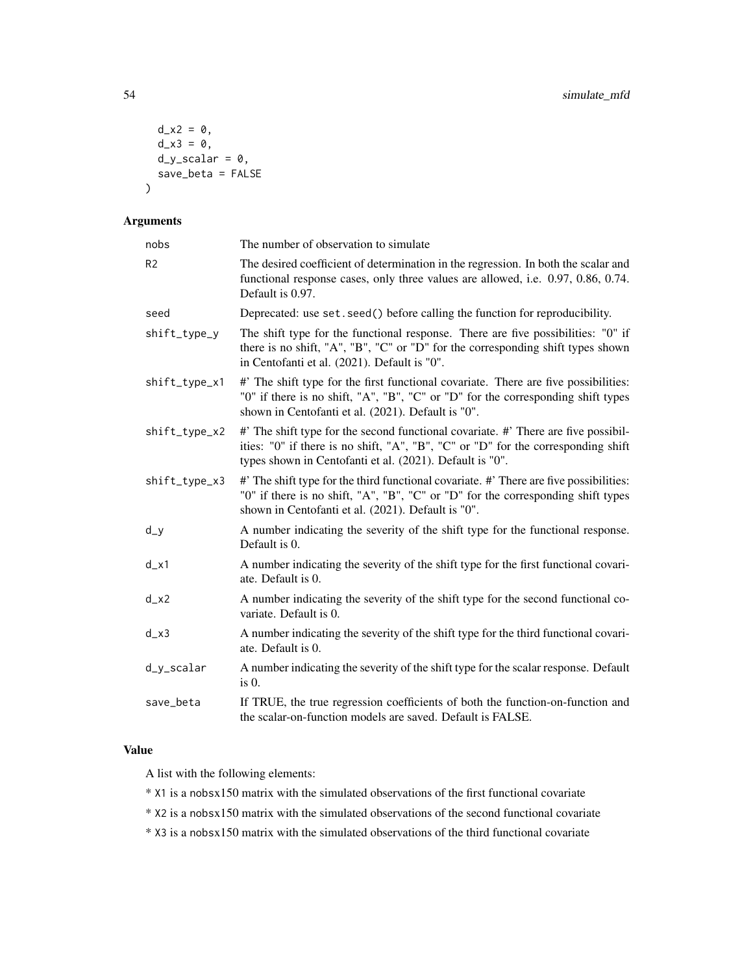```
d_x^2 = 0,
  d_x^3 = 0,
  d_y_scalscalar = 0,
  save_beta = FALSE
\mathcal{E}
```
# Arguments

| nobs          | The number of observation to simulate                                                                                                                                                                                               |
|---------------|-------------------------------------------------------------------------------------------------------------------------------------------------------------------------------------------------------------------------------------|
| R2            | The desired coefficient of determination in the regression. In both the scalar and<br>functional response cases, only three values are allowed, i.e. 0.97, 0.86, 0.74.<br>Default is 0.97.                                          |
| seed          | Deprecated: use set. seed() before calling the function for reproducibility.                                                                                                                                                        |
| shift_type_y  | The shift type for the functional response. There are five possibilities: "0" if<br>there is no shift, "A", "B", "C" or "D" for the corresponding shift types shown<br>in Centofanti et al. (2021). Default is "0".                 |
| shift_type_x1 | #' The shift type for the first functional covariate. There are five possibilities:<br>"0" if there is no shift, "A", "B", "C" or "D" for the corresponding shift types<br>shown in Centofanti et al. (2021). Default is "0".       |
| shift_type_x2 | #' The shift type for the second functional covariate. #' There are five possibil-<br>ities: "0" if there is no shift, "A", "B", "C" or "D" for the corresponding shift<br>types shown in Centofanti et al. (2021). Default is "0". |
| shift_type_x3 | #' The shift type for the third functional covariate. #' There are five possibilities:<br>"0" if there is no shift, "A", "B", "C" or "D" for the corresponding shift types<br>shown in Centofanti et al. (2021). Default is "0".    |
| d_y           | A number indicating the severity of the shift type for the functional response.<br>Default is 0.                                                                                                                                    |
| $d_x1$        | A number indicating the severity of the shift type for the first functional covari-<br>ate. Default is 0.                                                                                                                           |
| d_x2          | A number indicating the severity of the shift type for the second functional co-<br>variate. Default is 0.                                                                                                                          |
| d_x3          | A number indicating the severity of the shift type for the third functional covari-<br>ate. Default is 0.                                                                                                                           |
| d_y_scalar    | A number indicating the severity of the shift type for the scalar response. Default<br>$is0$ .                                                                                                                                      |
| save_beta     | If TRUE, the true regression coefficients of both the function-on-function and<br>the scalar-on-function models are saved. Default is FALSE.                                                                                        |

# Value

A list with the following elements:

- \* X1 is a nobsx150 matrix with the simulated observations of the first functional covariate
- \* X2 is a nobsx150 matrix with the simulated observations of the second functional covariate

\* X3 is a nobsx150 matrix with the simulated observations of the third functional covariate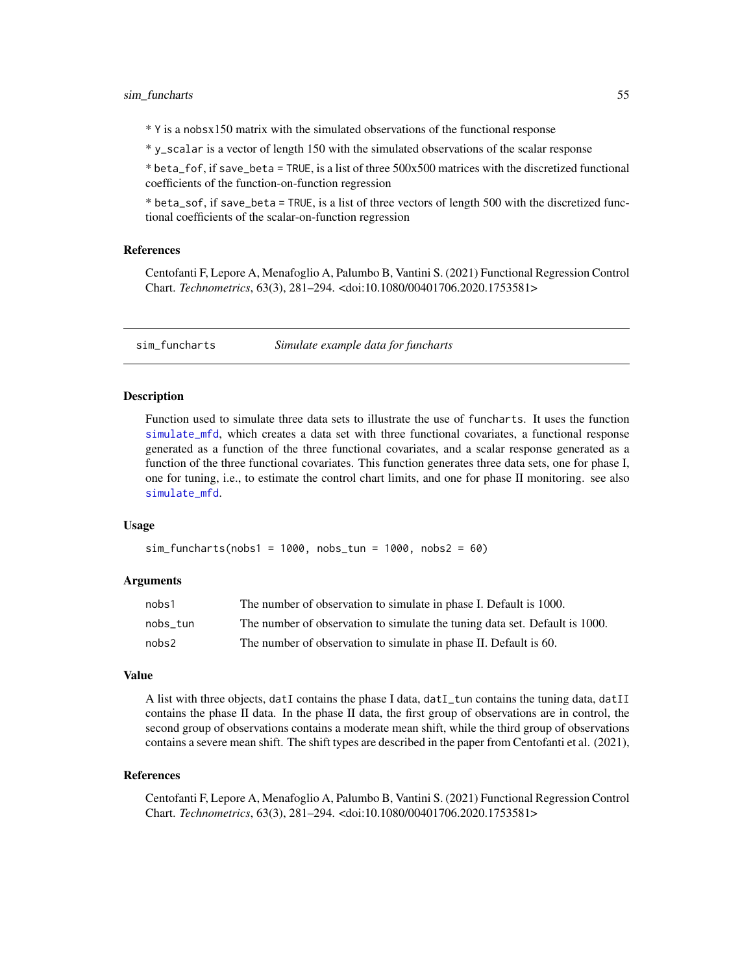<span id="page-54-0"></span>\* Y is a nobsx150 matrix with the simulated observations of the functional response

\* y\_scalar is a vector of length 150 with the simulated observations of the scalar response

\* beta\_fof, if save\_beta = TRUE, is a list of three 500x500 matrices with the discretized functional coefficients of the function-on-function regression

\* beta\_sof, if save\_beta = TRUE, is a list of three vectors of length 500 with the discretized functional coefficients of the scalar-on-function regression

# References

Centofanti F, Lepore A, Menafoglio A, Palumbo B, Vantini S. (2021) Functional Regression Control Chart. *Technometrics*, 63(3), 281–294. <doi:10.1080/00401706.2020.1753581>

sim\_funcharts *Simulate example data for funcharts*

# **Description**

Function used to simulate three data sets to illustrate the use of funcharts. It uses the function [simulate\\_mfd](#page-52-1), which creates a data set with three functional covariates, a functional response generated as a function of the three functional covariates, and a scalar response generated as a function of the three functional covariates. This function generates three data sets, one for phase I, one for tuning, i.e., to estimate the control chart limits, and one for phase II monitoring. see also [simulate\\_mfd](#page-52-1).

#### Usage

sim\_funcharts(nobs1 = 1000, nobs\_tun = 1000, nobs2 = 60)

#### Arguments

| nobs1    | The number of observation to simulate in phase I. Default is 1000.          |
|----------|-----------------------------------------------------------------------------|
| nobs tun | The number of observation to simulate the tuning data set. Default is 1000. |
| nobs2    | The number of observation to simulate in phase II. Default is 60.           |

# Value

A list with three objects, datI contains the phase I data, datI\_tun contains the tuning data, datII contains the phase II data. In the phase II data, the first group of observations are in control, the second group of observations contains a moderate mean shift, while the third group of observations contains a severe mean shift. The shift types are described in the paper from Centofanti et al. (2021),

#### References

Centofanti F, Lepore A, Menafoglio A, Palumbo B, Vantini S. (2021) Functional Regression Control Chart. *Technometrics*, 63(3), 281–294. <doi:10.1080/00401706.2020.1753581>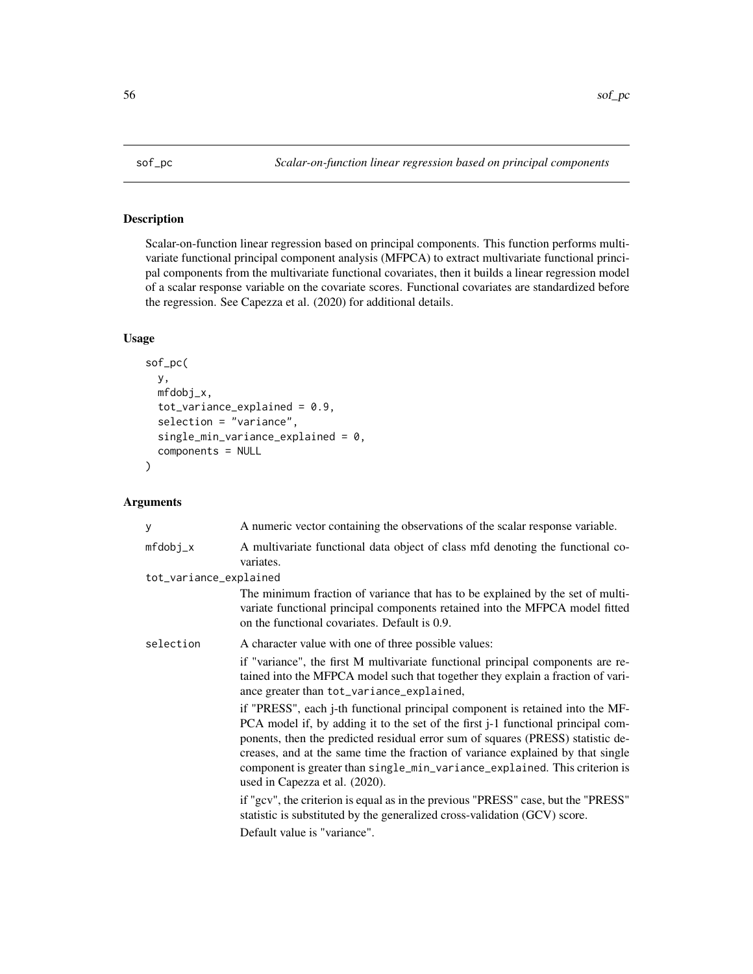<span id="page-55-1"></span><span id="page-55-0"></span>

Scalar-on-function linear regression based on principal components. This function performs multivariate functional principal component analysis (MFPCA) to extract multivariate functional principal components from the multivariate functional covariates, then it builds a linear regression model of a scalar response variable on the covariate scores. Functional covariates are standardized before the regression. See Capezza et al. (2020) for additional details.

# Usage

```
sof_pc(
  y,
  mfdobj_x,
  tot\_variance\_explained = 0.9,
  selection = "variance",
  single_min_variance_explained = 0,
  components = NULL
\mathcal{E}
```
# Arguments

| У                      | A numeric vector containing the observations of the scalar response variable.                                                                                                                                                                                                                                                                                                                                                                                           |
|------------------------|-------------------------------------------------------------------------------------------------------------------------------------------------------------------------------------------------------------------------------------------------------------------------------------------------------------------------------------------------------------------------------------------------------------------------------------------------------------------------|
| $mfdobj_x$             | A multivariate functional data object of class mfd denoting the functional co-<br>variates.                                                                                                                                                                                                                                                                                                                                                                             |
| tot_variance_explained |                                                                                                                                                                                                                                                                                                                                                                                                                                                                         |
|                        | The minimum fraction of variance that has to be explained by the set of multi-<br>variate functional principal components retained into the MFPCA model fitted<br>on the functional covariates. Default is 0.9.                                                                                                                                                                                                                                                         |
| selection              | A character value with one of three possible values:                                                                                                                                                                                                                                                                                                                                                                                                                    |
|                        | if "variance", the first M multivariate functional principal components are re-<br>tained into the MFPCA model such that together they explain a fraction of vari-<br>ance greater than tot_variance_explained,                                                                                                                                                                                                                                                         |
|                        | if "PRESS", each <i>j</i> -th functional principal component is retained into the MF-<br>PCA model if, by adding it to the set of the first <i>j</i> -1 functional principal com-<br>ponents, then the predicted residual error sum of squares (PRESS) statistic de-<br>creases, and at the same time the fraction of variance explained by that single<br>component is greater than single_min_variance_explained. This criterion is<br>used in Capezza et al. (2020). |
|                        | if "gcv", the criterion is equal as in the previous "PRESS" case, but the "PRESS"<br>statistic is substituted by the generalized cross-validation (GCV) score.                                                                                                                                                                                                                                                                                                          |
|                        | Default value is "variance".                                                                                                                                                                                                                                                                                                                                                                                                                                            |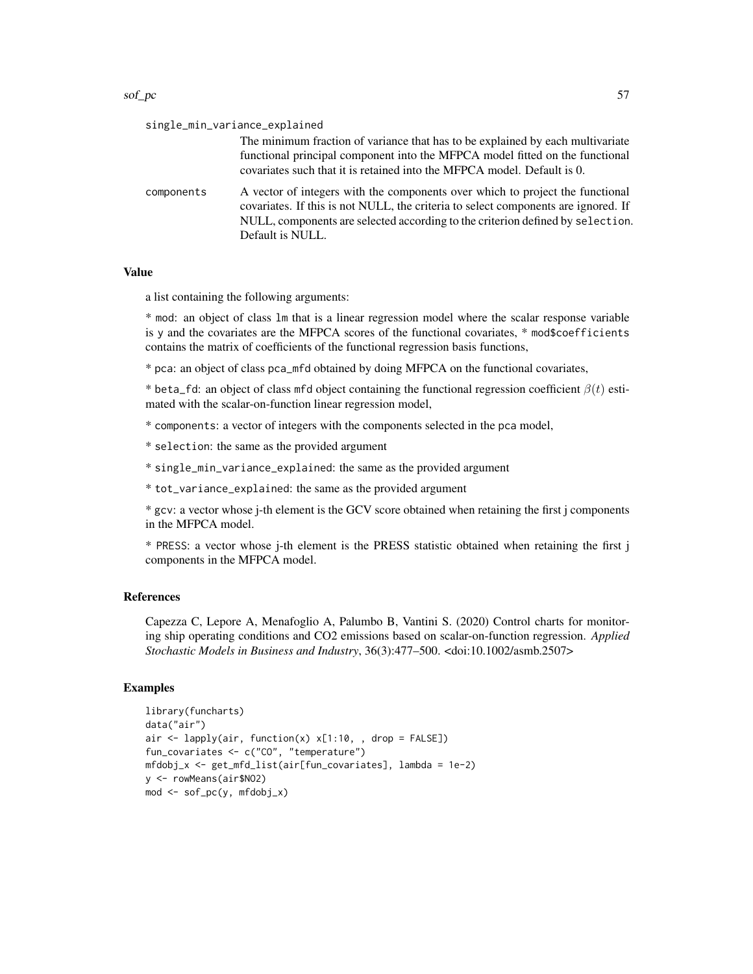#### $\text{sof\_pc}$  57

| single_min_variance_explained |                                                                                                                                                                                                                                                                           |
|-------------------------------|---------------------------------------------------------------------------------------------------------------------------------------------------------------------------------------------------------------------------------------------------------------------------|
|                               | The minimum fraction of variance that has to be explained by each multivariate<br>functional principal component into the MFPCA model fitted on the functional<br>covariates such that it is retained into the MFPCA model. Default is 0.                                 |
| components                    | A vector of integers with the components over which to project the functional<br>covariates. If this is not NULL, the criteria to select components are ignored. If<br>NULL, components are selected according to the criterion defined by selection.<br>Default is NULL. |

#### Value

a list containing the following arguments:

\* mod: an object of class lm that is a linear regression model where the scalar response variable is y and the covariates are the MFPCA scores of the functional covariates, \* mod\$coefficients contains the matrix of coefficients of the functional regression basis functions,

\* pca: an object of class pca\_mfd obtained by doing MFPCA on the functional covariates,

\* beta\_fd: an object of class mfd object containing the functional regression coefficient  $\beta(t)$  estimated with the scalar-on-function linear regression model,

\* components: a vector of integers with the components selected in the pca model,

\* selection: the same as the provided argument

\* single\_min\_variance\_explained: the same as the provided argument

\* tot\_variance\_explained: the same as the provided argument

\* gcv: a vector whose j-th element is the GCV score obtained when retaining the first j components in the MFPCA model.

\* PRESS: a vector whose j-th element is the PRESS statistic obtained when retaining the first j components in the MFPCA model.

#### References

Capezza C, Lepore A, Menafoglio A, Palumbo B, Vantini S. (2020) Control charts for monitoring ship operating conditions and CO2 emissions based on scalar-on-function regression. *Applied Stochastic Models in Business and Industry*, 36(3):477–500. <doi:10.1002/asmb.2507>

```
library(funcharts)
data("air")
air \le lapply(air, function(x) x[1:10, , drop = FALSE])
fun_covariates <- c("CO", "temperature")
mfdobj_x <- get_mfd_list(air[fun_covariates], lambda = 1e-2)
y <- rowMeans(air$NO2)
mod <- sof_pc(y, mfdobj_x)
```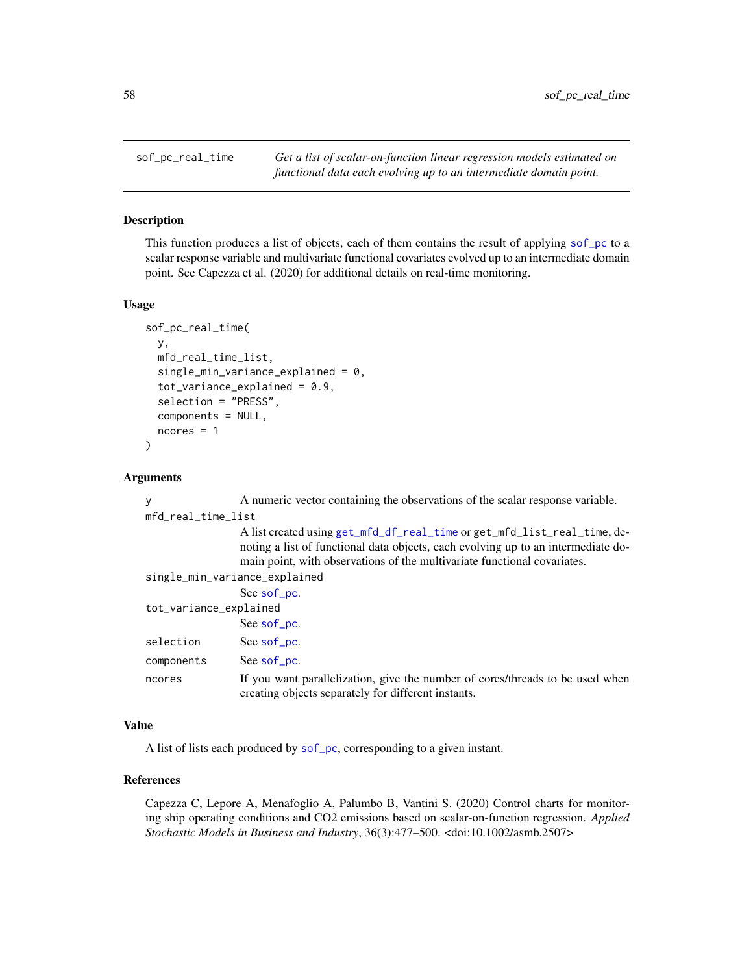<span id="page-57-1"></span><span id="page-57-0"></span>

This function produces a list of objects, each of them contains the result of applying [sof\\_pc](#page-55-1) to a scalar response variable and multivariate functional covariates evolved up to an intermediate domain point. See Capezza et al. (2020) for additional details on real-time monitoring.

#### Usage

```
sof_pc_real_time(
  y,
  mfd_real_time_list,
  single\_min\_variance\_explained = 0,
  tot\_variance\_explained = 0.9,
  selection = "PRESS",
  components = NULL,
  ncores = 1
\mathcal{E}
```
#### Arguments

| V                             | A numeric vector containing the observations of the scalar response variable.                                                                                                                                                             |
|-------------------------------|-------------------------------------------------------------------------------------------------------------------------------------------------------------------------------------------------------------------------------------------|
| mfd_real_time_list            |                                                                                                                                                                                                                                           |
|                               | A list created using get_mfd_df_real_time or get_mfd_list_real_time, de-<br>noting a list of functional data objects, each evolving up to an intermediate do-<br>main point, with observations of the multivariate functional covariates. |
| single_min_variance_explained |                                                                                                                                                                                                                                           |
|                               | See sof <u>p</u> c.                                                                                                                                                                                                                       |
| tot_variance_explained        |                                                                                                                                                                                                                                           |
|                               | See sof <u>p</u> c.                                                                                                                                                                                                                       |
| selection                     | See sof <u>p</u> c.                                                                                                                                                                                                                       |
| components                    | See sof <u>p</u> c.                                                                                                                                                                                                                       |
| ncores                        | If you want parallelization, give the number of cores/threads to be used when<br>creating objects separately for different instants.                                                                                                      |

# Value

A list of lists each produced by [sof\\_pc](#page-55-1), corresponding to a given instant.

# References

Capezza C, Lepore A, Menafoglio A, Palumbo B, Vantini S. (2020) Control charts for monitoring ship operating conditions and CO2 emissions based on scalar-on-function regression. *Applied Stochastic Models in Business and Industry*, 36(3):477–500. <doi:10.1002/asmb.2507>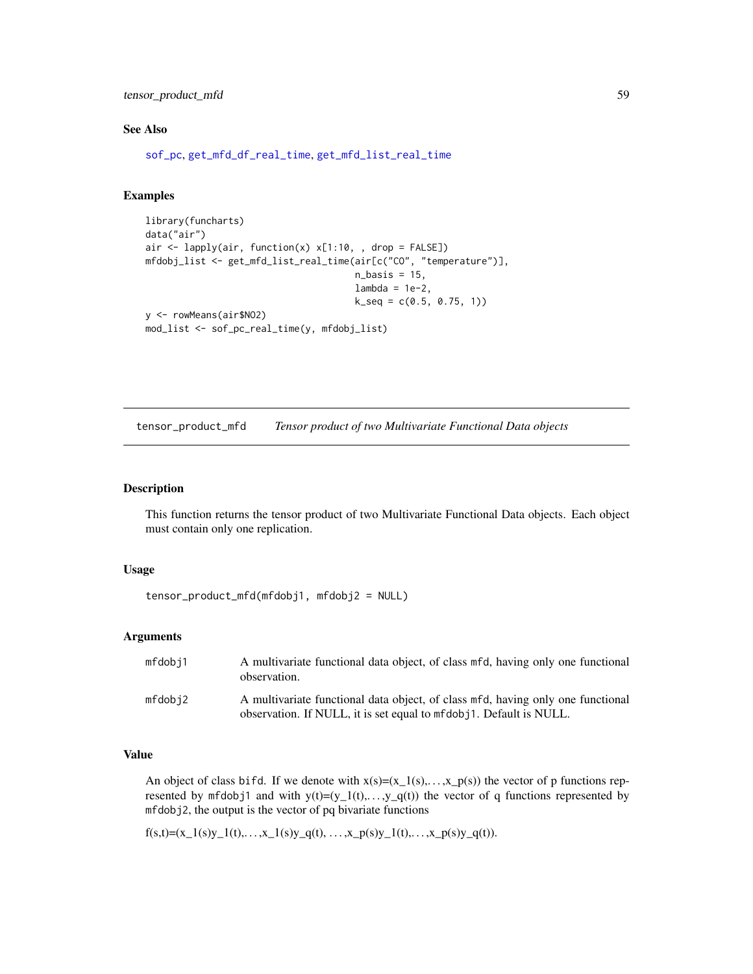<span id="page-58-0"></span>tensor\_product\_mfd 59

#### See Also

[sof\\_pc](#page-55-1), [get\\_mfd\\_df\\_real\\_time](#page-24-1), [get\\_mfd\\_list\\_real\\_time](#page-27-1)

# Examples

```
library(funcharts)
data("air")
air <- lapply(air, function(x) x[1:10, , drop = FALSE])
mfdobj_list <- get_mfd_list_real_time(air[c("CO", "temperature")],
                                      n_basis = 15,
                                      lambda = 1e-2,
                                      k\_seq = c(0.5, 0.75, 1)y <- rowMeans(air$NO2)
mod_list <- sof_pc_real_time(y, mfdobj_list)
```
tensor\_product\_mfd *Tensor product of two Multivariate Functional Data objects*

# Description

This function returns the tensor product of two Multivariate Functional Data objects. Each object must contain only one replication.

#### Usage

```
tensor_product_mfd(mfdobj1, mfdobj2 = NULL)
```
#### Arguments

| mfdobj1 | A multivariate functional data object, of class mfd, having only one functional<br>observation.                                                        |
|---------|--------------------------------------------------------------------------------------------------------------------------------------------------------|
| mfdobi2 | A multivariate functional data object, of class mfd, having only one functional<br>observation. If NULL, it is set equal to mfdob i1. Default is NULL. |

#### Value

An object of class bifd. If we denote with  $x(s)=(x_1(s),...,x_p(s))$  the vector of p functions represented by mfdobj1 and with  $y(t)=(y_1(t),..., y_q(t))$  the vector of q functions represented by mfdobj2, the output is the vector of pq bivariate functions

 $f(s,t)=(x_1(s)y_1(t),..., x_1(s)y_q(t),..., x_p(s)y_1(t),..., x_p(s)y_q(t)).$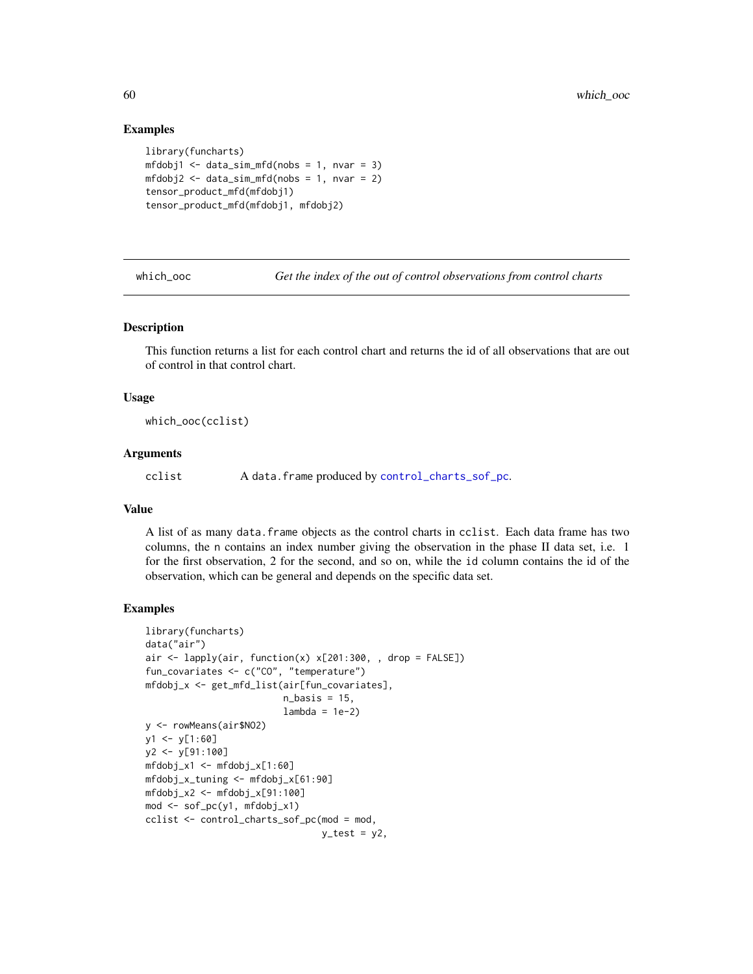#### Examples

```
library(funcharts)
mfdobj1 < - data_sim_mfd(nobs = 1, nvar = 3)mfdobj2 \leq dataj. \n<math>f{j}</math>tensor_product_mfd(mfdobj1)
tensor_product_mfd(mfdobj1, mfdobj2)
```
which\_ooc *Get the index of the out of control observations from control charts*

#### Description

This function returns a list for each control chart and returns the id of all observations that are out of control in that control chart.

#### Usage

which\_ooc(cclist)

#### Arguments

cclist A data.frame produced by [control\\_charts\\_sof\\_pc](#page-8-1).

#### Value

A list of as many data.frame objects as the control charts in cclist. Each data frame has two columns, the n contains an index number giving the observation in the phase II data set, i.e. 1 for the first observation, 2 for the second, and so on, while the id column contains the id of the observation, which can be general and depends on the specific data set.

```
library(funcharts)
data("air")
air <- lapply(air, function(x) x[201:300, , drop = FALSE])
fun_covariates <- c("CO", "temperature")
mfdobj_x <- get_mfd_list(air[fun_covariates],
                          n_basis = 15,
                          lambda = 1e-2)y <- rowMeans(air$NO2)
y1 \leftarrow y[1:60]y2 <- y[91:100]
mfdobj_x1 \leq - mfdobj_x[1:60]mfdobj_x_tuning <- mfdobj_x[61:90]
mfdobj_x2 \leq - mfdobj_x[91:100]mod <- sof_pc(y1, mfdobj_x1)
cclist <- control_charts_sof_pc(mod = mod,
                                 y_ttest = y2,
```
<span id="page-59-0"></span>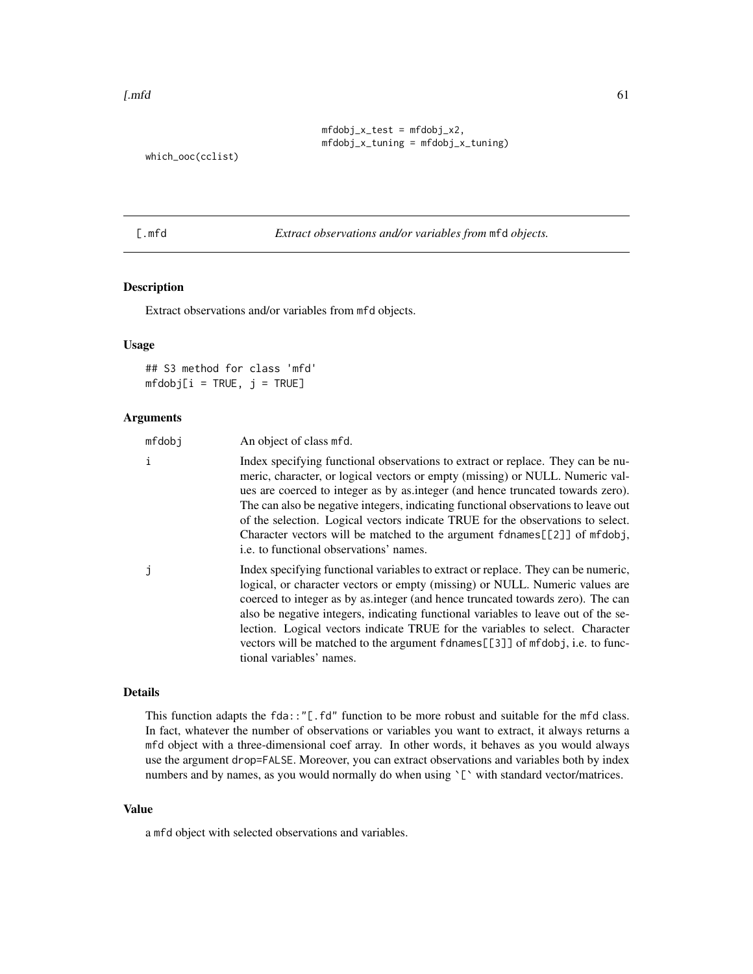```
mfdobj_x_test = mfdobj_x2,mfdobj_x_tuning = mfdobj_x_tuning)
```
<span id="page-60-0"></span>which\_ooc(cclist)

[.mfd *Extract observations and/or variables from* mfd *objects.*

# Description

Extract observations and/or variables from mfd objects.

# Usage

## S3 method for class 'mfd'  $mfdobj[i = TRUE, j = TRUE]$ 

#### Arguments

| mfdobj | An object of class mfd.                                                                                                                                                                                                                                                                                                                                                                                                                                                                                                                                     |
|--------|-------------------------------------------------------------------------------------------------------------------------------------------------------------------------------------------------------------------------------------------------------------------------------------------------------------------------------------------------------------------------------------------------------------------------------------------------------------------------------------------------------------------------------------------------------------|
| i      | Index specifying functional observations to extract or replace. They can be nu-<br>meric, character, or logical vectors or empty (missing) or NULL. Numeric val-<br>ues are coerced to integer as by as integer (and hence truncated towards zero).<br>The can also be negative integers, indicating functional observations to leave out<br>of the selection. Logical vectors indicate TRUE for the observations to select.<br>Character vectors will be matched to the argument fdnames[[2]] of mfdobj,<br><i>i.e.</i> to functional observations' names. |
| j      | Index specifying functional variables to extract or replace. They can be numeric,<br>logical, or character vectors or empty (missing) or NULL. Numeric values are<br>coerced to integer as by as integer (and hence truncated towards zero). The can<br>also be negative integers, indicating functional variables to leave out of the se-<br>lection. Logical vectors indicate TRUE for the variables to select. Character<br>vectors will be matched to the argument fdnames[[3]] of mfdobj, i.e. to func-<br>tional variables' names.                    |

#### Details

This function adapts the fda::"[.fd" function to be more robust and suitable for the mfd class. In fact, whatever the number of observations or variables you want to extract, it always returns a mfd object with a three-dimensional coef array. In other words, it behaves as you would always use the argument drop=FALSE. Moreover, you can extract observations and variables both by index numbers and by names, as you would normally do when using '[' with standard vector/matrices.

# Value

a mfd object with selected observations and variables.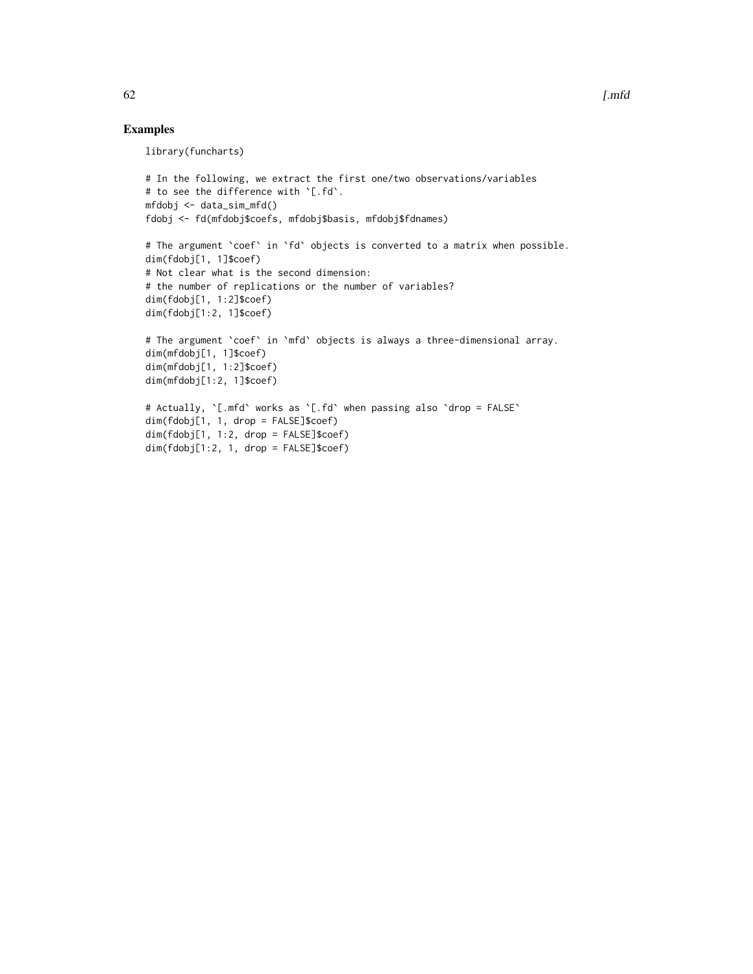# Examples

library(funcharts)

```
# In the following, we extract the first one/two observations/variables
# to see the difference with `[.fd`.
mfdobj <- data_sim_mfd()
fdobj <- fd(mfdobj$coefs, mfdobj$basis, mfdobj$fdnames)
# The argument `coef` in `fd` objects is converted to a matrix when possible.
dim(fdobj[1, 1]$coef)
# Not clear what is the second dimension:
# the number of replications or the number of variables?
dim(fdobj[1, 1:2]$coef)
dim(fdobj[1:2, 1]$coef)
# The argument `coef` in `mfd` objects is always a three-dimensional array.
dim(mfdobj[1, 1]$coef)
dim(mfdobj[1, 1:2]$coef)
dim(mfdobj[1:2, 1]$coef)
# Actually, `[.mfd` works as `[.fd` when passing also `drop = FALSE`
dim(fdobj[1, 1, drop = FALSE]$coef)
dim(fdobj[1, 1:2, drop = FALSE]$coef)
dim(fdobj[1:2, 1, drop = FALSE]$coef)
```